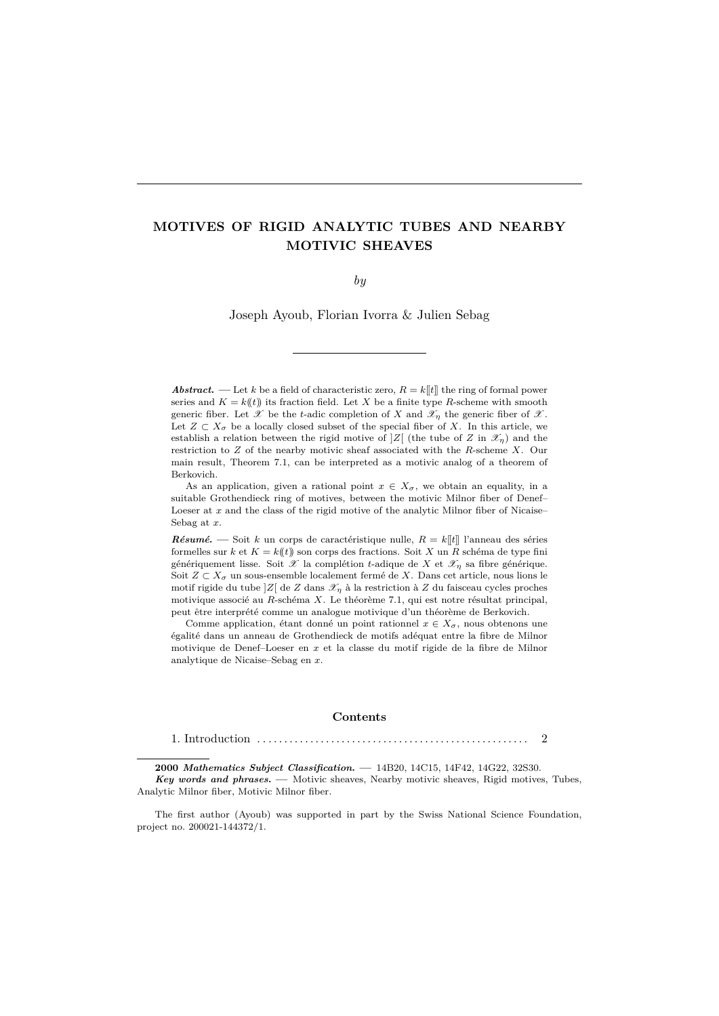# **MOTIVES OF RIGID ANALYTIC TUBES AND NEARBY MOTIVIC SHEAVES**

*by*

Joseph Ayoub, Florian Ivorra & Julien Sebag

*Abstract*. — Let *k* be a field of characteristic zero,  $R = k[[t]]$  the ring of formal power series and  $K = k(\ell)$  its fraction field. Let X be a finite type R-scheme with smooth generic fiber. Let  $\mathscr X$  be the *t*-adic completion of  $X$  and  $\mathscr X_\eta$  the generic fiber of  $\mathscr X$ . Let  $Z \subset X_{\sigma}$  be a locally closed subset of the special fiber of X. In this article, we establish a relation between the rigid motive of  $Z$  (the tube of *Z* in  $\mathscr{X}_n$ ) and the restriction to *Z* of the nearby motivic sheaf associated with the *R*-scheme *X*. Our main result, Theorem 7.1, can be interpreted as a motivic analog of a theorem of Berkovich.

As an application, given a rational point  $x \in X_{\sigma}$ , we obtain an equality, in a suitable Grothendieck ring of motives, between the motivic Milnor fiber of Denef– Loeser at *x* and the class of the rigid motive of the analytic Milnor fiber of Nicaise-Sebag at *x*.

*R*ésumé. — Soit *k* un corps de caractéristique nulle,  $R = k[[t]]$  l'anneau des séries formelles sur  $k$  et  $K = k(t)$  son corps des fractions. Soit X un R schéma de type fini génériquement lisse. Soit  $\mathscr X$  la complétion *t*-adique de  $X$  et  $\mathscr X_n$  sa fibre générique. Soit  $Z \subset X_{\sigma}$  un sous-ensemble localement fermé de X. Dans cet article, nous lions le motif rigide du tube  $|Z|$  de *Z* dans  $\mathcal{X}_n$  à la restriction à *Z* du faisceau cycles proches motivique associé au *R*-schéma *X*. Le théorème 7.1, qui est notre résultat principal, peut être interprété comme un analogue motivique d'un théorème de Berkovich.

Comme application, étant donné un point rationnel  $x \in X_{\sigma}$ , nous obtenons une égalité dans un anneau de Grothendieck de motifs adéquat entre la fibre de Milnor motivique de Denef–Loeser en *x* et la classe du motif rigide de la fibre de Milnor analytique de Nicaise–Sebag en *x*.

#### **Contents**

1. Introduction . . . . . . . . . . . . . . . . . . . . . . . . . . . . . . . . . . . . . . . . . . . . . . . . . . . . 2

**2000** *Mathematics Subject Classification***. —** 14B20, 14C15, 14F42, 14G22, 32S30. *Key words and phrases***. —** Motivic sheaves, Nearby motivic sheaves, Rigid motives, Tubes, Analytic Milnor fiber, Motivic Milnor fiber.

The first author (Ayoub) was supported in part by the Swiss National Science Foundation, project no. 200021-144372/1.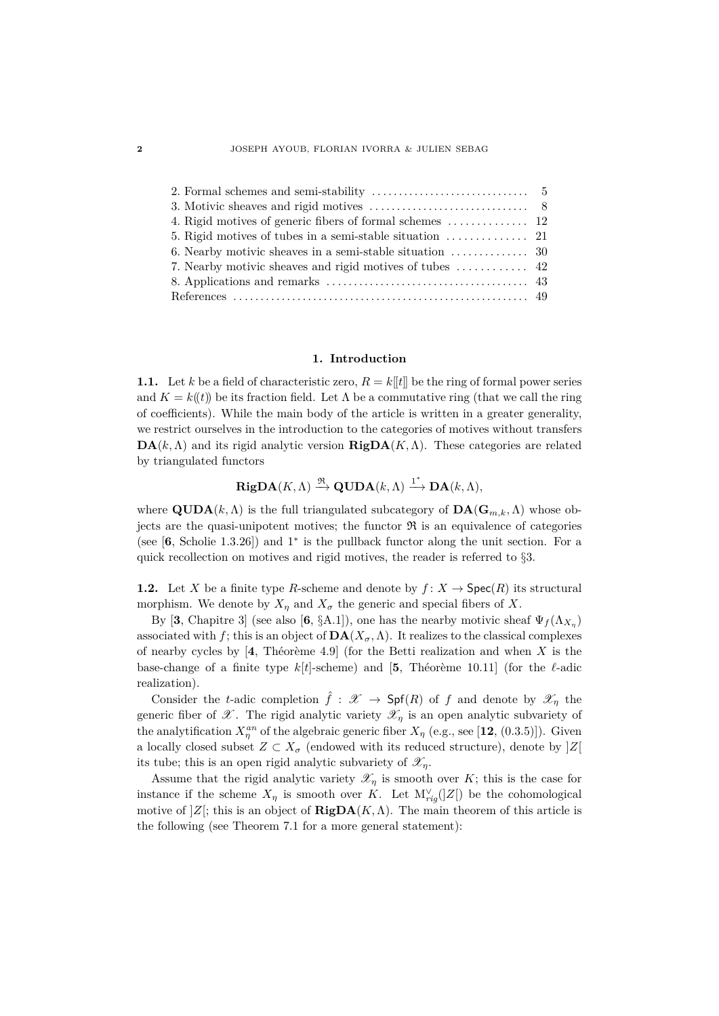| 5. Rigid motives of tubes in a semi-stable situation $\cdots \cdots \cdots \cdots$ 21    |  |
|------------------------------------------------------------------------------------------|--|
| 6. Nearby motivic sheaves in a semi-stable situation $\,\ldots\, \ldots\, \ldots\,$ . 30 |  |
|                                                                                          |  |
|                                                                                          |  |
|                                                                                          |  |

# **1. Introduction**

**1.1.** Let *k* be a field of characteristic zero,  $R = k[[t]]$  be the ring of formal power series and  $K = k(\ell)$  be its fraction field. Let  $\Lambda$  be a commutative ring (that we call the ring of coefficients). While the main body of the article is written in a greater generality, we restrict ourselves in the introduction to the categories of motives without transfers **DA**( $k, \Lambda$ ) and its rigid analytic version **RigDA**( $K, \Lambda$ ). These categories are related by triangulated functors

$$
\mathbf{RigDA}(K,\Lambda) \xrightarrow{\mathfrak{R}} \mathbf{QUDA}(k,\Lambda) \xrightarrow{1^*} \mathbf{DA}(k,\Lambda),
$$

where  $\text{QUDA}(k, \Lambda)$  is the full triangulated subcategory of  $\text{DA}(\mathbf{G}_{m,k}, \Lambda)$  whose objects are the quasi-unipotent motives; the functor  $\Re$  is an equivalence of categories (see [**6**, Scholie 1.3.26]) and 1<sup>∗</sup> is the pullback functor along the unit section. For a quick recollection on motives and rigid motives, the reader is referred to §3.

**1.2.** Let *X* be a finite type *R*-scheme and denote by  $f: X \to \text{Spec}(R)$  its structural morphism. We denote by  $X_n$  and  $X_\sigma$  the generic and special fibers of X.

By [3, Chapitre 3] (see also [6, §A.1]), one has the nearby motivic sheaf  $\Psi_f(\Lambda_{X_{\eta}})$ associated with *f*; this is an object of  $\mathbf{DA}(X_{\sigma}, \Lambda)$ . It realizes to the classical complexes of nearby cycles by  $[4,$  Théorème 4.9] (for the Betti realization and when X is the base-change of a finite type  $k[t]$ -scheme) and [5, Théorème 10.11] (for the  $\ell$ -adic realization).

Consider the *t*-adic completion  $\hat{f}: \mathscr{X} \to \mathsf{Spf}(R)$  of f and denote by  $\mathscr{X}_n$  the generic fiber of  $\mathscr X$ . The rigid analytic variety  $\mathscr X_\eta$  is an open analytic subvariety of the analytification  $X_{\eta}^{an}$  of the algebraic generic fiber  $X_{\eta}$  (e.g., see [12, (0.3.5)]). Given a locally closed subset  $Z \subset X_{\sigma}$  (endowed with its reduced structure), denote by  $|Z|$ its tube; this is an open rigid analytic subvariety of  $\mathscr{X}_n$ .

Assume that the rigid analytic variety  $\mathscr{X}_\eta$  is smooth over *K*; this is the case for instance if the scheme  $X_{\eta}$  is smooth over *K*. Let  $M_{rig}^{\vee}(|Z|)$  be the cohomological motive of  $|Z|$ ; this is an object of **RigDA**(*K, Λ*). The main theorem of this article is the following (see Theorem 7.1 for a more general statement):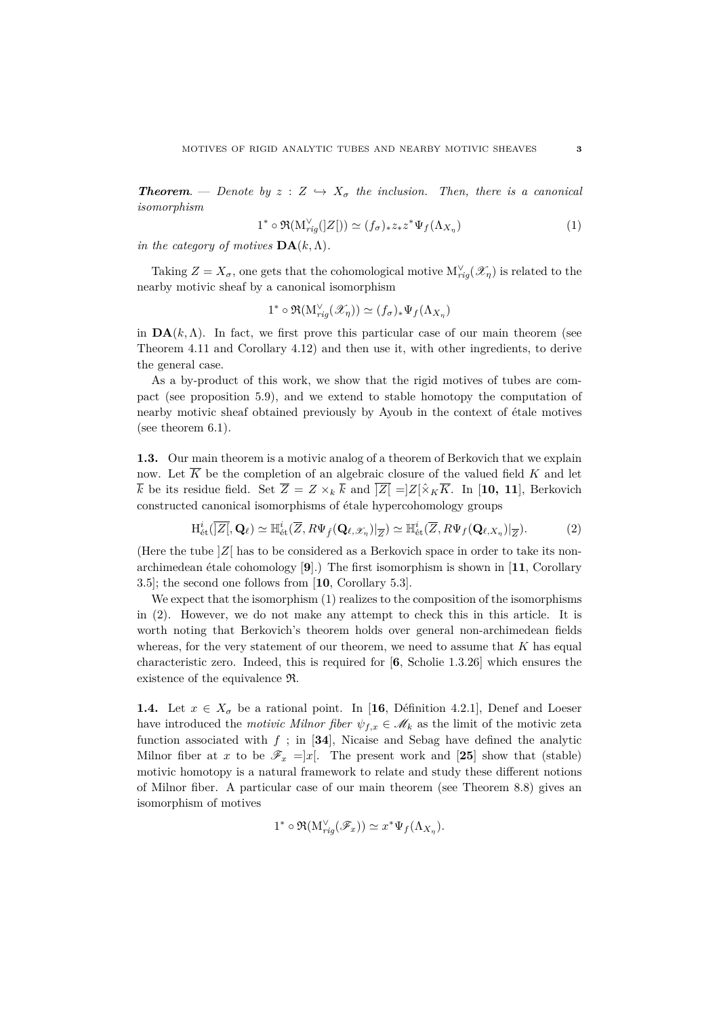*Theorem.* — *Denote by*  $z : Z \hookrightarrow X_{\sigma}$  *the inclusion. Then, there is a canonical isomorphism*

$$
1^* \circ \Re(M_{rig}^{\vee}(|Z|)) \simeq (f_{\sigma})_* z_* z^* \Psi_f(\Lambda_{X_{\eta}})
$$
\n
$$
(1)
$$

*in the category of motives*  $\mathbf{DA}(k,\Lambda)$ *.* 

Taking  $Z = X_{\sigma}$ , one gets that the cohomological motive  $M_{rig}^{\vee}(\mathscr{X}_{\eta})$  is related to the nearby motivic sheaf by a canonical isomorphism

$$
1^* \circ \Re(M_{rig}^{\vee}(\mathscr{X}_{\eta})) \simeq (f_{\sigma})_* \Psi_f(\Lambda_{X_{\eta}})
$$

in  $\mathbf{DA}(k,\Lambda)$ . In fact, we first prove this particular case of our main theorem (see Theorem 4.11 and Corollary 4.12) and then use it, with other ingredients, to derive the general case.

As a by-product of this work, we show that the rigid motives of tubes are compact (see proposition 5.9), and we extend to stable homotopy the computation of nearby motivic sheaf obtained previously by Ayoub in the context of étale motives (see theorem 6.1).

**1.3.** Our main theorem is a motivic analog of a theorem of Berkovich that we explain now. Let  $\overline{K}$  be the completion of an algebraic closure of the valued field  $K$  and let  $\overline{k}$  be its residue field. Set  $\overline{Z} = Z \times_k \overline{k}$  and  $\overline{|Z|} = Z[\hat{\times}_K \overline{K}]$ . In [10, 11], Berkovich constructed canonical isomorphisms of étale hypercohomology groups

$$
\mathrm{H}_{\mathrm{\acute{e}t}}^{i}(\overline{\mathbf{Z}}_{\cdot}^{\top},\mathbf{Q}_{\ell})\simeq \mathbb{H}_{\mathrm{\acute{e}t}}^{i}(\overline{Z},R\Psi_{\hat{f}}(\mathbf{Q}_{\ell,\mathscr{X}_{\eta}})|_{\overline{Z}})\simeq \mathbb{H}_{\mathrm{\acute{e}t}}^{i}(\overline{Z},R\Psi_{f}(\mathbf{Q}_{\ell,X_{\eta}})|_{\overline{Z}}). \tag{2}
$$

(Here the tube  $|Z|$  has to be considered as a Berkovich space in order to take its nonarchimedean étale cohomology [9].) The first isomorphism is shown in [11, Corollary 3.5]; the second one follows from [**10**, Corollary 5.3].

We expect that the isomorphism  $(1)$  realizes to the composition of the isomorphisms in (2). However, we do not make any attempt to check this in this article. It is worth noting that Berkovich's theorem holds over general non-archimedean fields whereas, for the very statement of our theorem, we need to assume that *K* has equal characteristic zero. Indeed, this is required for [**6**, Scholie 1.3.26] which ensures the existence of the equivalence R.

**1.4.** Let  $x \in X_{\sigma}$  be a rational point. In [16, Définition 4.2.1], Denef and Loeser have introduced the *motivic Milnor fiber*  $\psi_{f,x} \in \mathcal{M}_k$  as the limit of the motivic zeta function associated with  $f$ ; in [34], Nicaise and Sebag have defined the analytic Milnor fiber at *x* to be  $\mathscr{F}_x = |x|$ . The present work and [25] show that (stable) motivic homotopy is a natural framework to relate and study these different notions of Milnor fiber. A particular case of our main theorem (see Theorem 8.8) gives an isomorphism of motives

$$
1^* \circ \Re(M_{rig}^{\vee}(\mathscr{F}_x)) \simeq x^* \Psi_f(\Lambda_{X_\eta}).
$$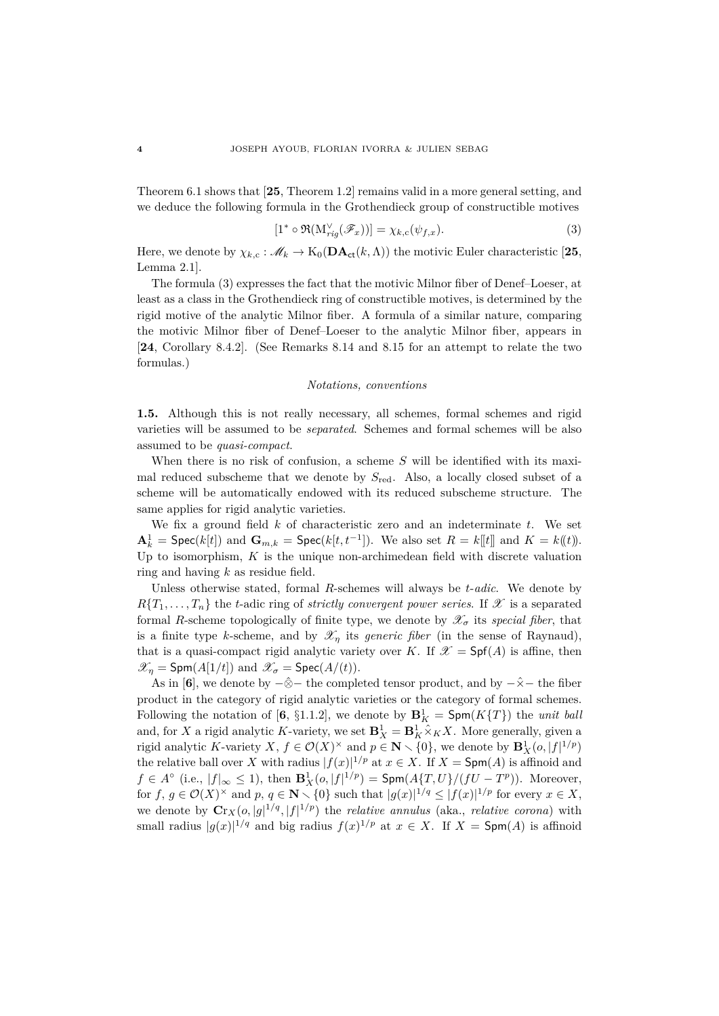Theorem 6.1 shows that [**25**, Theorem 1.2] remains valid in a more general setting, and we deduce the following formula in the Grothendieck group of constructible motives

$$
[1^* \circ \Re(\mathcal{M}_{rig}^{\vee}(\mathscr{F}_x))] = \chi_{k,c}(\psi_{f,x}). \tag{3}
$$

Here, we denote by  $\chi_{k,c} : \mathscr{M}_k \to K_0(\mathbf{DA}_{ct}(k,\Lambda))$  the motivic Euler characteristic [25, Lemma 2.1].

The formula (3) expresses the fact that the motivic Milnor fiber of Denef–Loeser, at least as a class in the Grothendieck ring of constructible motives, is determined by the rigid motive of the analytic Milnor fiber. A formula of a similar nature, comparing the motivic Milnor fiber of Denef–Loeser to the analytic Milnor fiber, appears in [**24**, Corollary 8.4.2]. (See Remarks 8.14 and 8.15 for an attempt to relate the two formulas.)

#### *Notations, conventions*

**1.5.** Although this is not really necessary, all schemes, formal schemes and rigid varieties will be assumed to be *separated*. Schemes and formal schemes will be also assumed to be *quasi-compact*.

When there is no risk of confusion, a scheme  $S$  will be identified with its maximal reduced subscheme that we denote by *S*red. Also, a locally closed subset of a scheme will be automatically endowed with its reduced subscheme structure. The same applies for rigid analytic varieties.

We fix a ground field *k* of characteristic zero and an indeterminate *t*. We set  $\mathbf{A}_k^1$  = Spec(*k*[*t*]) and  $\mathbf{G}_{m,k}$  = Spec(*k*[*t*, *t*<sup>-1</sup>]). We also set  $R = k[[t]]$  and  $K = k[(t)]$ . Up to isomorphism,  $K$  is the unique non-archimedean field with discrete valuation ring and having *k* as residue field.

Unless otherwise stated, formal *R*-schemes will always be *t*-*adic*. We denote by  $R\{T_1,\ldots,T_n\}$  the *t*-adic ring of *strictly convergent power series*. If X is a separated formal *R*-scheme topologically of finite type, we denote by  $\mathscr{X}_{\sigma}$  its *special fiber*, that is a finite type *k*-scheme, and by  $\mathscr{X}_\eta$  its *generic fiber* (in the sense of Raynaud), that is a quasi-compact rigid analytic variety over *K*. If  $\mathscr{X} = \mathsf{Spf}(A)$  is affine, then  $\mathscr{X}_n = \text{Spm}(A[1/t])$  and  $\mathscr{X}_\sigma = \text{Spec}(A/(t)).$ 

As in [6], we denote by  $-\hat{\otimes}-$  the completed tensor product, and by  $-\hat{\times}-$  the fiber product in the category of rigid analytic varieties or the category of formal schemes. Following the notation of  $[6, \S1.1.2]$ , we denote by  $\mathbf{B}^1_K = \mathsf{Spm}(K\{T\})$  the *unit ball* and, for *X* a rigid analytic *K*-variety, we set  $\mathbf{B}_X^1 = \mathbf{B}_K^1 \hat{\times}_K X$ . More generally, given a rigid analytic *K*-variety *X*,  $f \in \mathcal{O}(X)$ <sup> $\times$ </sup> and  $p \in \mathbb{N} \setminus \{0\}$ , we denote by  $\mathbf{B}_X^1(o, |f|^{1/p})$ the relative ball over *X* with radius  $|f(x)|^{1/p}$  at  $x \in X$ . If  $X = \mathsf{Spm}(A)$  is affinoid and *f* ∈ *A*° (i.e.,  $|f|_{\infty} \le 1$ ), then  $\mathbf{B}_X^1(o, |f|^{1/p}) = \mathsf{Spm}(A\{T, U\}/(fU - T^p)).$  Moreover, for  $f, g \in \mathcal{O}(X)^\times$  and  $p, q \in \mathbb{N} \setminus \{0\}$  such that  $|g(x)|^{1/q} \leq |f(x)|^{1/p}$  for every  $x \in X$ , we denote by  $\mathbf{C}r_X(o, |g|^{1/q}, |f|^{1/p})$  the *relative annulus* (aka., *relative corona*) with small radius  $|g(x)|^{1/q}$  and big radius  $f(x)^{1/p}$  at  $x \in X$ . If  $X = \text{Spm}(A)$  is affinoid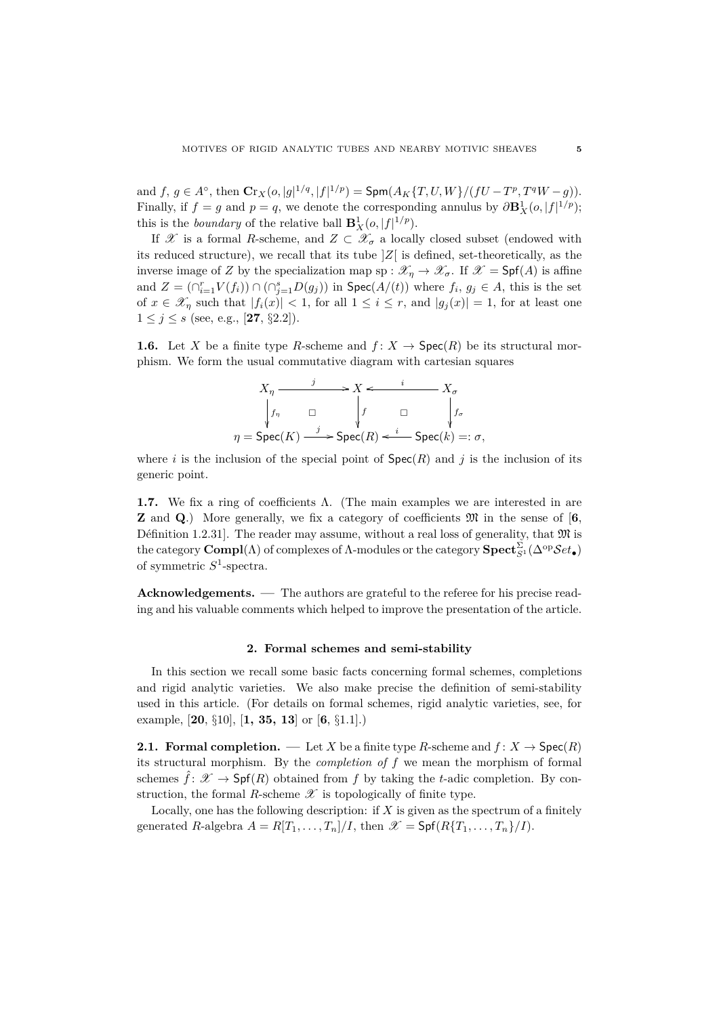and  $f, g \in A^{\circ}$ , then  $\mathbf{Cr}_X(o, |g|^{1/q}, |f|^{1/p}) = \mathsf{Spm}(A_K\{T, U, W\}/(fU - T^p, T^qW - g)).$ Finally, if  $f = g$  and  $p = q$ , we denote the corresponding annulus by  $\partial \mathbf{B}_{X}^{1}(o, |f|^{1/p})$ ; this is the *boundary* of the relative ball  $\mathbf{B}_X^1(o, |f|^{1/p})$ .

If X is a formal R-scheme, and  $Z \subset \mathcal{X}_{\sigma}$  a locally closed subset (endowed with its reduced structure), we recall that its tube ]*Z*[ is defined, set-theoretically, as the inverse image of *Z* by the specialization map sp :  $\mathscr{X}_{\eta} \to \mathscr{X}_{\sigma}$ . If  $\mathscr{X} = \mathsf{Spf}(A)$  is affine and  $Z = (\bigcap_{i=1}^{r} V(f_i)) \cap (\bigcap_{j=1}^{s} D(g_j))$  in  $\text{Spec}(A/(t))$  where  $f_i, g_j \in A$ , this is the set of  $x \in \mathscr{X}_\eta$  such that  $|f_i(x)| < 1$ , for all  $1 \leq i \leq r$ , and  $|g_j(x)| = 1$ , for at least one  $1 \leq j \leq s$  (see, e.g., [27, §2.2]).

**1.6.** Let *X* be a finite type *R*-scheme and  $f: X \to \text{Spec}(R)$  be its structural morphism. We form the usual commutative diagram with cartesian squares

$$
X_{\eta} \xrightarrow{j} X \xleftarrow{i} X_{\sigma}
$$
  
\n
$$
\begin{array}{ccc}\n & f_{\eta} & \Box & \downarrow f & \Box & \downarrow f_{\sigma} \\
\downarrow f_{\eta} & \Box & \downarrow f & \Box & \downarrow f_{\sigma} \\
\eta = \text{Spec}(K) \xrightarrow{j} \text{Spec}(R) \xleftarrow{i} \text{Spec}(k) =: \sigma,\n\end{array}
$$

where *i* is the inclusion of the special point of  $Spec(R)$  and *j* is the inclusion of its generic point.

**1.7.** We fix a ring of coefficients Λ. (The main examples we are interested in are **Z** and **Q**.) More generally, we fix a category of coefficients M in the sense of [**6**, Définition 1.2.31]. The reader may assume, without a real loss of generality, that  $\mathfrak{M}$  is the category  $\bf{Compl}(\Lambda)$  of complexes of  $\Lambda$ -modules or the category  $\bf{Spect}_{S^1}^{\Sigma}(\Delta^{\rm op}\mathcal Set_\bullet)$ of symmetric *S* 1 -spectra.

**Acknowledgements. —** The authors are grateful to the referee for his precise reading and his valuable comments which helped to improve the presentation of the article.

#### **2. Formal schemes and semi-stability**

In this section we recall some basic facts concerning formal schemes, completions and rigid analytic varieties. We also make precise the definition of semi-stability used in this article. (For details on formal schemes, rigid analytic varieties, see, for example, [**20**, §10], [**1, 35, 13**] or [**6**, §1.1].)

**2.1. Formal completion.** — Let *X* be a finite type *R*-scheme and  $f: X \to \text{Spec}(R)$ its structural morphism. By the *completion of f* we mean the morphism of formal schemes  $\hat{f}$ :  $\mathscr{X} \to \mathsf{Spf}(R)$  obtained from f by taking the *t*-adic completion. By construction, the formal *R*-scheme  $\mathscr X$  is topologically of finite type.

Locally, one has the following description: if  $X$  is given as the spectrum of a finitely generated *R*-algebra  $A = R[T_1, \ldots, T_n]/I$ , then  $\mathscr{X} = \text{Spf}(R\{T_1, \ldots, T_n\}/I)$ .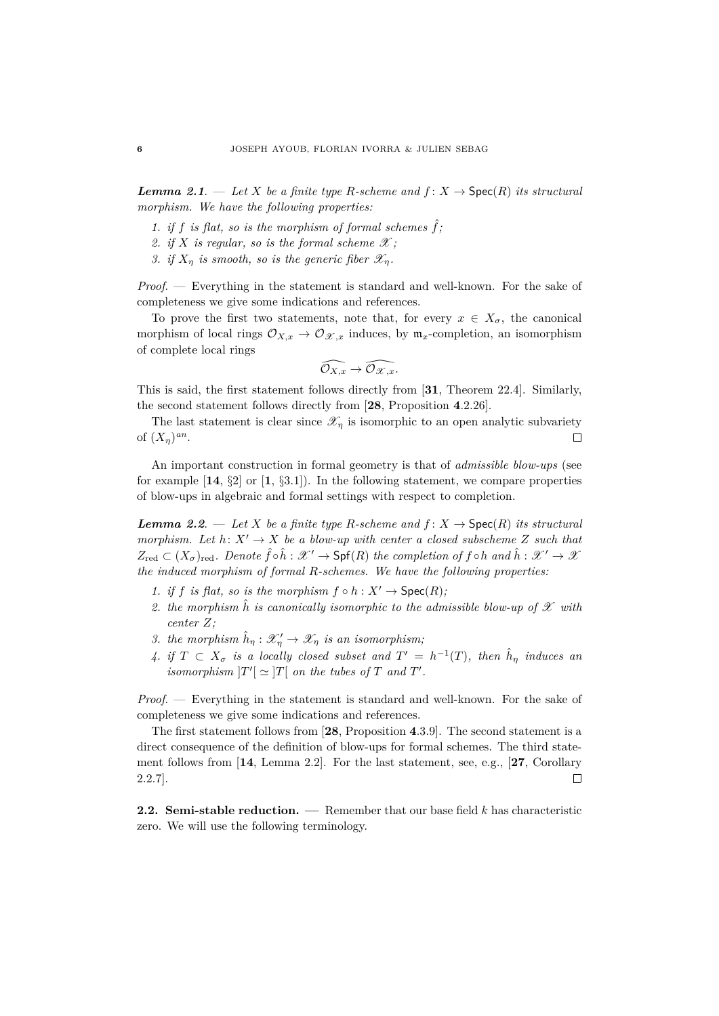*Lemma 2.1.* — Let *X* be a finite type *R*-scheme and  $f: X \rightarrow \text{Spec}(R)$  its structural *morphism. We have the following properties:*

- 1. if f is flat, so is the morphism of formal schemes  $\hat{f}$ ;
- 2. if *X* is regular, so is the formal scheme  $\mathscr{X}$ ;
- *3. if*  $X_n$  *is smooth, so is the generic fiber*  $\mathscr{X}_n$ *.*

*Proof*. — Everything in the statement is standard and well-known. For the sake of completeness we give some indications and references.

To prove the first two statements, note that, for every  $x \in X_{\sigma}$ , the canonical morphism of local rings  $\mathcal{O}_{X,x} \to \mathcal{O}_{\mathcal{X},x}$  induces, by  $\mathfrak{m}_x$ -completion, an isomorphism of complete local rings

$$
\widehat{\mathcal{O}_{X,x}}\to \widehat{\mathcal{O}_{\mathscr{X},x}}.
$$

This is said, the first statement follows directly from [**31**, Theorem 22.4]. Similarly, the second statement follows directly from [**28**, Proposition **4**.2.26].

The last statement is clear since  $\mathscr{X}_n$  is isomorphic to an open analytic subvariety of  $(X_{\eta})^{an}$ .  $\Box$ 

An important construction in formal geometry is that of *admissible blow-ups* (see for example  $\begin{bmatrix} 14, \S2 \end{bmatrix}$  or  $\begin{bmatrix} 1, \S3.1 \end{bmatrix}$ . In the following statement, we compare properties of blow-ups in algebraic and formal settings with respect to completion.

*Lemma 2.2.* — Let *X* be a finite type R-scheme and  $f: X \rightarrow \text{Spec}(R)$  its structural *morphism.* Let  $h: X' \to X$  be a blow-up with center a closed subscheme Z such that  $Z_{\text{red}} \subset (X_{\sigma})_{\text{red}}$ . Denote  $\hat{f} \circ \hat{h} : \mathscr{X}' \to \text{Spf}(R)$  the completion of  $f \circ h$  and  $\hat{h} : \mathscr{X}' \to \mathscr{X}$ *the induced morphism of formal R-schemes. We have the following properties:*

- *1.* if *f* is flat, so is the morphism  $f \circ h : X' \to \text{Spec}(R)$ ;
- 2. the morphism  $\hat{h}$  is canonically isomorphic to the admissible blow-up of  $\mathscr X$  with *center Z;*
- *3. the morphism*  $\hat{h}_{\eta}: \mathscr{X}'_{\eta} \to \mathscr{X}_{\eta}$  *is an isomorphism*;
- 4. if  $T \subset X_{\sigma}$  is a locally closed subset and  $T' = h^{-1}(T)$ , then  $\hat{h}_{\eta}$  induces an *isomorphism*  $|T'| \simeq |T|$  *on the tubes of T and T'*.

*Proof*. — Everything in the statement is standard and well-known. For the sake of completeness we give some indications and references.

The first statement follows from [**28**, Proposition **4**.3.9]. The second statement is a direct consequence of the definition of blow-ups for formal schemes. The third statement follows from [**14**, Lemma 2.2]. For the last statement, see, e.g., [**27**, Corollary 2.2.7].  $\Box$ 

**2.2. Semi-stable reduction. —** Remember that our base field *k* has characteristic zero. We will use the following terminology.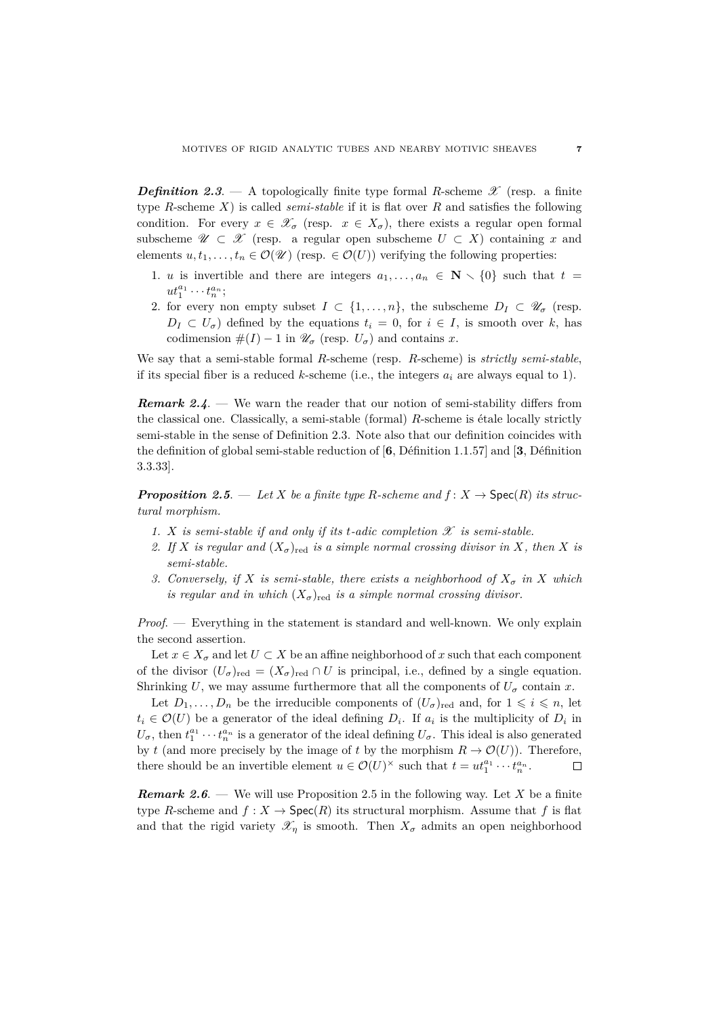*Definition 2.3.* — A topologically finite type formal *R*-scheme  $\mathscr{X}$  (resp. a finite type *R*-scheme *X*) is called *semi-stable* if it is flat over *R* and satisfies the following condition. For every  $x \in \mathscr{X}_{\sigma}$  (resp.  $x \in X_{\sigma}$ ), there exists a regular open formal subscheme  $\mathscr{U} \subset \mathscr{X}$  (resp. a regular open subscheme  $U \subset X$ ) containing x and elements  $u, t_1, \ldots, t_n \in \mathcal{O}(\mathcal{U})$  (resp.  $\in \mathcal{O}(U)$ ) verifying the following properties:

- 1. *u* is invertible and there are integers  $a_1, \ldots, a_n \in \mathbb{N} \setminus \{0\}$  such that  $t =$  $ut_1^{a_1} \cdots t_n^{a_n};$
- 2. for every non empty subset  $I \subset \{1, \ldots, n\}$ , the subscheme  $D_I \subset \mathscr{U}_{\sigma}$  (resp.  $D_I \subset U_\sigma$  defined by the equations  $t_i = 0$ , for  $i \in I$ , is smooth over *k*, has codimension  $\#(I) - 1$  in  $\mathscr{U}_{\sigma}$  (resp.  $U_{\sigma}$ ) and contains *x*.

We say that a semi-stable formal *R*-scheme (resp. *R*-scheme) is *strictly semi-stable*, if its special fiber is a reduced *k*-scheme (i.e., the integers  $a_i$  are always equal to 1).

*Remark 2.4.* — We warn the reader that our notion of semi-stability differs from the classical one. Classically, a semi-stable (formal)  $R$ -scheme is étale locally strictly semi-stable in the sense of Definition 2.3. Note also that our definition coincides with the definition of global semi-stable reduction of  $[6,$  Définition 1.1.57] and  $[3,$  Définition 3.3.33].

*Proposition 2.5.* — Let *X* be a finite type *R*-scheme and  $f: X \to \text{Spec}(R)$  its struc*tural morphism.*

- 1. *X* is semi-stable if and only if its *t*-adic completion  $\mathscr X$  is semi-stable.
- 2. If *X* is regular and  $(X_{\sigma})_{\text{red}}$  is a simple normal crossing divisor in X, then X is *semi-stable.*
- *3. Conversely, if X is semi-stable, there exists a neighborhood of X<sup>σ</sup> in X which is regular and in which*  $(X_{\sigma})_{\text{red}}$  *is a simple normal crossing divisor.*

*Proof*. — Everything in the statement is standard and well-known. We only explain the second assertion.

Let  $x \in X_{\sigma}$  and let  $U \subset X$  be an affine neighborhood of x such that each component of the divisor  $(U_{\sigma})_{\text{red}} = (X_{\sigma})_{\text{red}} \cap U$  is principal, i.e., defined by a single equation. Shrinking *U*, we may assume furthermore that all the components of  $U_{\sigma}$  contain *x*.

Let  $D_1, \ldots, D_n$  be the irreducible components of  $(U_{\sigma})_{\text{red}}$  and, for  $1 \leqslant i \leqslant n$ , let  $t_i \in \mathcal{O}(U)$  be a generator of the ideal defining  $D_i$ . If  $a_i$  is the multiplicity of  $D_i$  in  $U_{\sigma}$ , then  $t_1^{a_1} \cdots t_n^{a_n}$  is a generator of the ideal defining  $U_{\sigma}$ . This ideal is also generated by *t* (and more precisely by the image of *t* by the morphism  $R \to \mathcal{O}(U)$ ). Therefore, there should be an invertible element  $u \in \mathcal{O}(U)^\times$  such that  $t = ut_1^{a_1} \cdots t_n^{a_n}$ .  $\Box$ 

*Remark 2.6*. — We will use Proposition 2.5 in the following way. Let *X* be a finite type *R*-scheme and  $f: X \to \text{Spec}(R)$  its structural morphism. Assume that f is flat and that the rigid variety  $\mathscr{X}_n$  is smooth. Then  $X_\sigma$  admits an open neighborhood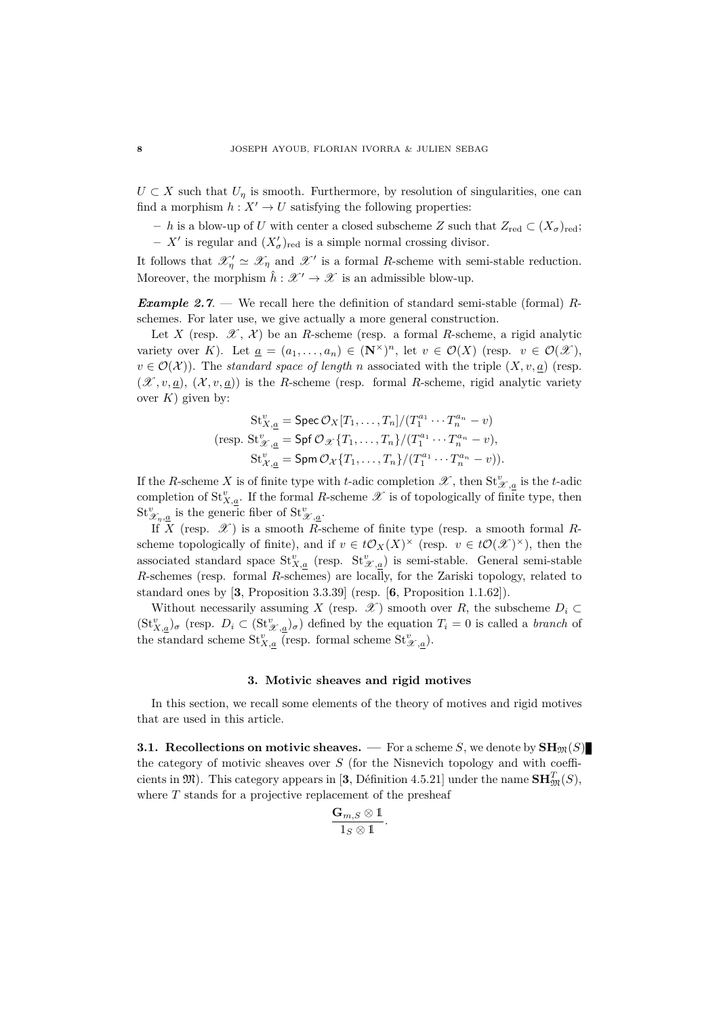$U \subset X$  such that  $U_n$  is smooth. Furthermore, by resolution of singularities, one can find a morphism  $h: X' \to U$  satisfying the following properties:

 $− h$  is a blow-up of *U* with center a closed subscheme *Z* such that  $Z_{red} \subset (X_{\sigma})_{red}$ ;  $- X'$  is regular and  $(X'_{\sigma})_{\text{red}}$  is a simple normal crossing divisor.

It follows that  $\mathscr{X}'_{\eta} \simeq \mathscr{X}_{\eta}$  and  $\mathscr{X}'$  is a formal *R*-scheme with semi-stable reduction. Moreover, the morphism  $\hat{h}: \mathscr{X}' \to \mathscr{X}$  is an admissible blow-up.

*Example 2.7*. — We recall here the definition of standard semi-stable (formal) *R*schemes. For later use, we give actually a more general construction.

Let *X* (resp.  $\mathscr{X}, \mathscr{X}$ ) be an *R*-scheme (resp. a formal *R*-scheme, a rigid analytic variety over *K*). Let  $\underline{a} = (a_1, \ldots, a_n) \in (\mathbb{N}^\times)^n$ , let  $v \in \mathcal{O}(X)$  (resp.  $v \in \mathcal{O}(\mathcal{X})$ ),  $v \in \mathcal{O}(\mathcal{X})$ ). The *standard space of length n* associated with the triple  $(X, v, a)$  (resp.  $(\mathscr{X}, v, a), (\mathscr{X}, v, a)$  is the *R*-scheme (resp. formal *R*-scheme, rigid analytic variety over  $K$ ) given by:

$$
\operatorname{St}_{X,\underline{a}}^v = \operatorname{Spec} \mathcal{O}_X[T_1,\ldots,T_n]/(T_1^{a_1}\cdots T_n^{a_n} - v)
$$
  
(resp. 
$$
\operatorname{St}_{\mathcal{X},\underline{a}}^v = \operatorname{Spf} \mathcal{O}_{\mathcal{X}}\{T_1,\ldots,T_n\}/(T_1^{a_1}\cdots T_n^{a_n} - v),
$$

$$
\operatorname{St}_{\mathcal{X},\underline{a}}^v = \operatorname{Spm} \mathcal{O}_{\mathcal{X}}\{T_1,\ldots,T_n\}/(T_1^{a_1}\cdots T_n^{a_n} - v)).
$$

If the *R*-scheme *X* is of finite type with *t*-adic completion  $\mathscr{X}$ , then  $St_{\mathscr{X},\underline{a}}^v$  is the *t*-adic completion of  $St_{X,\underline{a}}^v$ . If the formal *R*-scheme  $\mathscr X$  is of topologically of finite type, then  $\mathop{\mathrm{St}}\nolimits^v_{\mathscr{X}_n,\underline{a}}$  is the generic fiber of  $\mathop{\mathrm{St}}\nolimits^v_{\mathscr{X},\underline{a}}$ .

If  $X$  (resp.  $\mathscr{X}$ ) is a smooth *R*-scheme of finite type (resp. a smooth formal *R*scheme topologically of finite), and if  $v \in t\mathcal{O}_X(X)^\times$  (resp.  $v \in t\mathcal{O}(\mathcal{X})^\times$ ), then the associated standard space  $St_{X,\underline{a}}^v$  (resp.  $St_{\mathscr{X},\underline{a}}^v$ ) is semi-stable. General semi-stable *R*-schemes (resp. formal *R*-schemes) are locally, for the Zariski topology, related to standard ones by [**3**, Proposition 3.3.39] (resp. [**6**, Proposition 1.1.62]).

Without necessarily assuming *X* (resp.  $\mathscr X$ ) smooth over *R*, the subscheme  $D_i \subset$  $(\text{St}_{X,\underline{a}}^v)_{\sigma}$  (resp.  $D_i \subset (\text{St}_{\mathscr{X},\underline{a}}^v)_{\sigma}$ ) defined by the equation  $T_i = 0$  is called a *branch* of the standard scheme  $\mathrm{St}_{X,\underline{a}}^v$  (resp. formal scheme  $\mathrm{St}_{X,\underline{a}}^v$ ).

## **3. Motivic sheaves and rigid motives**

In this section, we recall some elements of the theory of motives and rigid motives that are used in this article.

**3.1. Recollections on motivic sheaves.** — For a scheme *S*, we denote by  $\text{SH}_{\mathfrak{M}}(S)$ the category of motivic sheaves over *S* (for the Nisnevich topology and with coefficients in  $\mathfrak{M}$ ). This category appears in [3, Définition 4.5.21] under the name  $\mathbf{SH}_{\mathfrak{M}}^T(S)$ , where *T* stands for a projective replacement of the presheaf

$$
\frac{\mathbf{G}_{m,S}\otimes \mathbb{1}}{1_S\otimes \mathbb{1}}.
$$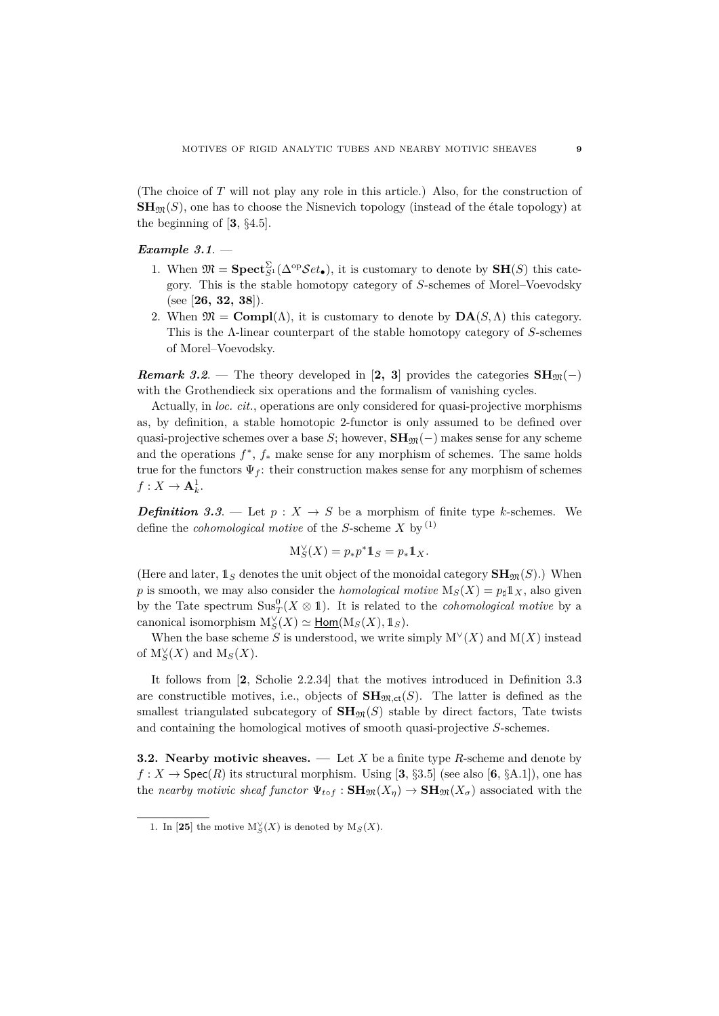(The choice of *T* will not play any role in this article.) Also, for the construction of  $\mathbf{SH}_{\mathfrak{M}}(S)$ , one has to choose the Nisnevich topology (instead of the étale topology) at the beginning of [**3**, §4.5].

# *Example 3.1*. —

- 1. When  $\mathfrak{M} = \textbf{Spect}_{S}^{\Sigma}(\Delta^{\text{op}}\mathcal{S}et_{\bullet}),$  it is customary to denote by  $\textbf{SH}(S)$  this category. This is the stable homotopy category of *S*-schemes of Morel–Voevodsky (see [**26, 32, 38**]).
- 2. When  $\mathfrak{M} = \text{Compl}(\Lambda)$ , it is customary to denote by  $\text{DA}(S,\Lambda)$  this category. This is the Λ-linear counterpart of the stable homotopy category of *S*-schemes of Morel–Voevodsky.

*Remark 3.2.* — The theory developed in [2, 3] provides the categories  $SH_{\mathfrak{M}}(-)$ with the Grothendieck six operations and the formalism of vanishing cycles.

Actually, in *loc. cit.*, operations are only considered for quasi-projective morphisms as, by definition, a stable homotopic 2-functor is only assumed to be defined over quasi-projective schemes over a base *S*; however,  $\mathbf{SH}_{\mathfrak{M}}(-)$  makes sense for any scheme and the operations  $f^*$ ,  $f_*$  make sense for any morphism of schemes. The same holds true for the functors  $\Psi_f$ : their construction makes sense for any morphism of schemes  $f: X \to \mathbf{A}^1_k$ .

*Definition 3.3.* — Let  $p: X \rightarrow S$  be a morphism of finite type *k*-schemes. We define the *cohomological motive* of the *S*-scheme *X* by (1)

$$
\mathcal{M}_S^\vee(X) = p_* p^* 1\!\!1_S = p_* 1\!\!1_X.
$$

(Here and later,  $\mathbb{1}_S$  denotes the unit object of the monoidal category  $\mathbf{SH}_{\mathfrak{M}}(S)$ .) When *p* is smooth, we may also consider the *homological motive*  $M_S(X) = p_\sharp 1\!\!\!1_X$ , also given by the Tate spectrum  $\text{Sus}_T^0(X \otimes 1)$ . It is related to the *cohomological motive* by a  $\text{canonical isomorphism } M_S^{\vee}(X) \simeq \underline{\text{Hom}}(\mathcal{M}_S(X), \mathbb{1}_S).$ 

When the base scheme *S* is understood, we write simply  $M^{\vee}(X)$  and  $M(X)$  instead of  $M_S^{\vee}(X)$  and  $M_S(X)$ .

It follows from [**2**, Scholie 2.2.34] that the motives introduced in Definition 3.3 are constructible motives, i.e., objects of  $SH_{\mathfrak{M},ct}(S)$ . The latter is defined as the smallest triangulated subcategory of  $\mathbf{SH}_{\mathfrak{M}}(S)$  stable by direct factors, Tate twists and containing the homological motives of smooth quasi-projective *S*-schemes.

**3.2. Nearby motivic sheaves. —** Let *X* be a finite type *R*-scheme and denote by  $f: X \to \text{Spec}(R)$  its structural morphism. Using [3, §3.5] (see also [6, §A.1]), one has the *nearby motivic sheaf functor*  $\Psi_{\text{tof}}$  :  $\mathbf{SH}_{\mathfrak{M}}(X_n) \to \mathbf{SH}_{\mathfrak{M}}(X_{\sigma})$  associated with the

<sup>1.</sup> In [25] the motive  $M_S^{\vee}(X)$  is denoted by  $M_S(X)$ .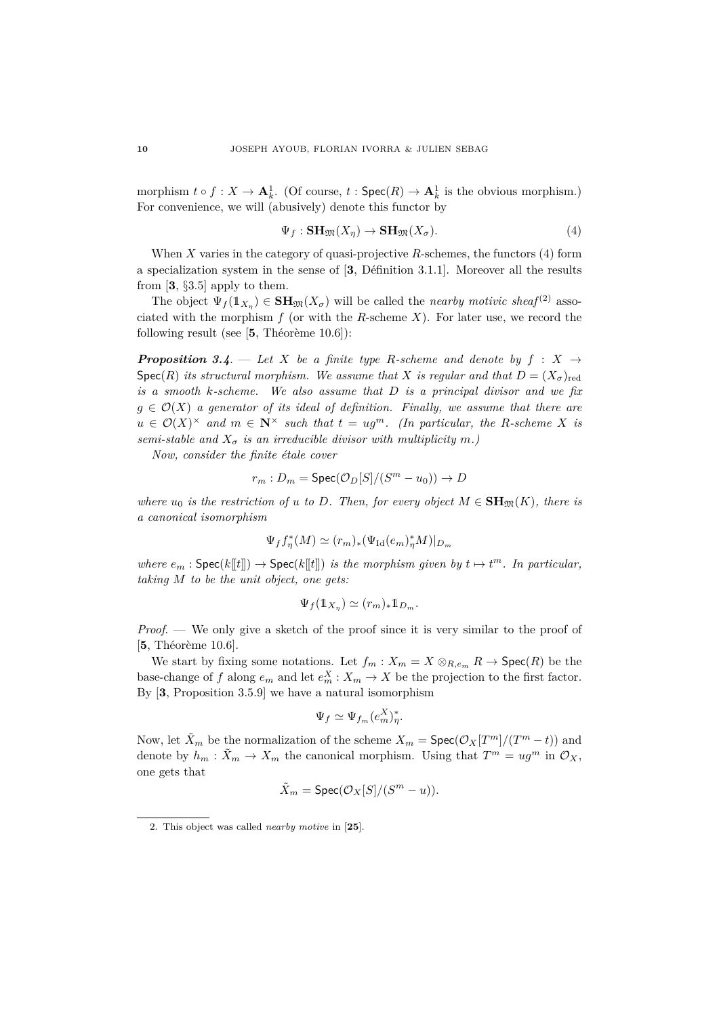morphism  $t \circ f : X \to \mathbf{A}^1_k$ . (Of course,  $t : \mathsf{Spec}(R) \to \mathbf{A}^1_k$  is the obvious morphism.) For convenience, we will (abusively) denote this functor by

$$
\Psi_f: \mathbf{SH}_{\mathfrak{M}}(X_\eta) \to \mathbf{SH}_{\mathfrak{M}}(X_\sigma). \tag{4}
$$

When *X* varies in the category of quasi-projective *R*-schemes, the functors (4) form a specialization system in the sense of  $[3,$  Définition 3.1.1]. Moreover all the results from [**3**, §3.5] apply to them.

The object  $\Psi_f(\mathbb{1}_{X_n}) \in \mathbf{SH}_{\mathfrak{M}}(X_\sigma)$  will be called the *nearby motivic sheaf*<sup>(2)</sup> associated with the morphism  $f$  (or with the  $R$ -scheme  $X$ ). For later use, we record the following result (see  $[5,$  Théorème 10.6]):

*Proposition 3.4.* — Let X be a finite type R-scheme and denote by  $f : X \rightarrow$ Spec(*R*) *its structural morphism. We assume that X is regular and that*  $D = (X_{\sigma})_{\text{red}}$ *is a smooth k-scheme. We also assume that D is a principal divisor and we fix*  $g \in \mathcal{O}(X)$  *a generator of its ideal of definition. Finally, we assume that there are*  $u \in \mathcal{O}(X)^\times$  and  $m \in \mathbb{N}^\times$  such that  $t = ug^m$ . (In particular, the R-scheme X is *semi-stable and*  $X_{\sigma}$  *is an irreducible divisor with multiplicity*  $m$ *.*)

*Now, consider the finite étale cover* 

$$
r_m: D_m = \text{Spec}(\mathcal{O}_D[S]/(S^m - u_0)) \to D
$$

*where*  $u_0$  *is the restriction of u to D. Then, for every object*  $M \in \mathbf{SH}_{\mathfrak{M}}(K)$ *, there is a canonical isomorphism*

$$
\Psi_f f_\eta^*(M) \simeq (r_m)_*(\Psi_{\mathrm{Id}}(e_m)_\eta^*M)|_{D_m}
$$

*where*  $e_m$  :  $\text{Spec}(k[[t]]) \to \text{Spec}(k[[t]])$  *is the morphism given by*  $t \mapsto t^m$ . In particular, *taking M to be the unit object, one gets:*

$$
\Psi_f(\mathbb{1}_{X_\eta}) \simeq (r_m)_* \mathbb{1}_{D_m}.
$$

*Proof*. — We only give a sketch of the proof since it is very similar to the proof of  $[5,$  Théorème 10.6].

We start by fixing some notations. Let  $f_m: X_m = X \otimes_{R,e_m} R \to \text{Spec}(R)$  be the base-change of *f* along  $e_m$  and let  $e_m^X : X_m \to X$  be the projection to the first factor. By [**3**, Proposition 3.5.9] we have a natural isomorphism

$$
\Psi_f \simeq \Psi_{f_m}(e_m^X)^*_{\eta}.
$$

Now, let  $\tilde{X}_m$  be the normalization of the scheme  $X_m = \textsf{Spec}(\mathcal{O}_X[T^m]/(T^m - t))$  and denote by  $h_m: \tilde{X}_m \to X_m$  the canonical morphism. Using that  $T^m = ug^m$  in  $\mathcal{O}_X$ , one gets that

$$
\tilde{X}_m = \operatorname{Spec}(\mathcal{O}_X[S]/(S^m - u)).
$$

<sup>2.</sup> This object was called *nearby motive* in [**25**].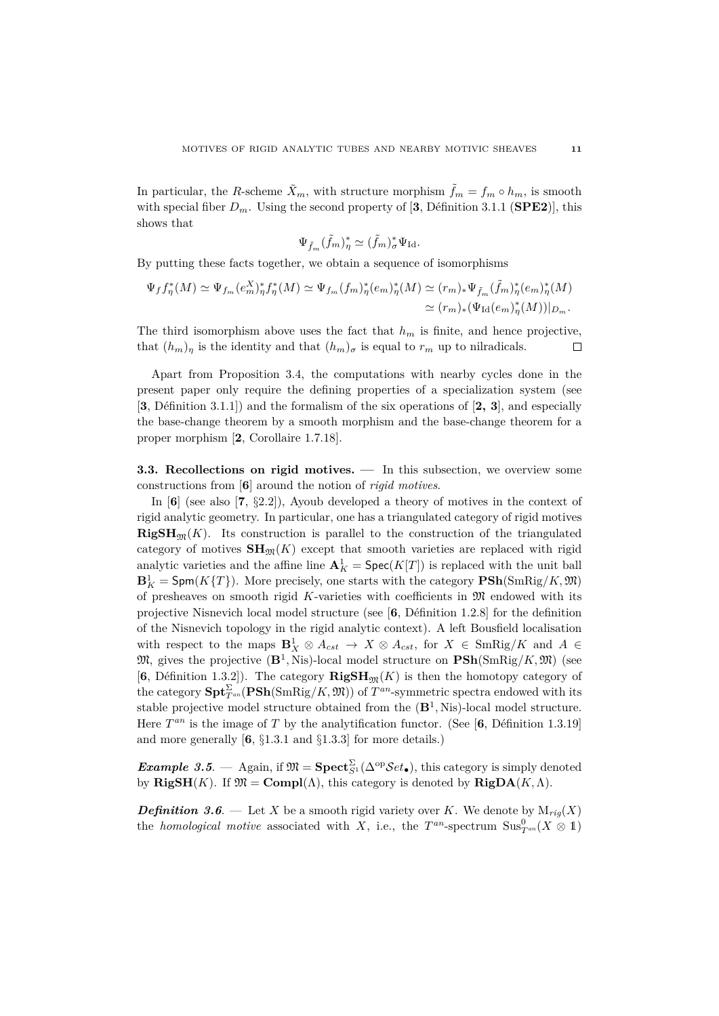In particular, the *R*-scheme  $\tilde{X}_m$ , with structure morphism  $\tilde{f}_m = f_m \circ h_m$ , is smooth with special fiber  $D_m$ . Using the second property of [3, Définition 3.1.1 (**SPE2**)], this shows that

$$
\Psi_{\tilde{f}_m}(\tilde{f}_m)^*_{\eta} \simeq (\tilde{f}_m)^*_{\sigma} \Psi_{\mathrm{Id}}.
$$

By putting these facts together, we obtain a sequence of isomorphisms

$$
\Psi_f f_{\eta}^*(M) \simeq \Psi_{f_m}(e_m^X)^*_{\eta} f_{\eta}^*(M) \simeq \Psi_{f_m}(f_m)^*_{\eta}(e_m)^*_{\eta}(M) \simeq (r_m)_* \Psi_{\tilde{f}_m}(\tilde{f}_m)^*_{\eta}(e_m)^*_{\eta}(M)
$$
  

$$
\simeq (r_m)_* (\Psi_{\mathrm{Id}}(e_m)^*_{\eta}(M))|_{D_m}.
$$

The third isomorphism above uses the fact that  $h_m$  is finite, and hence projective, that  $(h_m)_\eta$  is the identity and that  $(h_m)_\sigma$  is equal to  $r_m$  up to nilradicals.  $\Box$ 

Apart from Proposition 3.4, the computations with nearby cycles done in the present paper only require the defining properties of a specialization system (see [**3**, D´efinition 3.1.1]) and the formalism of the six operations of [**2, 3**], and especially the base-change theorem by a smooth morphism and the base-change theorem for a proper morphism [**2**, Corollaire 1.7.18].

**3.3. Recollections on rigid motives. —** In this subsection, we overview some constructions from [**6**] around the notion of *rigid motives*.

In [**6**] (see also [**7**, §2.2]), Ayoub developed a theory of motives in the context of rigid analytic geometry. In particular, one has a triangulated category of rigid motives  $\mathbf{RigSH}_{\mathfrak{M}}(K)$ . Its construction is parallel to the construction of the triangulated category of motives  $SH_{\mathfrak{M}}(K)$  except that smooth varieties are replaced with rigid analytic varieties and the affine line  $\mathbf{A}^1_K = \operatorname{Spec}(K[T])$  is replaced with the unit ball  $\mathbf{B}_K^1$  =  $\mathsf{Spm}(K\{T\})$ . More precisely, one starts with the category  $\mathbf{PSh}(\mathrm{SmRig}/K, \mathfrak{M})$ of presheaves on smooth rigid  $K$ -varieties with coefficients in  $\mathfrak M$  endowed with its projective Nisnevich local model structure (see [6, Définition 1.2.8] for the definition of the Nisnevich topology in the rigid analytic context). A left Bousfield localisation with respect to the maps  $\mathbf{B}_{X}^1 \otimes A_{cst} \to X \otimes A_{cst}$ , for  $X \in \text{SmRig}/K$  and  $A \in$  $\mathfrak{M}$ , gives the projective  $(\mathbf{B}^1, \text{Nis})$ -local model structure on  $\text{PSh}(\text{SmRig}/K, \mathfrak{M})$  (see [6, Définition 1.3.2]). The category  $\mathbf{RigSH}_{\mathfrak{M}}(K)$  is then the homotopy category of the category  $\textbf{Spt}_{T^{an}}^{\Sigma}(\textbf{PSh}(\text{SmRig}/K, \mathfrak{M}))$  of  $T^{an}$ -symmetric spectra endowed with its stable projective model structure obtained from the (**B**<sup>1</sup> *,* Nis)-local model structure. Here  $T^{an}$  is the image of  $T$  by the analytification functor. (See [6, Définition 1.3.19] and more generally [**6**, §1.3.1 and §1.3.3] for more details.)

*Example 3.5.* — Again, if  $\mathfrak{M} = \mathbf{Spect}_{S}^{\Sigma}(\Delta^{\mathrm{op}}\mathcal{S}et_{\bullet})$ , this category is simply denoted by **RigSH**(*K*). If  $\mathfrak{M} = \text{Compl}(\Lambda)$ , this category is denoted by **RigDA**(*K*,  $\Lambda$ ).

*Definition 3.6.* — Let *X* be a smooth rigid variety over *K*. We denote by  $M_{riq}(X)$ the *homological motive* associated with *X*, i.e., the  $T^{an}$ -spectrum  $\text{Sus}_{T^{an}}^0(X \otimes 1)$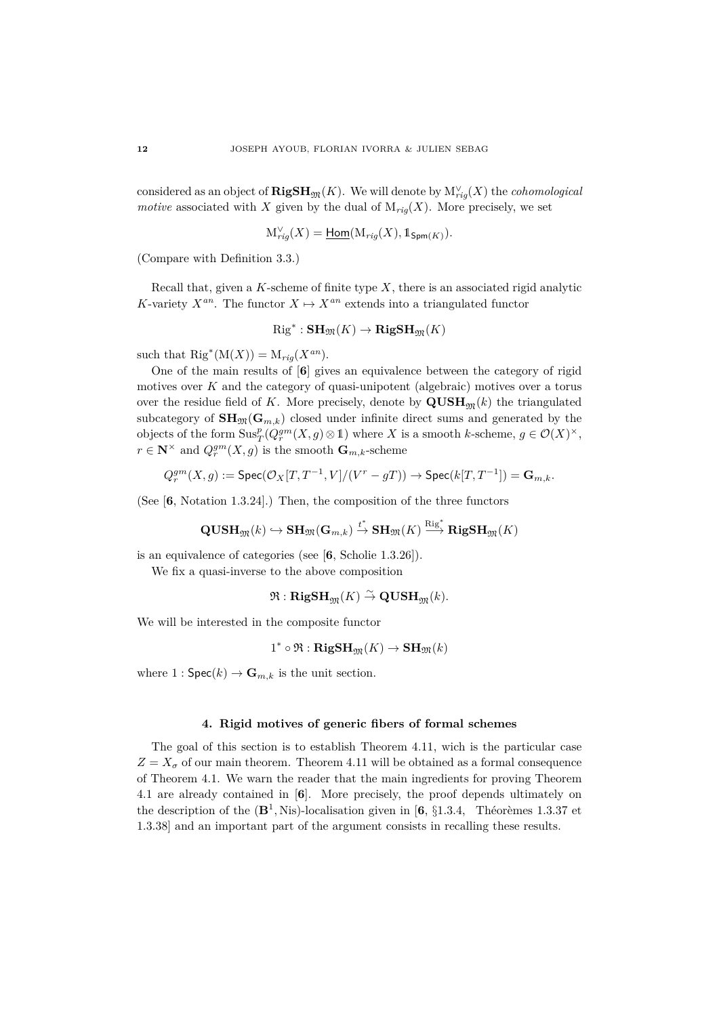considered as an object of  $\mathbf{RigSH}_{\mathfrak{M}}(K)$ . We will denote by  $\mathrm{M}_{rig}^{\vee}(X)$  the *cohomological motive* associated with *X* given by the dual of  $M_{riq}(X)$ . More precisely, we set

$$
\mathcal{M}_{rig}^{\vee}(X) = \underline{\mathsf{Hom}}(\mathcal{M}_{rig}(X), \mathbb{1}_{\mathsf{Spm}(K)}).
$$

(Compare with Definition 3.3.)

Recall that, given a *K*-scheme of finite type *X*, there is an associated rigid analytic *K*-variety  $X^{an}$ . The functor  $X \mapsto X^{an}$  extends into a triangulated functor

$$
{\rm Rig}^*: \mathbf{SH}_\mathfrak{M}(K) \to \mathbf{RigSH}_\mathfrak{M}(K)
$$

such that  $\text{Rig}^*(\text{M}(X)) = \text{M}_{rig}(X^{an}).$ 

One of the main results of [**6**] gives an equivalence between the category of rigid motives over *K* and the category of quasi-unipotent (algebraic) motives over a torus over the residue field of K. More precisely, denote by  $\mathbf{QUSH}_{m}(k)$  the triangulated subcategory of  $\text{SH}_{\mathfrak{M}}(\mathbf{G}_{m,k})$  closed under infinite direct sums and generated by the objects of the form  $\text{Sus}_T^p(Q_r^{gm}(X,g) \otimes \mathbb{1})$  where *X* is a smooth *k*-scheme,  $g \in \mathcal{O}(X)^\times$ ,  $r \in \mathbb{N}^\times$  and  $Q_r^{gm}(X, g)$  is the smooth  $\mathbf{G}_{m,k}$ -scheme

$$
Q_r^{gm}(X,g):=\mathrm{Spec}(\mathcal{O}_X[T,T^{-1},V]/(V^r-gT))\rightarrow \mathrm{Spec}(k[T,T^{-1}])=\mathbf{G}_{m,k}.
$$

(See [**6**, Notation 1.3.24].) Then, the composition of the three functors

$$
\mathbf{QUSH}_\mathfrak{M}(k) \hookrightarrow \mathbf{SH}_\mathfrak{M}(\mathbf{G}_{m,k}) \stackrel{t^*}{\rightarrow} \mathbf{SH}_\mathfrak{M}(K) \stackrel{\mathrm{Rig}^*}{\longrightarrow} \mathbf{RigSH}_\mathfrak{M}(K)
$$

is an equivalence of categories (see [**6**, Scholie 1.3.26]).

We fix a quasi-inverse to the above composition

 $\mathfrak{R} : \textbf{RigSH}_{\mathfrak{M}}(K) \overset{\sim}{\to} \textbf{QUSH}_{\mathfrak{M}}(k).$ 

We will be interested in the composite functor

$$
1^* \circ \Re : \mathbf{RigSH}_{\mathfrak{M}}(K) \to \mathbf{SH}_{\mathfrak{M}}(k)
$$

where  $1: \mathsf{Spec}(k) \to \mathbf{G}_{m,k}$  is the unit section.

# **4. Rigid motives of generic fibers of formal schemes**

The goal of this section is to establish Theorem 4.11, wich is the particular case  $Z = X_{\sigma}$  of our main theorem. Theorem 4.11 will be obtained as a formal consequence of Theorem 4.1. We warn the reader that the main ingredients for proving Theorem 4.1 are already contained in [**6**]. More precisely, the proof depends ultimately on the description of the  $(\mathbf{B}^1, \text{Nis})$ -localisation given in  $[6, \S1.3.4, \text{Theooremes } 1.3.37 \text{ et }$ 1.3.38] and an important part of the argument consists in recalling these results.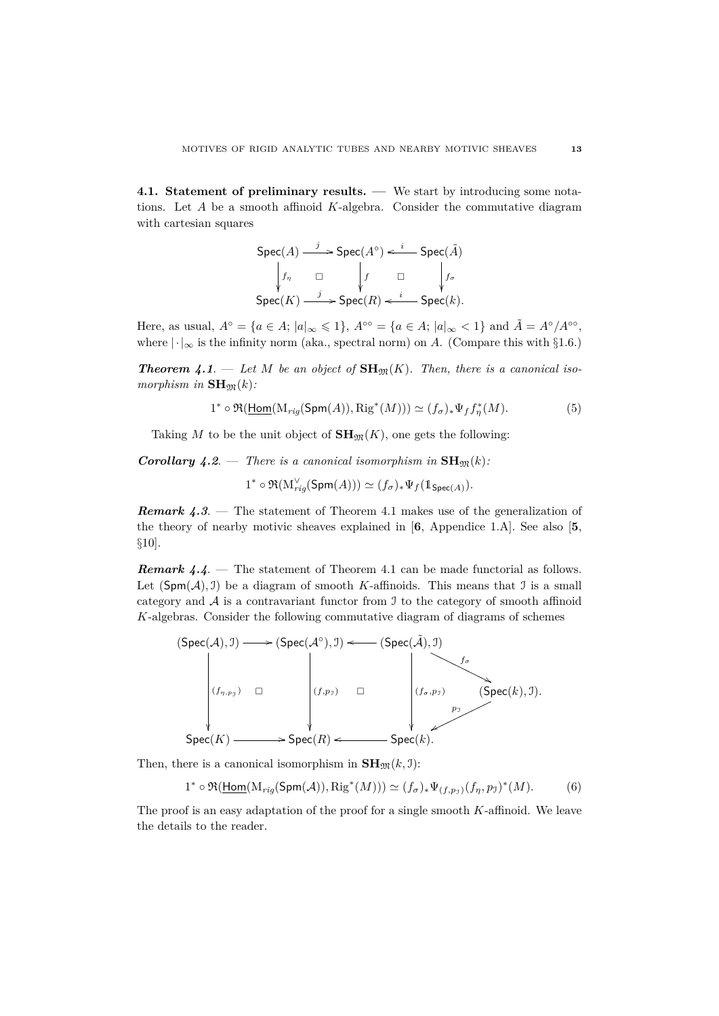**4.1. Statement of preliminary results. —** We start by introducing some notations. Let *A* be a smooth affinoid *K*-algebra. Consider the commutative diagram with cartesian squares

$$
\begin{array}{ccc}\n\text{Spec}(A) & \xrightarrow{j} & \text{Spec}(A^{\circ}) & \xleftarrow{i} & \text{Spec}(\tilde{A}) \\
\downarrow f_{\eta} & \Box & \downarrow f & \Box & \downarrow f_{\sigma} \\
\text{Spec}(K) & \xrightarrow{j} & \text{Spec}(R) & \xleftarrow{i} & \text{Spec}(k).\n\end{array}
$$

Here, as usual,  $A^{\circ} = \{a \in A; |a|_{\infty} \leq 1\}$ ,  $A^{\circ} \circ = \{a \in A; |a|_{\infty} < 1\}$  and  $\tilde{A} = A^{\circ}/A^{\circ} \circ$ , where  $|\cdot|_{\infty}$  is the infinity norm (aka., spectral norm) on *A*. (Compare this with §1.6.)

**Theorem 4.1**. — Let M be an object of  $\text{SH}_{\mathfrak{M}}(K)$ . Then, there is a canonical iso $morphism in **SH**<sub>m</sub>(k)$ :

$$
1^* \circ \Re(\underline{\text{Hom}}(\text{M}_{rig}(\text{Spm}(A)), \text{Rig}^*(M))) \simeq (f_\sigma)_* \Psi_f f_\eta^*(M). \tag{5}
$$

Taking *M* to be the unit object of  $\mathbf{SH}_{\mathfrak{M}}(K)$ , one gets the following:

*Corollary 4.2.* — *There is a canonical isomorphism in*  $\text{SH}_{\mathfrak{M}}(k)$ *:* 

 $1^* \circ \Re(\mathrm{M}_{rig}^{\vee}(\mathsf{Spm}(A))) \simeq (f_{\sigma})_* \Psi_f(\mathbb{1}_{\mathsf{Spec}(A)}).$ 

*Remark 4.3.* — The statement of Theorem 4.1 makes use of the generalization of the theory of nearby motivic sheaves explained in [**6**, Appendice 1.A]. See also [**5**, §10].

*Remark 4.4.* — The statement of Theorem 4.1 can be made functorial as follows. Let  $(Spm(A), 1)$  be a diagram of smooth *K*-affinoids. This means that 1 is a small category and  $A$  is a contravariant functor from  $I$  to the category of smooth affinoid *K*-algebras. Consider the following commutative diagram of diagrams of schemes



Then, there is a canonical isomorphism in  $\text{SH}_{\mathfrak{M}}(k, \mathfrak{I})$ :

$$
1^* \circ \Re(\underline{\text{Hom}}(\mathrm{M}_{rig}(\text{Spm}(\mathcal{A})), \mathrm{Rig}^*(M))) \simeq (f_\sigma)_* \Psi_{(f, p_\mathcal{I})}(f_\eta, p_\mathcal{I})^*(M). \tag{6}
$$

The proof is an easy adaptation of the proof for a single smooth *K*-affinoid. We leave the details to the reader.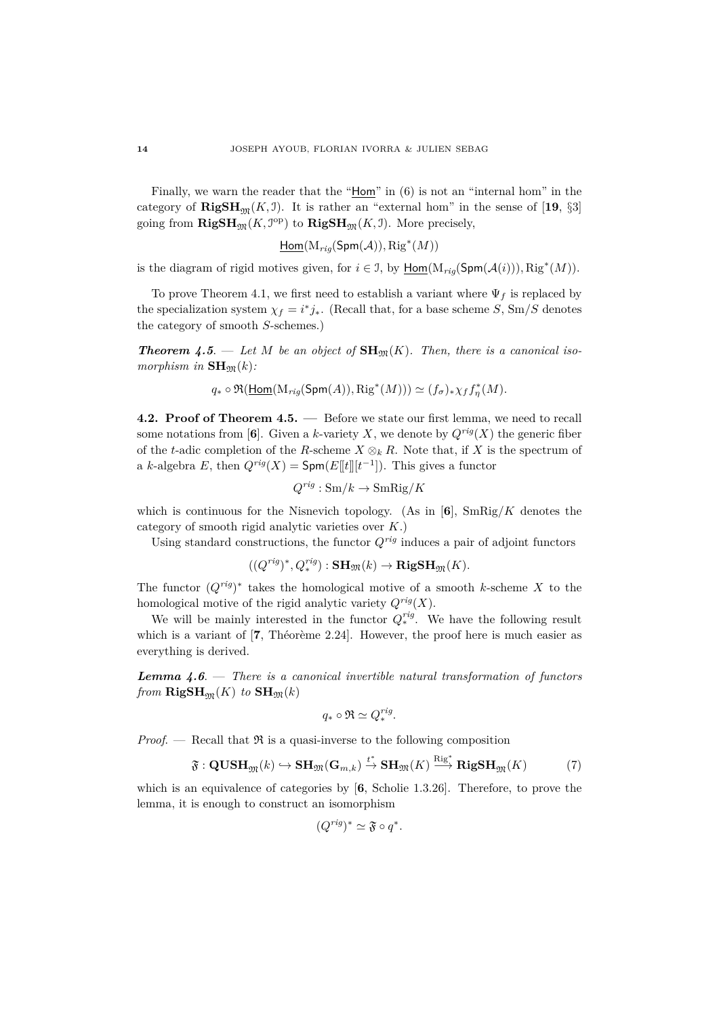Finally, we warn the reader that the " $Hom$ " in  $(6)$  is not an "internal hom" in the category of  $\mathbf{RigSH}_{\mathfrak{M}}(K, \mathfrak{I})$ . It is rather an "external hom" in the sense of [19, §3] going from  $\mathbf{RigSH}_{\mathfrak{M}}(K, \mathcal{I}^{\mathrm{op}})$  to  $\mathbf{RigSH}_{\mathfrak{M}}(K, \mathcal{I})$ . More precisely,

 $\underline{\mathsf{Hom}}(\mathrm{M}_{rig}(\mathsf{Spm}(\mathcal{A})), \mathrm{Rig}^*(M))$ 

is the diagram of rigid motives given, for  $i \in \mathcal{I}$ , by  $\underline{\text{Hom}}(\mathrm{M}_{rig}(\text{Spm}(\mathcal{A}(i))), \text{Rig}^*(M)).$ 

To prove Theorem 4.1, we first need to establish a variant where  $\Psi_f$  is replaced by the specialization system  $\chi_f = i^* j_*$ . (Recall that, for a base scheme *S*, Sm/*S* denotes the category of smooth *S*-schemes.)

**Theorem 4.5.** — Let M be an object of  $\text{SH}_{\mathfrak{M}}(K)$ . Then, there is a canonical iso $morphism in **SH**<sub>m</sub>(k)$ :

$$
q_* \circ \Re(\underline{\text{Hom}}(\text{M}_{rig}(\text{Spm}(A)), \text{Rig}^*(M))) \simeq (f_{\sigma})_* \chi_f f_{\eta}^*(M).
$$

**4.2. Proof of Theorem 4.5. —** Before we state our first lemma, we need to recall some notations from [6]. Given a *k*-variety *X*, we denote by  $Q^{rig}(X)$  the generic fiber of the *t*-adic completion of the *R*-scheme  $X \otimes_k R$ . Note that, if *X* is the spectrum of a *k*-algebra *E*, then  $Q^{rig}(X) = \textsf{Spm}(E[[t]][t^{-1}])$ . This gives a functor

$$
Q^{rig}: \text{Sm}/k \to \text{SmRig}/K
$$

which is continuous for the Nisnevich topology. (As in [**6**], SmRig*/K* denotes the category of smooth rigid analytic varieties over *K*.)

Using standard constructions, the functor  $Q^{rig}$  induces a pair of adjoint functors

$$
((Q^{rig})^*, Q^{rig}_*) : \mathbf{SH}_{\mathfrak{M}}(k) \to \mathbf{RigSH}_{\mathfrak{M}}(K).
$$

The functor  $(Q^{rig})^*$  takes the homological motive of a smooth *k*-scheme X to the homological motive of the rigid analytic variety *Qrig*(*X*).

We will be mainly interested in the functor  $Q_*^{rig}$ . We have the following result which is a variant of  $[7,$  Théorème 2.24]. However, the proof here is much easier as everything is derived.

*Lemma 4.6*. — *There is a canonical invertible natural transformation of functors from*  $\mathbf{RigSH}_{m}(K)$  *to*  $\mathbf{SH}_{m}(k)$ 

$$
q_*\circ\Re\simeq Q^{rig}_*.
$$

*Proof.* — Recall that  $\Re$  is a quasi-inverse to the following composition

$$
\mathfrak{F}: \mathbf{QUSH}_{\mathfrak{M}}(k) \hookrightarrow \mathbf{SH}_{\mathfrak{M}}(\mathbf{G}_{m,k}) \xrightarrow{t^*} \mathbf{SH}_{\mathfrak{M}}(K) \xrightarrow{\mathrm{Rig}} \mathbf{RigSH}_{\mathfrak{M}}(K) \tag{7}
$$

which is an equivalence of categories by [6, Scholie 1.3.26]. Therefore, to prove the lemma, it is enough to construct an isomorphism

$$
(Q^{rig})^* \simeq \mathfrak{F} \circ q^*.
$$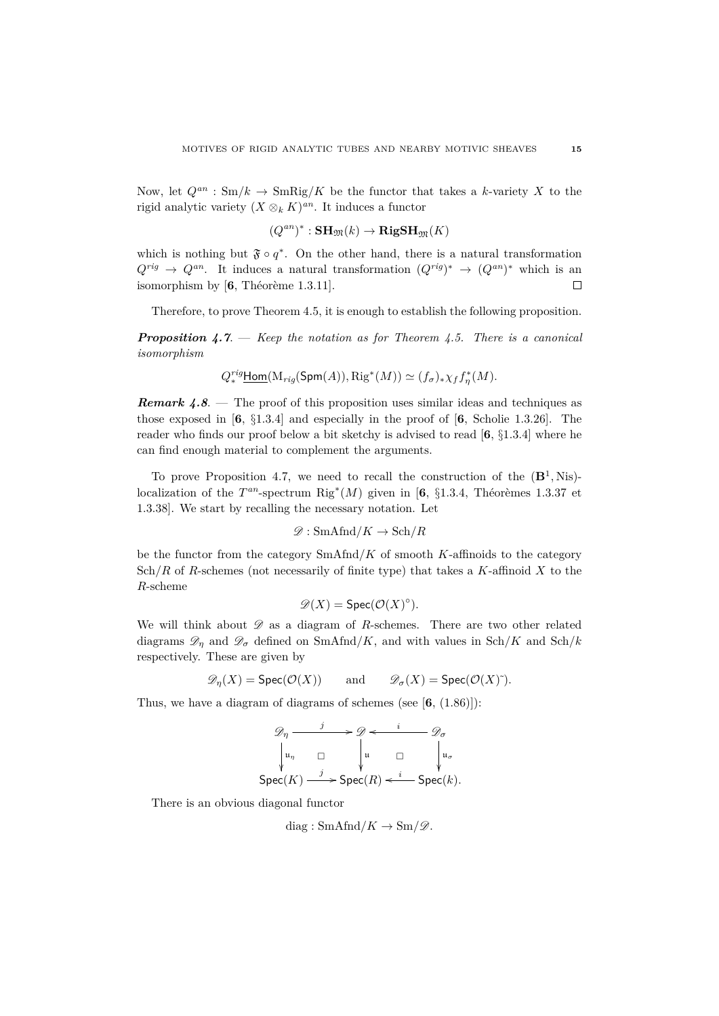Now, let  $Q^{an}$ :  $\text{Sm}/k \to \text{SmRig}/K$  be the functor that takes a *k*-variety X to the rigid analytic variety  $(X \otimes_k K)^{an}$ . It induces a functor

$$
(Q^{an})^*:\mathbf{SH}_\mathfrak{M}(k)\to\mathbf{RigSH}_\mathfrak{M}(K)
$$

which is nothing but  $\mathfrak{F} \circ q^*$ . On the other hand, there is a natural transformation  $Q^{rig} \to Q^{an}$ . It induces a natural transformation  $(Q^{rig})^* \to (Q^{an})^*$  which is an isomorphism by  $[6,$  Théorème 1.3.11].  $\Box$ 

Therefore, to prove Theorem 4.5, it is enough to establish the following proposition.

*Proposition 4.7*. — *Keep the notation as for Theorem 4.5. There is a canonical isomorphism*

$$
Q^{rig}_{*}\underline{\text{Hom}}(\mathrm{M}_{rig}(\text{Spm}(A)), \mathrm{Rig}^{*}(M)) \simeq (f_{\sigma})_{*}\chi_{f}f_{\eta}^{*}(M).
$$

*Remark 4.8.* — The proof of this proposition uses similar ideas and techniques as those exposed in [**6**, §1.3.4] and especially in the proof of [**6**, Scholie 1.3.26]. The reader who finds our proof below a bit sketchy is advised to read [**6**, §1.3.4] where he can find enough material to complement the arguments.

To prove Proposition 4.7, we need to recall the construction of the  $(\mathbf{B}^1, Nis)$ localization of the  $T^{an}$ -spectrum  $\text{Rig}^*(M)$  given in [6, §1.3.4, Théorèmes 1.3.37 et 1.3.38]. We start by recalling the necessary notation. Let

$$
\mathscr{D}: \mathrm{SmAfnd}/K \to \mathrm{Sch}/R
$$

be the functor from the category SmAfnd*/K* of smooth *K*-affinoids to the category Sch*/R* of *R*-schemes (not necessarily of finite type) that takes a *K*-affinoid *X* to the *R*-scheme

$$
\mathscr{D}(X) = \text{Spec}(\mathcal{O}(X)^\circ).
$$

We will think about  $\mathscr D$  as a diagram of *R*-schemes. There are two other related diagrams  $\mathscr{D}_\eta$  and  $\mathscr{D}_\sigma$  defined on SmAfnd/K, and with values in Sch/K and Sch/k respectively. These are given by

$$
\mathscr{D}_\eta(X) = \operatorname{Spec}(\mathcal{O}(X)) \qquad \text{and} \qquad \mathscr{D}_\sigma(X) = \operatorname{Spec}(\mathcal{O}(X)^\sim).
$$

Thus, we have a diagram of diagrams of schemes (see [**6**, (1.86)]):

$$
\mathcal{D}_{\eta} \xrightarrow{\qquad j} \mathcal{D} \xleftarrow{\qquad i} \mathcal{D}_{\sigma}
$$
\n
$$
\downarrow u_{\eta} \qquad \Box \qquad \downarrow u \qquad \Box \qquad \downarrow u_{\sigma}
$$
\n
$$
\text{Spec}(K) \xrightarrow{\qquad j} \text{Spec}(R) \xleftarrow{i} \text{Spec}(k).
$$

There is an obvious diagonal functor

$$
diag: \mathrm{SmAfd}/K \to \mathrm{Sm}/\mathscr{D}.
$$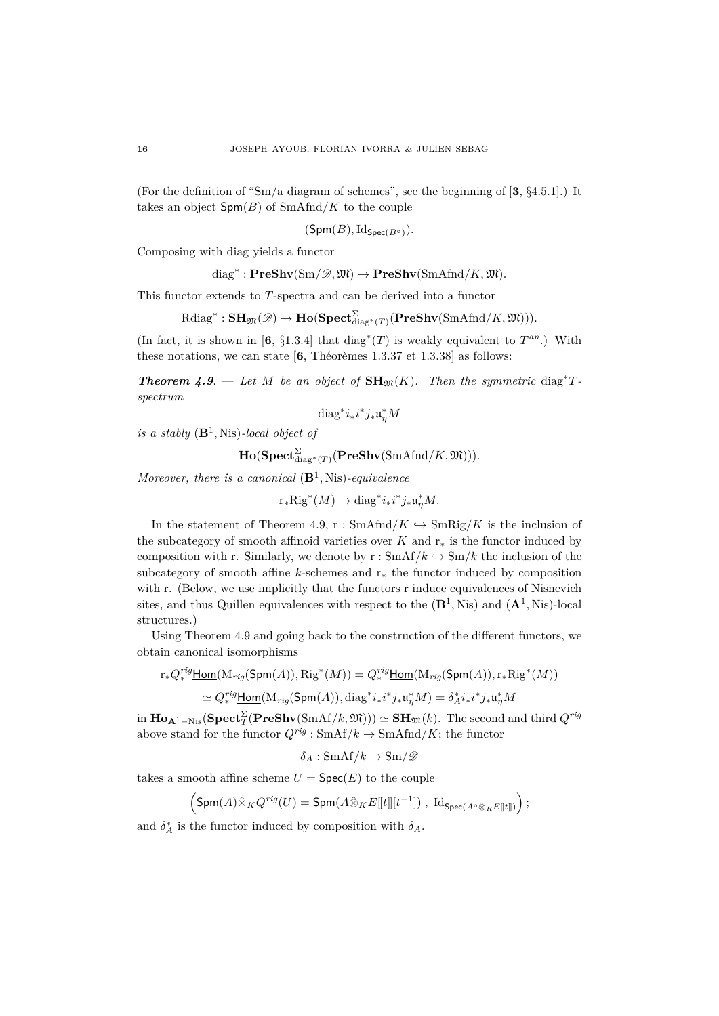(For the definition of "Sm*/*a diagram of schemes", see the beginning of [**3**, §4.5.1].) It takes an object  $Spm(B)$  of  $SmAfnd/K$  to the couple

$$
(\mathsf{Spm}(B),\mathrm{Id}_{\mathsf{Spec}(B^\circ)}).
$$

Composing with diag yields a functor

$$
diag^*: \mathbf{PreShv}(Sm/\mathscr{D},\mathfrak{M}) \to \mathbf{PreShv}(SmAfnd/K,\mathfrak{M}).
$$

This functor extends to *T*-spectra and can be derived into a functor

$$
\text{Rdiag}^*: \mathbf{SH}_{\mathfrak{M}}(\mathscr{D}) \to \mathbf{Ho}(\mathbf{Spect}_{\text{diag}^*(T)}^{\Sigma}(\mathbf{PreShv}(\text{SmAfnd}/K, \mathfrak{M}))).
$$

(In fact, it is shown in [6, §1.3.4] that diag<sup>\*</sup>(T) is weakly equivalent to  $T^{an}$ .) With these notations, we can state  $[6,$  Théorèmes 1.3.37 et 1.3.38] as follows:

*Theorem 4.9.* — Let *M* be an object of  $\text{SH}_{\mathfrak{M}}(K)$ . Then the symmetric diag<sup>\*</sup>T*spectrum*

diag<sup>\*</sup> $i_* i^* j_* \mathfrak{u}_\eta^* M$ 

*is a stably* (**B**<sup>1</sup> *,* Nis)*-local object of*

 $\mathbf{Ho}(\mathbf{Spect}_{\operatorname{diag}^*(T)}^{\Sigma}(\mathbf{PreShv}(\mathrm{SmAfd}/K,\mathfrak{M}))).$ 

*Moreover, there is a canonical* (**B**<sup>1</sup> *,* Nis)*-equivalence*

 $r_*\text{Rig}^*(M) \to \text{diag}^*i_*i^*j_*\mathfrak{u}_\eta^*M.$ 

In the statement of Theorem 4.9, r : SmAfnd/ $K \hookrightarrow$  SmRig/ $K$  is the inclusion of the subcategory of smooth affinoid varieties over  $K$  and  $r_*$  is the functor induced by composition with r. Similarly, we denote by  $r : SmAff/k \hookrightarrow Sm/k$  the inclusion of the subcategory of smooth affine *k*-schemes and r<sup>∗</sup> the functor induced by composition with r. (Below, we use implicitly that the functors r induce equivalences of Nisnevich sites, and thus Quillen equivalences with respect to the  $(\mathbf{B}^1, Nis)$  and  $(\mathbf{A}^1, Nis)$ -local structures.)

Using Theorem 4.9 and going back to the construction of the different functors, we obtain canonical isomorphisms

$$
\operatorname{r}_*Q^{rig}_*\underline{\mathsf{Hom}}(\operatorname{M}_{rig}(\mathsf{Spm}(A)),\operatorname{Rig}^*(M))=Q^{rig}_*\underline{\mathsf{Hom}}(\operatorname{M}_{rig}(\mathsf{Spm}(A)),\operatorname{r}_*\operatorname{Rig}^*(M))
$$

$$
\simeq Q^{rig}_* \underline{\text{Hom}}(\mathrm{M}_{rig}(\text{Spm}(A)), \mathrm{diag}^* i_* i^* j_* \mathfrak{u}_\eta^* M) = \delta_A^* i_* i^* j_* \mathfrak{u}_\eta^* M
$$

 $\text{Im } \mathbf{Ho}_{\mathbf{A}^1-\text{Nis}}(\textbf{Spect}_{T}^{\Sigma}(\textbf{PreShv}(\text{SmAf}/k,\mathfrak{M}))) \simeq \textbf{SH}_{\mathfrak{M}}(k)$ . The second and third  $Q^{rig}$ above stand for the functor  $Q^{rig}: \text{SmAf}/k \to \text{SmAfnd}/K$ ; the functor

$$
\delta_A: \text{SmAf}/k \to \text{Sm}/\mathscr{D}
$$

takes a smooth affine scheme  $U = \text{Spec}(E)$  to the couple

$$
\left({\rm Spm}(A)\hat\times_K Q^{rig}(U)={\rm Spm}(A\hat\otimes_K E[\![t]\!][t^{-1}])\;,\; {\rm Id}_{{\rm Spec}(A^{\diamond}\hat\otimes_R E[\![t]\!])}\right);
$$

and  $\delta_A^*$  is the functor induced by composition with  $\delta_A$ .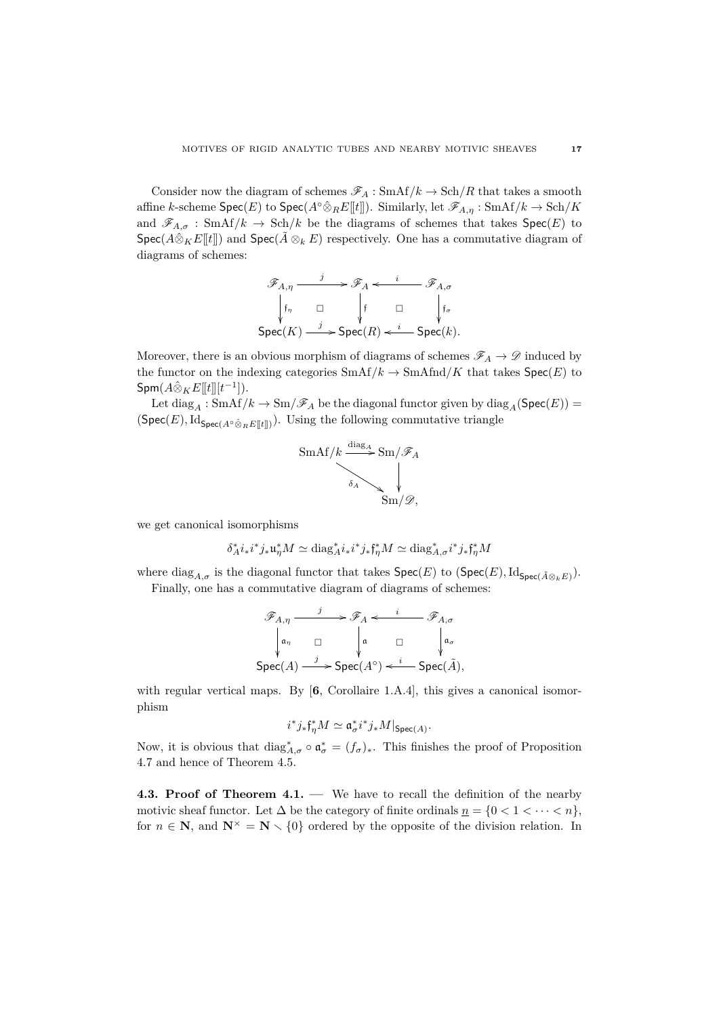Consider now the diagram of schemes  $\mathscr{F}_A$ : SmAf/ $k \to \text{Sch}/R$  that takes a smooth affine *k*-scheme  $\textsf{Spec}(E)$  to  $\textsf{Spec}(A^{\circ}\hat{\otimes}_R E[[t]])$ . Similarly, let  $\mathscr{F}_{A,\eta}: \text{SmAf}/k \to \text{Sch}/K$ and  $\mathscr{F}_{A,\sigma}$ : SmAf/ $k \to$  Sch/ $k$  be the diagrams of schemes that takes  $\text{Spec}(E)$  to Spec( $A\hat{\otimes}_K E[[t]]$ ) and Spec( $A\otimes_k E$ ) respectively. One has a commutative diagram of diagrams of schemes:

$$
\mathscr{F}_{A,\eta} \xrightarrow{j} \mathscr{F}_A \xleftarrow{i} \mathscr{F}_{A,\sigma}
$$
\n
$$
\begin{array}{ccc}\n\downarrow & \uparrow & \Box & \downarrow \\
\downarrow & \downarrow & \downarrow & \downarrow \\
\text{Spec}(K) \xrightarrow{j} & \text{Spec}(R) \xleftarrow{i} & \text{Spec}(k).\n\end{array}
$$

Moreover, there is an obvious morphism of diagrams of schemes  $\mathscr{F}_A \to \mathscr{D}$  induced by the functor on the indexing categories  $\text{SmAf}/k \to \text{SmAnd}/K$  that takes  $\text{Spec}(E)$  to  ${\sf Sym}(A \hat{\otimes}_K E[\![t]\!][t^{-1}])$ .

Let  $diag_A : \text{SmAf}/k \to \text{Sm}/\mathscr{F}_A$  be the diagonal functor given by  $diag_A(\text{Spec}(E))$  =  $(Spec(E), Id_{Spec(A \circ \hat{\otimes}_R E[[t]])$ ). Using the following commutative triangle



we get canonical isomorphisms

$$
\delta_A^* i_* i^* j_* \mathfrak{u}_\eta^* M \simeq \mathrm{diag}_A^* i_* i^* j_* \mathfrak{f}_\eta^* M \simeq \mathrm{diag}_{A,\sigma}^* i^* j_* \mathfrak{f}_\eta^* M
$$

where  $\text{diag}_{A,\sigma}$  is the diagonal functor that takes  $\textsf{Spec}(E)$  to  $(\textsf{Spec}(E), \text{Id}_{\textsf{Spec}(\tilde{A} \otimes_k E)}).$ Finally, one has a commutative diagram of diagrams of schemes:

$$
\mathscr{F}_{A,\eta} \xrightarrow{\qquad j} \mathscr{F}_A \xleftarrow{\qquad i} \mathscr{F}_{A,\sigma}
$$
\n
$$
\downarrow \mathfrak{a}_{\eta} \qquad \Box \qquad \downarrow \mathfrak{a}_{\sigma}
$$
\n
$$
\text{Spec}(A) \xrightarrow{\qquad j} \text{Spec}(A^{\circ}) \xleftarrow{\qquad i} \text{Spec}(\tilde{A}),
$$

with regular vertical maps. By  $[6,$  Corollaire 1.A.4, this gives a canonical isomorphism

$$
i^*j_*\mathfrak{f}^*_\eta M \simeq \mathfrak{a}^*_\sigma i^*j_*M|_{\text{Spec}(A)}.
$$

Now, it is obvious that  $\text{diag}_{A,\sigma}^* \circ \mathfrak{a}_{\sigma}^* = (f_{\sigma})_*$ . This finishes the proof of Proposition 4.7 and hence of Theorem 4.5.

**4.3. Proof of Theorem 4.1. —** We have to recall the definition of the nearby motivic sheaf functor. Let  $\Delta$  be the category of finite ordinals  $n = \{0 < 1 < \cdots < n\}$ , for  $n \in \mathbb{N}$ , and  $\mathbb{N}^{\times} = \mathbb{N} \setminus \{0\}$  ordered by the opposite of the division relation. In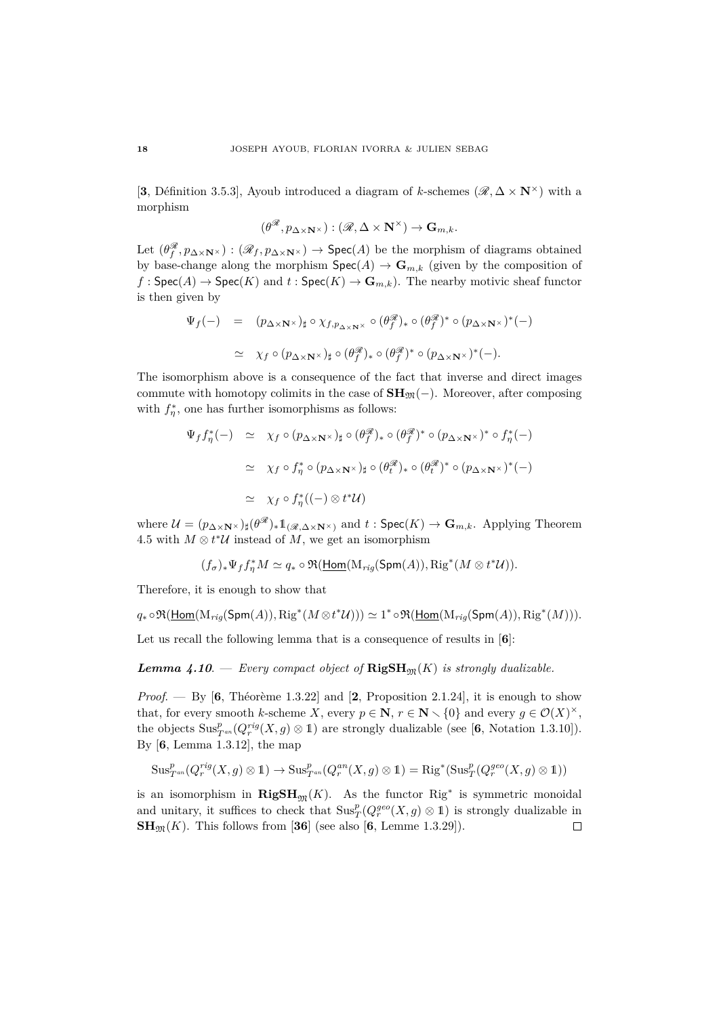[**3**, Définition 3.5.3], Ayoub introduced a diagram of *k*-schemes ( $\mathscr{R}, \Delta \times \mathbb{N}^{\times}$ ) with a morphism

$$
(\theta^{\mathscr R},p_{\Delta\times\mathbf N^\times}):\left(\mathscr R,\Delta\times\mathbf N^\times\right)\to\mathbf G_{m,k}.
$$

Let  $(\theta_f^{\mathscr{R}}, p_{\Delta \times \mathbf{N}^{\times}}) : (\mathscr{R}_f, p_{\Delta \times \mathbf{N}^{\times}}) \to \mathsf{Spec}(A)$  be the morphism of diagrams obtained by base-change along the morphism  $\text{Spec}(A) \to \mathbf{G}_{m,k}$  (given by the composition of  $f : \mathsf{Spec}(A) \to \mathsf{Spec}(K)$  and  $t : \mathsf{Spec}(K) \to \mathbf{G}_{m,k}$ . The nearby motivic sheaf functor is then given by

$$
\Psi_f(-) = (p_{\Delta \times \mathbf{N}^{\times}})_{\sharp} \circ \chi_{f, p_{\Delta \times \mathbf{N}^{\times}}} \circ (\theta_f^{\mathscr{R}})_{*} \circ (\theta_f^{\mathscr{R}})^{*} \circ (p_{\Delta \times \mathbf{N}^{\times}})^{*}(-)
$$
  
\n
$$
\simeq \chi_f \circ (p_{\Delta \times \mathbf{N}^{\times}})_{\sharp} \circ (\theta_f^{\mathscr{R}})_{*} \circ (\theta_f^{\mathscr{R}})^{*} \circ (p_{\Delta \times \mathbf{N}^{\times}})^{*}(-).
$$

The isomorphism above is a consequence of the fact that inverse and direct images commute with homotopy colimits in the case of  $\mathbf{SH}_{\mathfrak{M}}(-)$ . Moreover, after composing with  $f_{\eta}^*$ , one has further isomorphisms as follows:

$$
\Psi_f f_\eta^*(-) \simeq \chi_f \circ (p_{\Delta \times \mathbf{N}^\times})_\sharp \circ (\theta_f^\mathscr{R})_* \circ (\theta_f^\mathscr{R})^* \circ (p_{\Delta \times \mathbf{N}^\times})^* \circ f_\eta^*(-)
$$
\n
$$
\simeq \chi_f \circ f_\eta^* \circ (p_{\Delta \times \mathbf{N}^\times})_\sharp \circ (\theta_f^\mathscr{R})_* \circ (\theta_f^\mathscr{R})^* \circ (p_{\Delta \times \mathbf{N}^\times})^*(-)
$$
\n
$$
\simeq \chi_f \circ f_\eta^*((-) \otimes t^* \mathcal{U})
$$

where  $\mathcal{U} = (p_{\Delta \times \mathbf{N}^{\times}})_{\sharp}(\theta^{\mathscr{R}})_{*}1_{(\mathscr{R},\Delta \times \mathbf{N}^{\times})}$  and  $t : \mathsf{Spec}(K) \to \mathbf{G}_{m,k}$ . Applying Theorem 4.5 with  $M \otimes t^*U$  instead of  $M$ , we get an isomorphism

$$
(f_{\sigma})_*\Psi_f f_{\eta}^*M \simeq q_*\circ \Re(\underline{\text{Hom}}(\mathrm{M}_{rig}(\text{Spm}(A)),\text{Rig}^*(M\otimes t^*\mathcal{U})).
$$

Therefore, it is enough to show that

$$
q_*\circ\Re(\underline{\mathsf{Hom}}(\mathrm{M}_{rig}(\mathsf{Spm}(A)),\mathrm{Rig}^*(M\otimes t^*\mathcal{U})))\simeq 1^*\circ\Re(\underline{\mathsf{Hom}}(\mathrm{M}_{rig}(\mathsf{Spm}(A)),\mathrm{Rig}^*(M))).
$$

Let us recall the following lemma that is a consequence of results in [**6**]:

*Lemma 4.10.* — *Every compact object of*  $\mathbf{RigSH}_{m}(K)$  *is strongly dualizable.* 

*Proof.* — By  $[6,$  Théorème 1.3.22] and  $[2,$  Proposition 2.1.24], it is enough to show that, for every smooth *k*-scheme *X*, every  $p \in \mathbb{N}$ ,  $r \in \mathbb{N} \setminus \{0\}$  and every  $g \in \mathcal{O}(X)^{\times}$ , the objects  $\text{Sus}_{T^{an}}^p(Q_r^{rig}(X,g) \otimes \mathbb{1})$  are strongly dualizable (see [6, Notation 1.3.10]). By [**6**, Lemma 1.3.12], the map

$$
\mathrm{Sus}_{T^{an}}^p(Q_r^{rig}(X,g)\otimes 1)\rightarrow \mathrm{Sus}_{T^{an}}^p(Q_r^{an}(X,g)\otimes 1)=\mathrm{Rig}^*(\mathrm{Sus}_T^p(Q_r^{geo}(X,g)\otimes 1))
$$

is an isomorphism in  $\mathbf{RigSH}_{\mathfrak{M}}(K)$ . As the functor  $\text{Rig}^*$  is symmetric monoidal and unitary, it suffices to check that  $\text{Sus}^p_T(Q_r^{geo}(X,g) \otimes 1)$  is strongly dualizable in  $\text{SH}_{\mathfrak{M}}(K)$ . This follows from [36] (see also [6, Lemme 1.3.29]).  $\Box$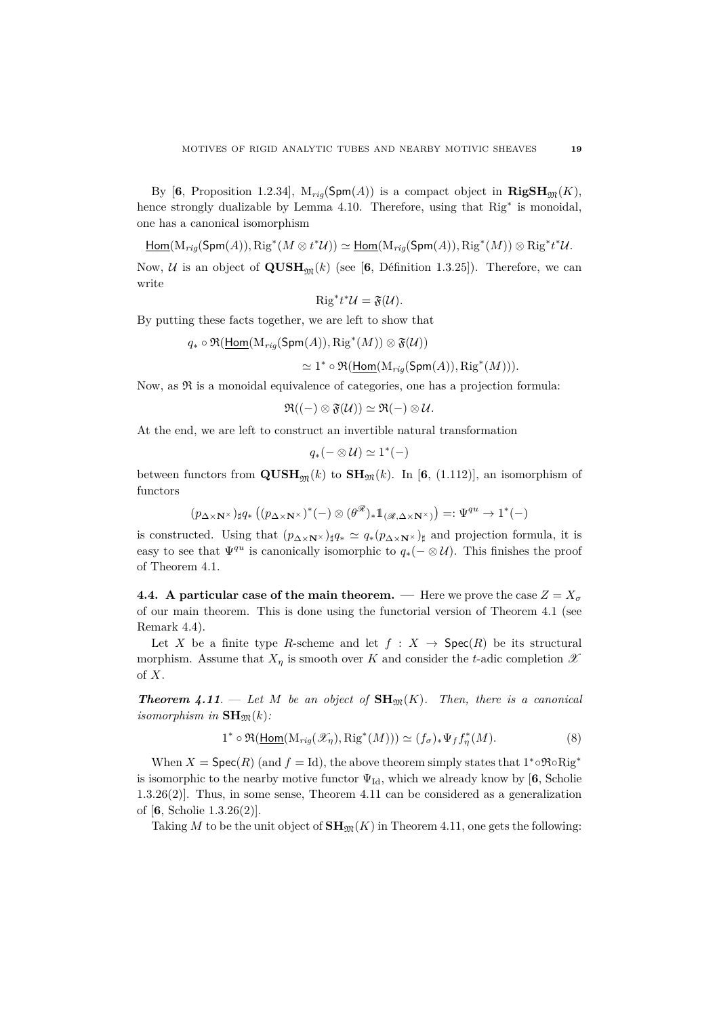By [6, Proposition 1.2.34],  $M_{riq}(\text{Spm}(A))$  is a compact object in  $\mathbf{RigSH}_{m}(K)$ , hence strongly dualizable by Lemma 4.10. Therefore, using that Rig<sup>∗</sup> is monoidal, one has a canonical isomorphism

 $\underline{\mathsf{Hom}}(\mathrm{M}_{rig}(\mathsf{Spm}(A)),\mathrm{Rig}^*(M\otimes t^*\mathcal{U}))\simeq \underline{\mathsf{Hom}}(\mathrm{M}_{rig}(\mathsf{Spm}(A)),\mathrm{Rig}^*(M))\otimes \mathrm{Rig}^*t^*\mathcal{U}.$ 

Now, U is an object of  $\mathbf{QUSH}_{m}(k)$  (see [6, Définition 1.3.25]). Therefore, we can write

$$
\operatorname{Rig}^* t^* \mathcal{U} = \mathfrak{F}(\mathcal{U}).
$$

By putting these facts together, we are left to show that

 $q_* \circ \mathfrak{R}(\underline{\mathsf{Hom}}(\mathrm{M}_{rig}(\mathsf{Spm}(A)), \mathrm{Rig}^*(M)) \otimes \mathfrak{F}(\mathcal{U}))$ 

 $\simeq 1^* \circ \Re(\underline{\mathsf{Hom}}(\mathrm{M}_{rig}(\mathsf{Spm}(A)), \mathrm{Rig}^*(M))).$ 

Now, as  $\mathfrak{R}$  is a monoidal equivalence of categories, one has a projection formula:

$$
\mathfrak{R}((-) \otimes \mathfrak{F}(\mathcal{U})) \simeq \mathfrak{R}(-) \otimes \mathcal{U}.
$$

At the end, we are left to construct an invertible natural transformation

$$
q_* (- \otimes \mathcal{U}) \simeq 1^*(-)
$$

between functors from  $\mathbf{QUSH}_{\mathfrak{M}}(k)$  to  $\mathbf{SH}_{\mathfrak{M}}(k)$ . In [6, (1.112)], an isomorphism of functors

$$
(p_{\Delta\times\mathbf{N}^\times})_\sharp q_*\left((p_{\Delta\times\mathbf{N}^\times})^*(-)\otimes(\theta^\mathscr{R})_*1_{(\mathscr{R},\Delta\times\mathbf{N}^\times)}\right)=:\Psi^{qu}\rightarrow 1^*(-)
$$

is constructed. Using that  $(p_{\Delta \times N^{\times}})_{\sharp}q_{*} \simeq q_{*}(p_{\Delta \times N^{\times}})_{\sharp}$  and projection formula, it is easy to see that  $\Psi^{qu}$  is canonically isomorphic to  $q_*(- \otimes \mathcal{U})$ . This finishes the proof of Theorem 4.1.

**4.4.** A particular case of the main theorem. — Here we prove the case  $Z = X_{\sigma}$ of our main theorem. This is done using the functorial version of Theorem 4.1 (see Remark 4.4).

Let *X* be a finite type *R*-scheme and let  $f : X \rightarrow \text{Spec}(R)$  be its structural morphism. Assume that  $X_{\eta}$  is smooth over *K* and consider the *t*-adic completion  $\mathscr X$ of *X*.

*Theorem 4.11.* — Let M be an object of  $\text{SH}_{\mathfrak{M}}(K)$ . Then, there is a canonical *isomorphism in*  $\mathbf{SH}_{\mathfrak{M}}(k)$ *:* 

$$
1^* \circ \Re(\underline{\text{Hom}}(\text{M}_{rig}(\mathcal{X}_\eta), \text{Rig}^*(M))) \simeq (f_\sigma)_* \Psi_f f_\eta^*(M). \tag{8}
$$

When  $X = \text{Spec}(R)$  (and  $f = \text{Id}$ ), the above theorem simply states that  $1^* \circ \Re \circ \text{Rig}^*$ is isomorphic to the nearby motive functor  $\Psi_{\text{Id}}$ , which we already know by [6, Scholie 1.3.26(2)]. Thus, in some sense, Theorem 4.11 can be considered as a generalization of [**6**, Scholie 1.3.26(2)].

Taking M to be the unit object of  $\text{SH}_{\mathfrak{M}}(K)$  in Theorem 4.11, one gets the following: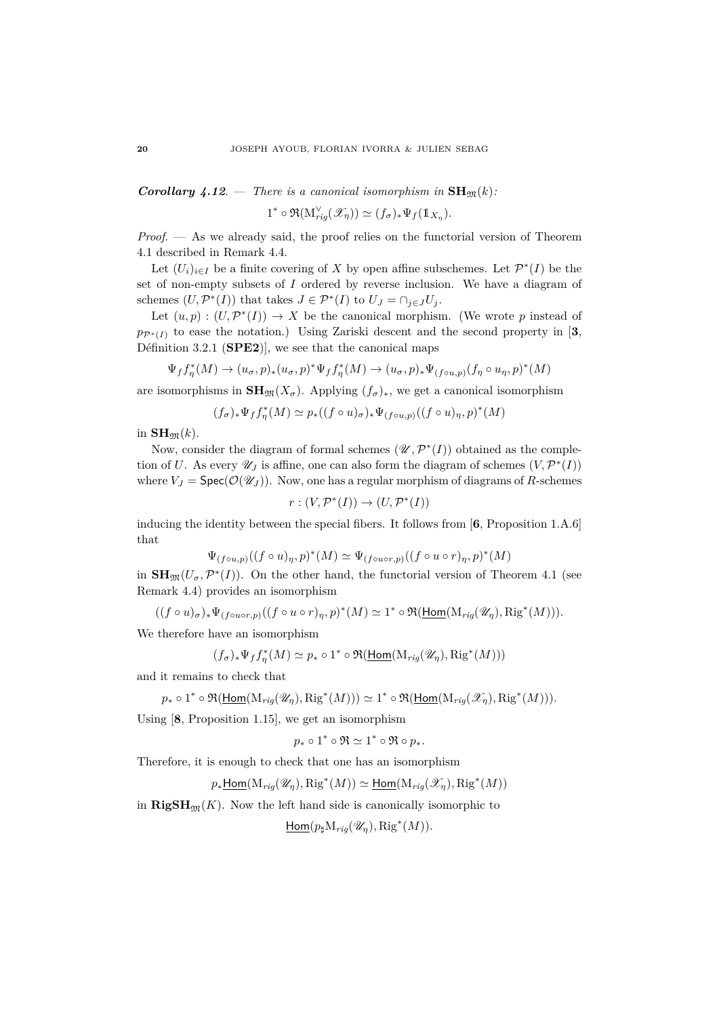*Corollary 4.12.* **—** *There is a canonical isomorphism in* $SH_{\mathfrak{M}}(k)$ *:* 

 $1^* \circ \Re(\mathcal{M}_{rig}^{\vee}(\mathcal{X}_\eta)) \simeq (f_\sigma)_* \Psi_f(\mathbb{1}_{X_\eta}).$ 

*Proof*. — As we already said, the proof relies on the functorial version of Theorem 4.1 described in Remark 4.4.

Let  $(U_i)_{i \in I}$  be a finite covering of X by open affine subschemes. Let  $\mathcal{P}^*(I)$  be the set of non-empty subsets of *I* ordered by reverse inclusion. We have a diagram of schemes  $(U, \mathcal{P}^*(I))$  that takes  $J \in \mathcal{P}^*(I)$  to  $U_J = \cap_{j \in J} U_j$ .

Let  $(u, p) : (U, \mathcal{P}^*(I)) \to X$  be the canonical morphism. (We wrote *p* instead of  $p_{\mathcal{P}^*(I)}$  to ease the notation.) Using Zariski descent and the second property in [3, Définition 3.2.1 (**SPE2**)], we see that the canonical maps

$$
\Psi_f f_\eta^*(M) \to (u_\sigma, p)_*(u_\sigma, p)^* \Psi_f f_\eta^*(M) \to (u_\sigma, p)_* \Psi_{(f \circ u, p)}(f_\eta \circ u_\eta, p)^*(M)
$$

are isomorphisms in  $\mathbf{SH}_{\mathfrak{M}}(X_{\sigma})$ . Applying  $(f_{\sigma})_*$ , we get a canonical isomorphism

$$
(f_\sigma)_*\Psi_f f_\eta^*(M)\simeq p_*((f\circ u)_\sigma)_*\Psi_{(f\circ u,p)}((f\circ u)_\eta,p)^*(M)
$$

in  $\mathbf{SH}_{\mathfrak{M}}(k)$ .

Now, consider the diagram of formal schemes  $(\mathcal{U}, \mathcal{P}^*(I))$  obtained as the completion of *U*. As every  $\mathscr{U}_J$  is affine, one can also form the diagram of schemes  $(V, \mathcal{P}^*(I))$ where  $V_J = \text{Spec}(\mathcal{O}(\mathcal{U}_J))$ . Now, one has a regular morphism of diagrams of *R*-schemes

 $r:(V, \mathcal{P}^*(I)) \to (U, \mathcal{P}^*(I))$ 

inducing the identity between the special fibers. It follows from [**6**, Proposition 1.A.6] that

$$
\Psi_{(f\circ u,p)}((f\circ u)_\eta,p)^*(M)\simeq \Psi_{(f\circ u\circ r,p)}((f\circ u\circ r)_\eta,p)^*(M)
$$

in  $\mathbf{SH}_{\mathfrak{M}}(U_\sigma,\mathcal{P}^*(I))$ . On the other hand, the functorial version of Theorem 4.1 (see Remark 4.4) provides an isomorphism

 $((f \circ u)_{\sigma})_* \Psi_{(f \circ u \circ r, p)}((f \circ u \circ r)_\eta, p)^*(M) \simeq 1^* \circ \Re(\underline{\text{Hom}}(\mathrm{M}_{rig}(\mathscr{U}_\eta), \mathrm{Rig}^*(M))).$ 

We therefore have an isomorphism

$$
(f_{\sigma})_*\Psi_f f_{\eta}^*(M) \simeq p_* \circ 1^* \circ \Re(\underline{\text{Hom}}(\mathrm{M}_{rig}(\mathscr{U}_{\eta}), \mathrm{Rig}^*(M)))
$$

and it remains to check that

$$
p_* \circ 1^* \circ \mathfrak{R}(\underline{\text{Hom}}(\mathrm{M}_{rig}(\mathscr{U}_\eta), \mathrm{Rig}^*(M))) \simeq 1^* \circ \mathfrak{R}(\underline{\text{Hom}}(\mathrm{M}_{rig}(\mathscr{X}_\eta), \mathrm{Rig}^*(M))).
$$

Using [**8**, Proposition 1.15], we get an isomorphism

$$
p_* \circ 1^* \circ \Re \simeq 1^* \circ \Re \circ p_*.
$$

Therefore, it is enough to check that one has an isomorphism

 $p_*\underline{\mathsf{Hom}}(\mathrm{M}_{rig}(\mathscr{U}_\eta), \mathrm{Rig}^*(M)) \simeq \underline{\mathsf{Hom}}(\mathrm{M}_{rig}(\mathscr{X}_\eta), \mathrm{Rig}^*(M))$ 

in  $\mathbf{RigSH}_{\mathfrak{M}}(K)$ . Now the left hand side is canonically isomorphic to

 $\underline{\text{Hom}}(p_\sharp \text{M}_{rig}(\mathscr{U}_\eta), \text{Rig}^*(M)).$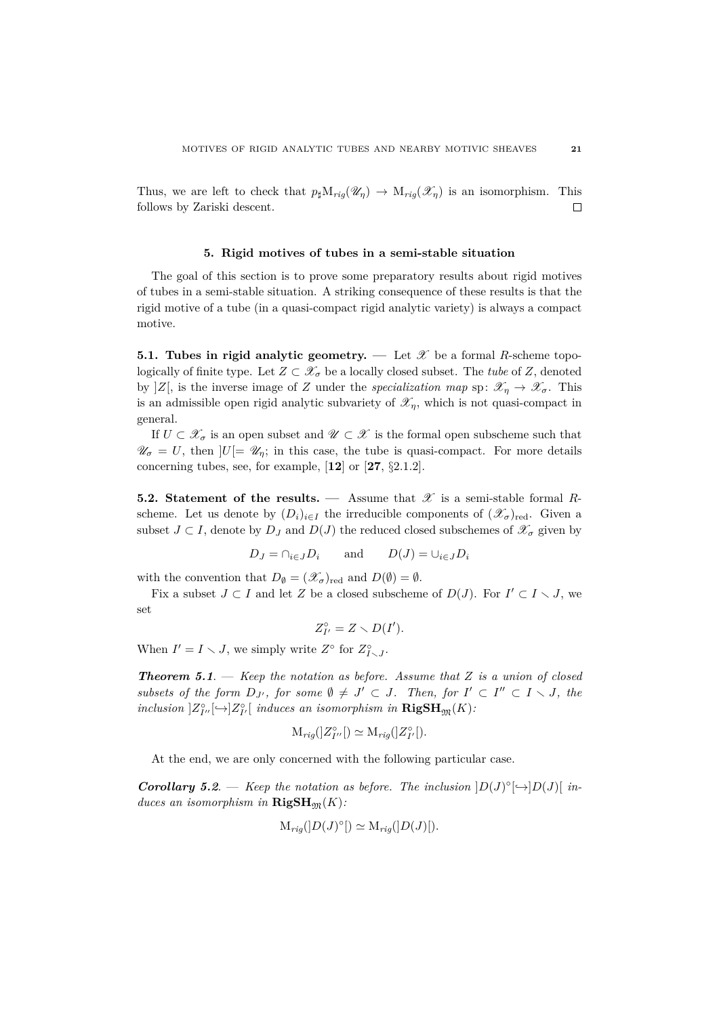Thus, we are left to check that  $p_{\sharp}M_{ri\sigma}(\mathscr{U}_n) \to M_{ri\sigma}(\mathscr{X}_n)$  is an isomorphism. This follows by Zariski descent.  $\Box$ 

#### **5. Rigid motives of tubes in a semi-stable situation**

The goal of this section is to prove some preparatory results about rigid motives of tubes in a semi-stable situation. A striking consequence of these results is that the rigid motive of a tube (in a quasi-compact rigid analytic variety) is always a compact motive.

**5.1. Tubes in rigid analytic geometry.** — Let  $\mathscr X$  be a formal *R*-scheme topologically of finite type. Let  $Z \subset \mathcal{X}_{\sigma}$  be a locally closed subset. The *tube* of *Z*, denoted by  $|Z|$ , is the inverse image of *Z* under the *specialization map* sp:  $\mathscr{X}_\eta \to \mathscr{X}_\sigma$ . This is an admissible open rigid analytic subvariety of  $\mathscr{X}_n$ , which is not quasi-compact in general.

If  $U \subset \mathscr{X}_{\sigma}$  is an open subset and  $\mathscr{U} \subset \mathscr{X}$  is the formal open subscheme such that  $\mathscr{U}_{\sigma} = U$ , then  $|U| = \mathscr{U}_{\eta}$ ; in this case, the tube is quasi-compact. For more details concerning tubes, see, for example, [**12**] or [**27**, §2.1.2].

**5.2. Statement of the results.** — Assume that  $\mathscr X$  is a semi-stable formal *R*scheme. Let us denote by  $(D_i)_{i \in I}$  the irreducible components of  $(\mathscr{X}_{\sigma})_{\text{red}}$ . Given a subset  $J \subset I$ , denote by  $D_J$  and  $D(J)$  the reduced closed subschemes of  $\mathscr{X}_{\sigma}$  given by

$$
D_J = \cap_{i \in J} D_i
$$
 and  $D(J) = \cup_{i \in J} D_i$ 

with the convention that  $D_{\emptyset} = (\mathscr{X}_{\sigma})_{\text{red}}$  and  $D(\emptyset) = \emptyset$ .

Fix a subset  $J \subset I$  and let Z be a closed subscheme of  $D(J)$ . For  $I' \subset I \setminus J$ , we set

$$
Z_{I'}^{\circ}=Z\smallsetminus D(I').
$$

When  $I' = I \setminus J$ , we simply write  $Z^{\circ}$  for  $Z^{\circ}_{I \setminus J}$ .

*Theorem 5.1*. — *Keep the notation as before. Assume that Z is a union of closed subsets of the form*  $D_{J'}$ , for some  $\emptyset \neq J' \subset J$ . Then, for  $I' \subset I'' \subset I \setminus J$ , the  $inclusion$   $]Z_{I'}^{\circ}[\rightarrow]Z_{I'}^{\circ}[\text{ induces an isomorphism in } \mathbf{RigSH}_{\mathfrak{M}}(K)$ .

$$
\mathcal{M}_{rig}([Z^{\circ}_{I''}]) \simeq \mathcal{M}_{rig}([Z^{\circ}_{I'}]).
$$

At the end, we are only concerned with the following particular case.

*Corollary 5.2.* **—** *Keep the notation as before. The inclusion* $|D(J)^{\circ}[\rightarrow]D(J)|$ *induces an isomorphism in*  $\mathbf{RigSH}_{m}(K)$ :

$$
\mathcal{M}_{rig}([D(J)^{\circ}]) \simeq \mathcal{M}_{rig}([D(J)])
$$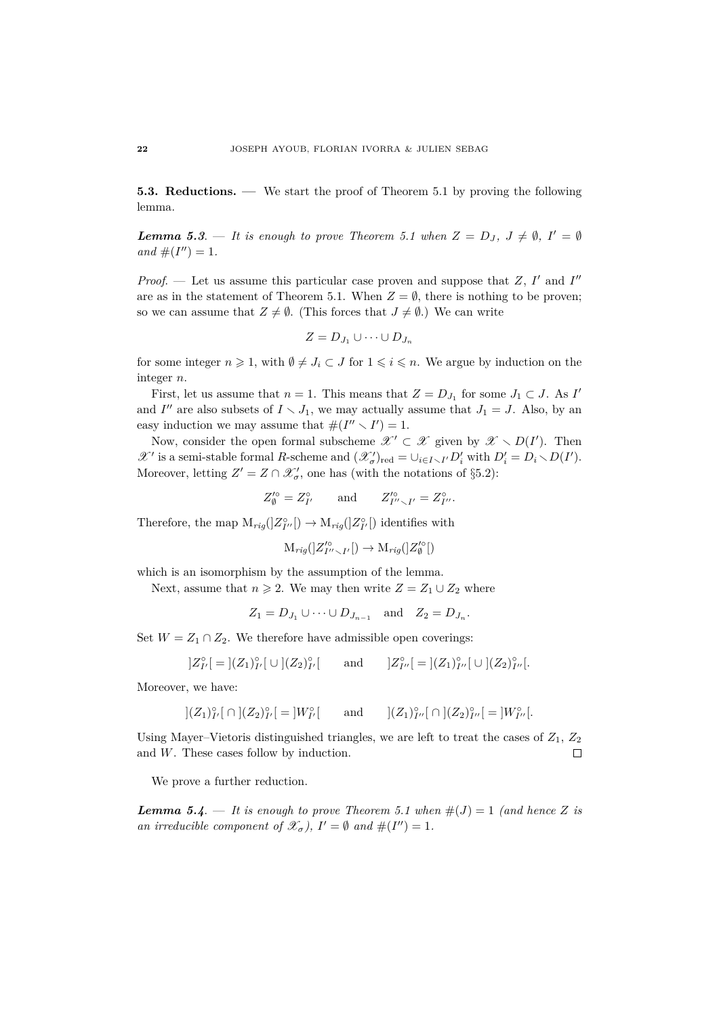**5.3. Reductions. —** We start the proof of Theorem 5.1 by proving the following lemma.

*Lemma 5.3.* — *It is enough to prove Theorem 5.1 when*  $Z = D_J$ ,  $J \neq \emptyset$ ,  $I' = \emptyset$  $and \#(I'') = 1.$ 

*Proof.* — Let us assume this particular case proven and suppose that  $Z$ ,  $I'$  and  $I''$ are as in the statement of Theorem 5.1. When  $Z = \emptyset$ , there is nothing to be proven; so we can assume that  $Z \neq \emptyset$ . (This forces that  $J \neq \emptyset$ .) We can write

$$
Z = D_{J_1} \cup \cdots \cup D_{J_n}
$$

for some integer  $n \geq 1$ , with  $\emptyset \neq J_i \subset J$  for  $1 \leq i \leq n$ . We argue by induction on the integer *n*.

First, let us assume that  $n = 1$ . This means that  $Z = D_{J_1}$  for some  $J_1 \subset J$ . As  $I'$ and *I''* are also subsets of  $I \setminus J_1$ , we may actually assume that  $J_1 = J$ . Also, by an easy induction we may assume that  $\#(I'' \setminus I') = 1$ .

Now, consider the open formal subscheme  $\mathscr{X}' \subset \mathscr{X}$  given by  $\mathscr{X} \setminus D(I')$ . Then  $\mathscr{X}'$  is a semi-stable formal *R*-scheme and  $(\mathscr{X}'_{\sigma})_{\text{red}} = \cup_{i \in I \setminus I'} D'_i$  with  $D'_i = D_i \setminus D(I')$ . Moreover, letting  $Z' = Z \cap \mathcal{X}'_{\sigma}$ , one has (with the notations of §5.2):

$$
Z_{\emptyset}^{\prime \circ} = Z_{I^{\prime}}^{\circ} \qquad \text{and} \qquad Z_{I^{\prime \prime} \smallsetminus I^{\prime}}^{\prime \circ} = Z_{I^{\prime \prime}}^{\circ}.
$$

Therefore, the map  $M_{rig}(|Z^{\circ}_{I''}|) \to M_{rig}(|Z^{\circ}_{I'}|)$  identifies with

$$
\mathcal{M}_{rig}([Z'_{I''\smallsetminus I'}[) \to \mathcal{M}_{rig}([Z'^{\circ}_\emptyset[)
$$

which is an isomorphism by the assumption of the lemma.

Next, assume that  $n \geq 2$ . We may then write  $Z = Z_1 \cup Z_2$  where

$$
Z_1 = D_{J_1} \cup \cdots \cup D_{J_{n-1}}
$$
 and  $Z_2 = D_{J_n}$ .

Set  $W = Z_1 \cap Z_2$ . We therefore have admissible open coverings:

$$
]Z_{I'}^\circ[ = ](Z_1)_{I'}^\circ[ \cup ](Z_2)_{I'}^\circ[ \qquad \text{and} \qquad ]Z_{I''}^\circ[ = ](Z_1)_{I''}^\circ[ \cup ](Z_2)_{I''}^\circ[ .
$$

Moreover, we have:

$$
|(Z_1)_{I'}^\circ \cap |(Z_2)_{I'}^\circ| = |W_{I'}^\circ \cap \text{ and } |(Z_1)_{I''}^\circ \cap |(Z_2)_{I''}^\circ| = |W_{I''}^\circ|.
$$

Using Mayer–Vietoris distinguished triangles, we are left to treat the cases of  $Z_1$ ,  $Z_2$ and *W*. These cases follow by induction.  $\Box$ 

We prove a further reduction.

*Lemma 5.4.* — *It is enough to prove Theorem 5.1 when*  $#(J) = 1$  *(and hence Z is an irreducible component of*  $\mathscr{X}_{\sigma}$ *),*  $I' = \emptyset$  *and*  $\#(I'') = 1$ *.*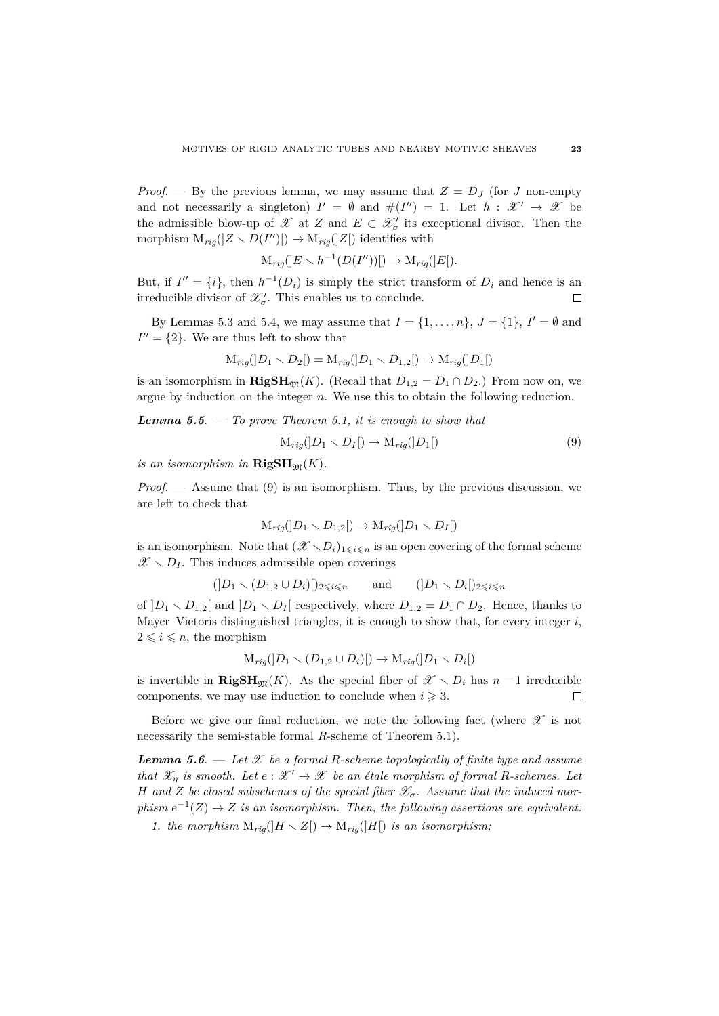*Proof.* — By the previous lemma, we may assume that  $Z = D<sub>J</sub>$  (for *J* non-empty and not necessarily a singleton)  $I' = \emptyset$  and  $\#(I'') = 1$ . Let  $h : \mathscr{X}' \to \mathscr{X}$  be the admissible blow-up of  $\mathscr X$  at *Z* and  $E \subset \mathscr X'_{\sigma}$  its exceptional divisor. Then the morphism  $M_{rig}([Z \setminus D(I'')]) \to M_{rig}([Z])$  identifies with

$$
\mathcal{M}_{rig}([E \setminus h^{-1}(D(I''))]) \to \mathcal{M}_{rig}([E]).
$$

But, if  $I'' = \{i\}$ , then  $h^{-1}(D_i)$  is simply the strict transform of  $D_i$  and hence is an irreducible divisor of  $\mathscr{X}'_{\sigma}$ . This enables us to conclude.  $\Box$ 

By Lemmas 5.3 and 5.4, we may assume that  $I = \{1, ..., n\}$ ,  $J = \{1\}$ ,  $I' = \emptyset$  and  $I'' = \{2\}$ . We are thus left to show that

$$
M_{rig}(|D_1 \setminus D_2|) = M_{rig}(|D_1 \setminus D_{1,2}|) \to M_{rig}(|D_1|)
$$

is an isomorphism in  $\mathbf{RigSH}_{m}(K)$ . (Recall that  $D_{1,2} = D_1 \cap D_2$ .) From now on, we argue by induction on the integer *n*. We use this to obtain the following reduction.

*Lemma 5.5*. — *To prove Theorem 5.1, it is enough to show that*

$$
\mathcal{M}_{rig}([D_1 \setminus D_I]) \to \mathcal{M}_{rig}([D_1]) \tag{9}
$$

*is an isomorphism in*  $\mathbf{RigSH}_{\mathfrak{M}}(K)$ .

*Proof*. — Assume that (9) is an isomorphism. Thus, by the previous discussion, we are left to check that

$$
M_{rig}([D_1 \setminus D_{1,2}[) \to M_{rig}([D_1 \setminus D_I[)
$$

is an isomorphism. Note that  $(\mathscr{X} \setminus D_i)_{1 \leq i \leq n}$  is an open covering of the formal scheme  $\mathscr{X} \setminus D_I$ . This induces admissible open coverings

$$
(|D_1 \setminus (D_{1,2} \cup D_i)|)_{2 \leqslant i \leqslant n} \quad \text{and} \quad (|D_1 \setminus D_i|)_{2 \leqslant i \leqslant n}
$$

of  $]D_1 \setminus D_{1,2}[$  and  $]D_1 \setminus D_I[$  respectively, where  $D_{1,2} = D_1 \cap D_2$ . Hence, thanks to Mayer–Vietoris distinguished triangles, it is enough to show that, for every integer *i*,  $2 \leqslant i \leqslant n$ , the morphism

$$
M_{rig}([D_1 \setminus (D_{1,2} \cup D_i)]) \to M_{rig}([D_1 \setminus D_i])
$$

is invertible in **RigSH**<sub>M</sub>(*K*). As the special fiber of  $\mathscr{X} \setminus D_i$  has  $n-1$  irreducible components, we may use induction to conclude when  $i \geq 3$ .  $\Box$ 

Before we give our final reduction, we note the following fact (where  $\mathscr X$  is not necessarily the semi-stable formal *R*-scheme of Theorem 5.1).

*Lemma 5.6.* — Let  $\mathcal{X}$  be a formal R-scheme topologically of finite type and assume *that*  $\mathscr{X}_\eta$  *is smooth.* Let  $e : \mathscr{X}' \to \mathscr{X}$  be an étale morphism of formal R-schemes. Let *H* and *Z be closed subschemes of the special fiber*  $\mathcal{X}_{\sigma}$ *. Assume that the induced morphism*  $e^{-1}(Z) \rightarrow Z$  *is an isomorphism. Then, the following assertions are equivalent:* 

*1. the morphism*  $M_{riq}(H \setminus Z) \rightarrow M_{riq}(H)$  *is an isomorphism;*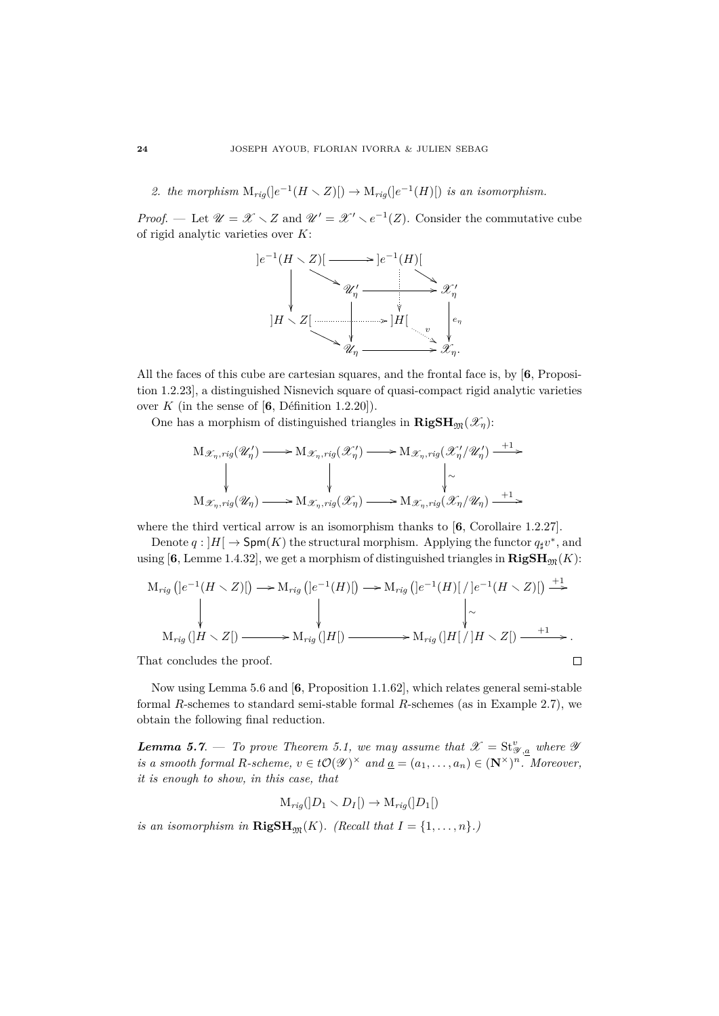2. the morphism  $\text{M}_{rig}([e^{-1}(H \setminus Z)]) \to \text{M}_{rig}([e^{-1}(H)])$  is an isomorphism.

*Proof.* — Let  $\mathscr{U} = \mathscr{X} \setminus Z$  and  $\mathscr{U}' = \mathscr{X}' \setminus e^{-1}(Z)$ . Consider the commutative cube of rigid analytic varieties over *K*:



All the faces of this cube are cartesian squares, and the frontal face is, by [**6**, Proposition 1.2.23], a distinguished Nisnevich square of quasi-compact rigid analytic varieties over  $K$  (in the sense of  $[6,$  Définition 1.2.20]).

One has a morphism of distinguished triangles in  $\mathbf{RigSH}_{m}(\mathscr{X}_{n})$ :

$$
\begin{array}{ccc}\n\mathrm{M}_{\mathscr{X}_{\eta},rig}(\mathscr{U}_{\eta}') & \longrightarrow \mathrm{M}_{\mathscr{X}_{\eta},rig}(\mathscr{X}_{\eta}') \longrightarrow & \mathrm{M}_{\mathscr{X}_{\eta},rig}(\mathscr{X}_{\eta}'/\mathscr{U}_{\eta}') \longrightarrow \\
\downarrow & & \downarrow & & \downarrow \\
\mathrm{M}_{\mathscr{X}_{\eta},rig}(\mathscr{U}_{\eta}) & \longrightarrow & \mathrm{M}_{\mathscr{X}_{\eta},rig}(\mathscr{X}_{\eta}) \longrightarrow & \mathrm{M}_{\mathscr{X}_{\eta},rig}(\mathscr{X}_{\eta}/\mathscr{U}_{\eta}) \longrightarrow \\
\end{array}
$$

where the third vertical arrow is an isomorphism thanks to [**6**, Corollaire 1.2.27].

Denote  $q: |H| \to \text{Spm}(K)$  the structural morphism. Applying the functor  $q_{\sharp}v^*$ , and using [6, Lemme 1.4.32], we get a morphism of distinguished triangles in  $\mathbf{RigSH}_{\mathfrak{M}}(K)$ :

$$
M_{rig}([e^{-1}(H \setminus Z)]) \longrightarrow M_{rig}([e^{-1}(H)[) \longrightarrow M_{rig}([e^{-1}(H)[] / [e^{-1}(H \setminus Z)]) \xrightarrow{+1} \downarrow
$$
  
\n
$$
M_{rig}([H \setminus Z]) \longrightarrow M_{rig}([H]) \longrightarrow M_{rig}([H] / [H \setminus Z]) \xrightarrow{+1}.
$$
  
\n'hat concludes the proof.

That concludes the proof.

Now using Lemma 5.6 and [**6**, Proposition 1.1.62], which relates general semi-stable formal *R*-schemes to standard semi-stable formal *R*-schemes (as in Example 2.7), we obtain the following final reduction.

*Lemma 5.7.* — *To prove Theorem 5.1, we may assume that*  $\mathscr{X} = \text{St}_{\mathscr{Y},\underline{a}}^v$  where  $\mathscr{Y}$ *is a smooth formal R*-scheme,  $v \in t\mathcal{O}(\mathcal{Y})^{\times}$  *and*  $\underline{a} = (a_1, \ldots, a_n) \in (\mathbb{N}^{\times})^n$ *. Moreover, it is enough to show, in this case, that*

$$
M_{rig}(|D_1 \setminus D_I|) \to M_{rig}(|D_1|)
$$

*is an isomorphism in*  $\mathbf{RigSH}_{\mathfrak{M}}(K)$ *. (Recall that*  $I = \{1, \ldots, n\}$ *.)*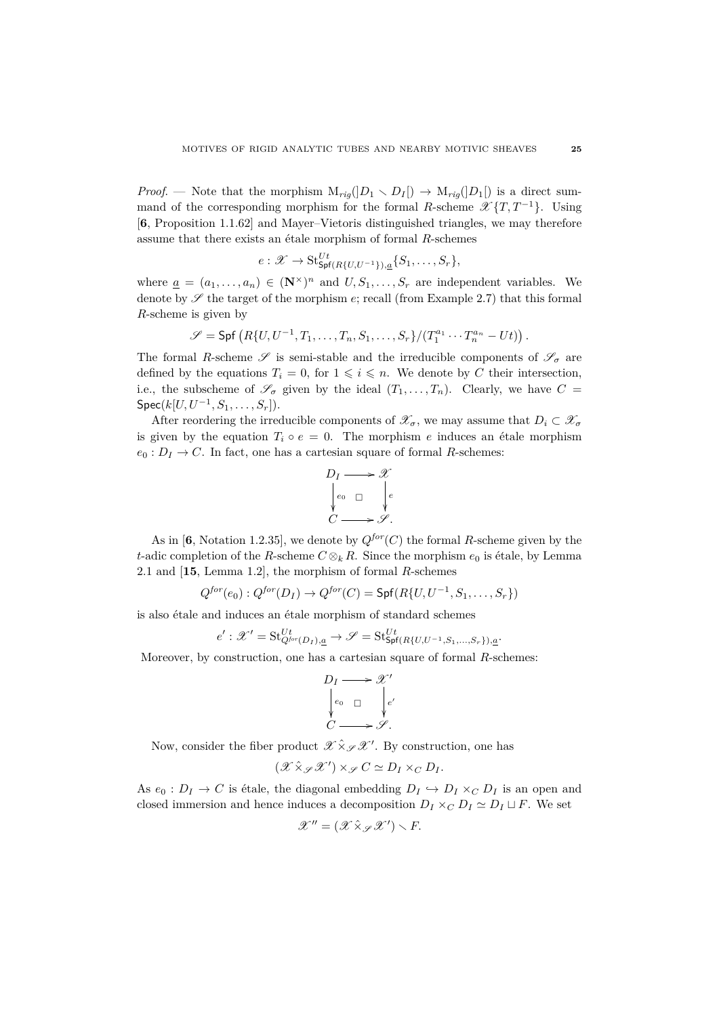*Proof.* — Note that the morphism  $M_{riq}(|D_1 \setminus D_I|) \rightarrow M_{riq}(|D_1|)$  is a direct summand of the corresponding morphism for the formal *R*-scheme  $\mathscr{X}{T,T^{-1}}$ . Using [**6**, Proposition 1.1.62] and Mayer–Vietoris distinguished triangles, we may therefore assume that there exists an étale morphism of formal  $R$ -schemes

$$
e: \mathscr{X} \to \mathop{\mathrm{St}}\nolimits^{Ut}_{\mathsf{Spf}(R\{U,U^{-1}\}),a}\{S_1,\ldots,S_r\},
$$

where  $\underline{a} = (a_1, \ldots, a_n) \in (\mathbb{N}^\times)^n$  and  $U, S_1, \ldots, S_r$  are independent variables. We denote by  $\mathscr S$  the target of the morphism  $e$ ; recall (from Example 2.7) that this formal *R*-scheme is given by

$$
\mathscr{S} = \mathsf{Spf}\left(R\{U, U^{-1}, T_1, \dots, T_n, S_1, \dots, S_r\}/(T_1^{a_1} \cdots T_n^{a_n} - Ut)\right).
$$

The formal *R*-scheme  $\mathscr S$  is semi-stable and the irreducible components of  $\mathscr S_{\sigma}$  are defined by the equations  $T_i = 0$ , for  $1 \leq i \leq n$ . We denote by *C* their intersection, i.e., the subscheme of  $\mathscr{S}_{\sigma}$  given by the ideal  $(T_1, \ldots, T_n)$ . Clearly, we have  $C =$  $\mathsf{Spec}(k[U,U^{-1},S_1,\ldots,S_r]).$ 

After reordering the irreducible components of  $\mathscr{X}_{\sigma}$ , we may assume that  $D_i \subset \mathscr{X}_{\sigma}$ is given by the equation  $T_i \circ e = 0$ . The morphism *e* induces an étale morphism  $e_0: D_I \to C$ . In fact, one has a cartesian square of formal *R*-schemes:



As in [6, Notation 1.2.35], we denote by  $Q^{for}(C)$  the formal *R*-scheme given by the *t*-adic completion of the *R*-scheme  $C \otimes_k R$ . Since the morphism  $e_0$  is étale, by Lemma 2.1 and [**15**, Lemma 1.2], the morphism of formal *R*-schemes

$$
Q^{for}(e_0): Q^{for}(D_I) \rightarrow Q^{for}(C) = \mathsf{Spf}(R\{U, U^{-1}, S_1, \dots, S_r\})
$$

is also étale and induces an étale morphism of standard schemes

$$
e': \mathcal{X}' = \mathbf{St}_{Q^{for}(D_I),\underline{a}}^{Ut} \to \mathcal{S} = \mathbf{St}_{\mathsf{Spf}(R{U,U^{-1},S_1,\ldots,S_r}),\underline{a}}^{Ut}.
$$

Moreover, by construction, one has a cartesian square of formal *R*-schemes:

$$
D_I \longrightarrow \mathscr{X}'
$$
  
\n
$$
\downarrow_{e_0} \square \qquad \downarrow_{e'}
$$
  
\n
$$
C \longrightarrow \mathscr{S}.
$$

Now, consider the fiber product  $\mathscr{X} \hat{\times}_{\mathscr{S}} \mathscr{X}'$ . By construction, one has

$$
(\mathscr{X} \hat{\times}_{\mathscr{S}} \mathscr{X}') \times_{\mathscr{S}} C \simeq D_I \times_C D_I.
$$

As  $e_0: D_I \to C$  is étale, the diagonal embedding  $D_I \hookrightarrow D_I \times_C D_I$  is an open and closed immersion and hence induces a decomposition  $D_I \times_C D_I \simeq D_I \sqcup F$ . We set

$$
\mathscr{X}'' = (\mathscr{X} \hat{\times}_{\mathscr{S}} \mathscr{X}') \smallsetminus F.
$$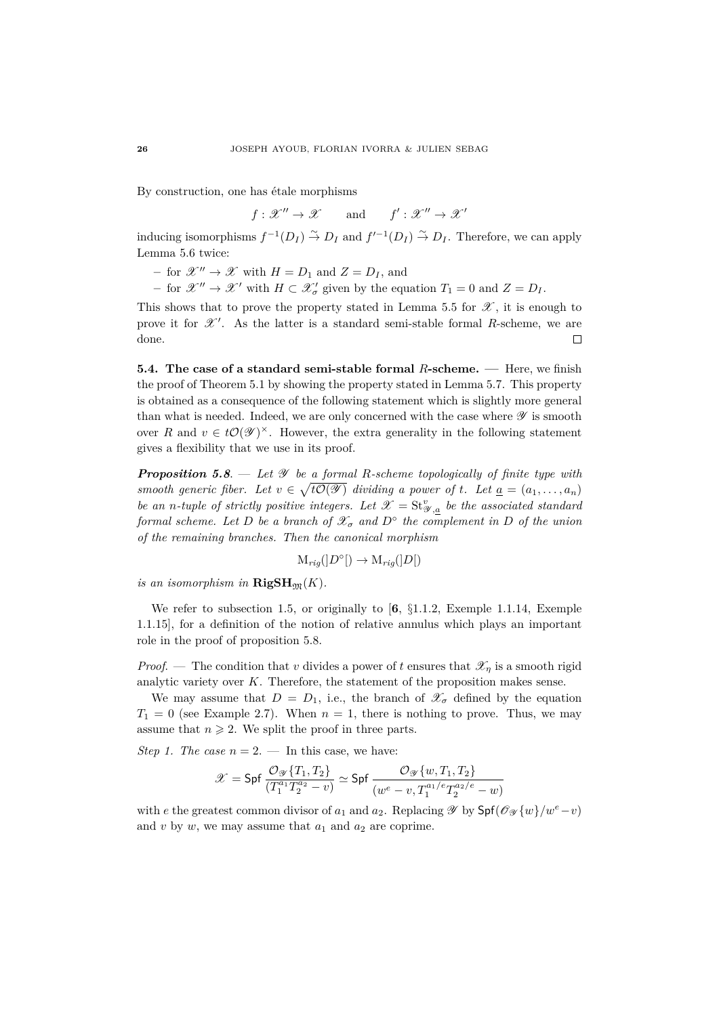By construction, one has étale morphisms

 $f: \mathscr{X}'' \to \mathscr{X}$  and  $f': \mathscr{X}'' \to \mathscr{X}'$ 

inducing isomorphisms  $f^{-1}(D_I) \stackrel{\sim}{\to} D_I$  and  $f'^{-1}(D_I) \stackrel{\sim}{\to} D_I$ . Therefore, we can apply Lemma 5.6 twice:

- $-$  for  $\mathscr{X}'' \to \mathscr{X}$  with  $H = D_1$  and  $Z = D_I$ , and
- *−* for  $\mathscr{X}'' \to \mathscr{X}'$  with *H* ⊂  $\mathscr{X}'_{\sigma}$  given by the equation *T*<sub>1</sub> = 0 and *Z* = *D*<sub>*I*</sub>.

This shows that to prove the property stated in Lemma 5.5 for  $\mathscr{X}$ , it is enough to prove it for  $\mathscr{X}'$ . As the latter is a standard semi-stable formal *R*-scheme, we are done.  $\Box$ 

**5.4. The case of a standard semi-stable formal** *R***-scheme. —** Here, we finish the proof of Theorem 5.1 by showing the property stated in Lemma 5.7. This property is obtained as a consequence of the following statement which is slightly more general than what is needed. Indeed, we are only concerned with the case where  $\mathscr Y$  is smooth over *R* and  $v \in t\mathcal{O}(\mathcal{Y})^{\times}$ . However, the extra generality in the following statement gives a flexibility that we use in its proof.

*Proposition 5.8*. — *Let* Y *be a formal R-scheme topologically of finite type with smooth generic fiber.* Let  $v \in \sqrt{t\mathcal{O}(\mathcal{Y})}$  dividing a power of t. Let  $\underline{a} = (a_1, \ldots, a_n)$ *be an n-tuple of strictly positive integers. Let*  $\mathcal{X} = \mathbf{St}_{\mathcal{Y},\underline{a}}^v$  *be the associated standard formal scheme. Let D be a branch of*  $\mathscr{X}_{\sigma}$  *and*  $D^{\circ}$  *the complement in D of the union of the remaining branches. Then the canonical morphism*

$$
\mathcal{M}_{rig}(|D^{\circ}|) \to \mathcal{M}_{rig}(|D|)
$$

*is an isomorphism in*  $\mathbf{RigSH}_{\mathfrak{M}}(K)$ *.* 

We refer to subsection 1.5, or originally to [**6**, §1.1.2, Exemple 1.1.14, Exemple 1.1.15], for a definition of the notion of relative annulus which plays an important role in the proof of proposition 5.8.

*Proof.* — The condition that *v* divides a power of *t* ensures that  $\mathscr{X}_n$  is a smooth rigid analytic variety over *K*. Therefore, the statement of the proposition makes sense.

We may assume that  $D = D_1$ , i.e., the branch of  $\mathscr{X}_{\sigma}$  defined by the equation  $T_1 = 0$  (see Example 2.7). When  $n = 1$ , there is nothing to prove. Thus, we may assume that  $n \geqslant 2$ . We split the proof in three parts.

*Step 1. The case*  $n = 2$ . — In this case, we have:

$$
\mathscr{X} = \mathsf{Spf}\,\frac{\mathcal{O}_{\mathscr{Y}}\{T_1, T_2\}}{(T_1^{a_1}T_2^{a_2} - v)} \simeq \mathsf{Spf}\,\frac{\mathcal{O}_{\mathscr{Y}}\{w, T_1, T_2\}}{(w^e - v, T_1^{a_1/e}T_2^{a_2/e} - w)}
$$

with *e* the greatest common divisor of  $a_1$  and  $a_2$ . Replacing  $\mathscr Y$  by  $\mathsf{Spf}(\mathscr O_{\mathscr Y}\{w\}/w^e-v)$ and  $v$  by  $w$ , we may assume that  $a_1$  and  $a_2$  are coprime.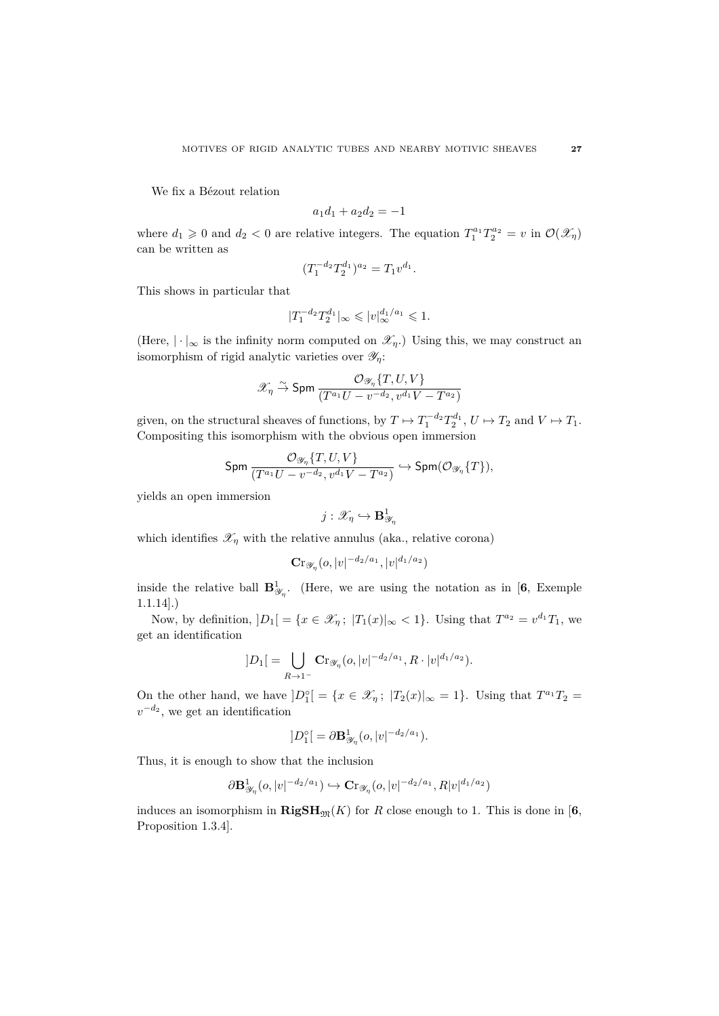We fix a Bézout relation

$$
a_1d_1 + a_2d_2 = -1
$$

where  $d_1 \geq 0$  and  $d_2 < 0$  are relative integers. The equation  $T_1^{a_1} T_2^{a_2} = v$  in  $\mathcal{O}(\mathscr{X}_\eta)$ can be written as

$$
(T_1^{-d_2}T_2^{d_1})^{a_2} = T_1v^{d_1}.
$$

This shows in particular that

$$
|T_1^{-d_2}T_2^{d_1}|_{\infty} \leqslant |v|_{\infty}^{d_1/a_1} \leqslant 1.
$$

(Here,  $|\cdot|_{\infty}$  is the infinity norm computed on  $\mathscr{X}_n$ .) Using this, we may construct an isomorphism of rigid analytic varieties over Y*η*:

$$
\mathscr{X}_{\eta} \stackrel{\sim}{\to} \mathrm{Spm}\,\frac{\mathcal{O}_{\mathscr{Y}_{\eta}}\{T,U,V\}}{(T^{a_1}U-v^{-d_2},v^{d_1}V-T^{a_2})}
$$

given, on the structural sheaves of functions, by  $T \mapsto T_1^{-d_2} T_2^{d_1}$ ,  $U \mapsto T_2$  and  $V \mapsto T_1$ . Compositing this isomorphism with the obvious open immersion

$$
\text{Spm}\frac{\mathcal{O}_{\mathscr{Y}_{\eta}}\{T,U,V\}}{(T^{a_1}U-v^{-d_2},v^{d_1}V-T^{a_2})}\hookrightarrow \text{Spm}(\mathcal{O}_{\mathscr{Y}_{\eta}}\{T\}),
$$

yields an open immersion

$$
j:\mathscr{X}_{\eta}\hookrightarrow{\mathbf{B}}^1_{\mathscr{Y}_{\eta}}
$$

which identifies  $\mathscr{X}_{\eta}$  with the relative annulus (aka., relative corona)

$$
\mathbf{Cr}_{\mathscr{Y}_{\eta}}(o,|v|^{-d_2/a_1},|v|^{d_1/a_2})
$$

inside the relative ball  $\mathbf{B}^1_{\mathscr{Y}_n}$ . (Here, we are using the notation as in [6, Exemple 1.1.14].)

Now, by definition,  $|D_1| = \{x \in \mathcal{X}_\eta; |T_1(x)|_\infty < 1\}$ . Using that  $T^{a_2} = v^{d_1}T_1$ , we get an identification

$$
]D_1[ = \bigcup_{R \to 1^-} \mathbf{Cr}_{\mathscr{Y}_\eta}(o, |v|^{-d_2/a_1}, R \cdot |v|^{d_1/a_2}).
$$

On the other hand, we have  $|D_1^{\circ}| = \{x \in \mathcal{X}_\eta; |T_2(x)|_\infty = 1\}$ . Using that  $T^{a_1}T_2 =$  $v^{-d_2}$ , we get an identification

$$
]D_1^\circ[ = \partial \mathbf{B}^1_{\mathscr{Y}_\eta}(o,|v|^{-d_2/a_1}).
$$

Thus, it is enough to show that the inclusion

$$
\partial \mathbf{B}_{\mathcal{Y}_\eta}^1(o,|v|^{-d_2/a_1}) \hookrightarrow \mathbf{C}r_{\mathcal{Y}_\eta}(o,|v|^{-d_2/a_1},R|v|^{d_1/a_2})
$$

induces an isomorphism in  $\mathbf{RigSH}_{\mathfrak{M}}(K)$  for *R* close enough to 1. This is done in [6, Proposition 1.3.4].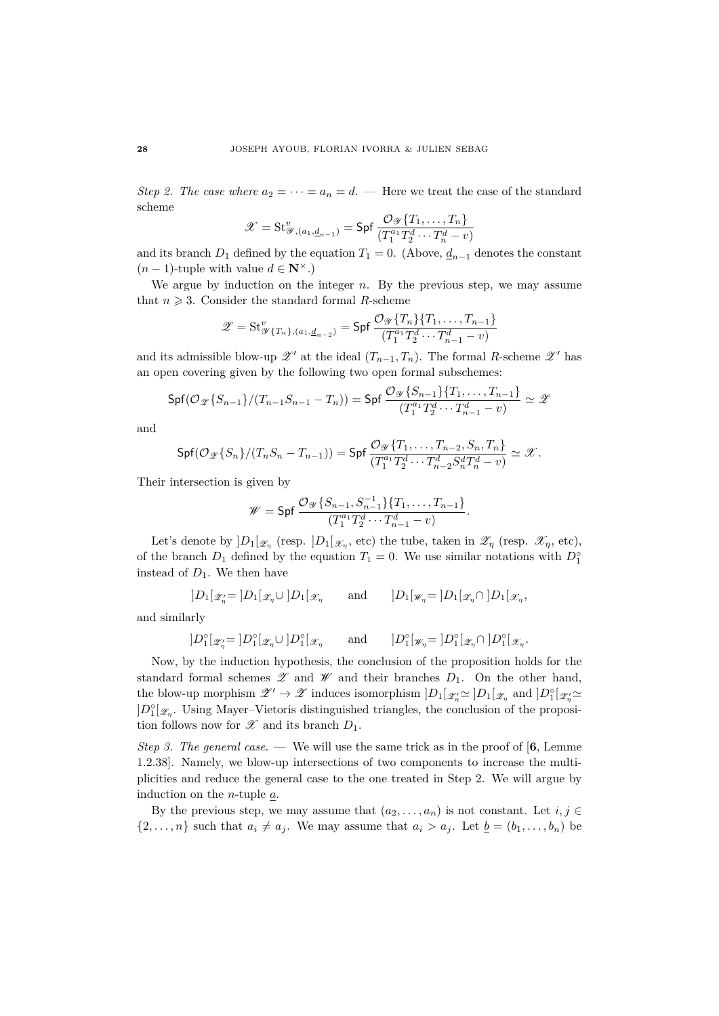*Step 2. The case where*  $a_2 = \cdots = a_n = d$ . — Here we treat the case of the standard scheme

$$
\mathcal{X} = \mathrm{St}_{\mathcal{Y}, (a_1, \underline{d}_{n-1})}^{\upsilon} = \mathsf{Spf} \, \frac{\mathcal{O}_{\mathcal{Y}}\{T_1, \dots, T_n\}}{(T_1^{a_1} T_2^d \cdots T_n^d - \upsilon)}
$$

and its branch  $D_1$  defined by the equation  $T_1 = 0$ . (Above,  $\underline{d}_{n-1}$  denotes the constant  $(n-1)$ -tuple with value  $d \in \mathbb{N}^{\times}$ .)

We argue by induction on the integer *n*. By the previous step, we may assume that  $n \geqslant 3$ . Consider the standard formal *R*-scheme

$$
\mathscr{Z} = \mathrm{St}_{\mathscr{Y}\{T_n\},(a_1,\underline{d}_{n-2})}^v = \mathsf{Spf}\ \frac{\mathcal{O}_{\mathscr{Y}}\{T_n\}\{T_1,\ldots,T_{n-1}\}}{(T_1^{a_1}T_2^d\cdots T_{n-1}^d - v)}
$$

and its admissible blow-up  $\mathscr{Z}'$  at the ideal  $(T_{n-1}, T_n)$ . The formal *R*-scheme  $\mathscr{Z}'$  has an open covering given by the following two open formal subschemes:

$$
\mathsf{Spf}(\mathcal{O}_{\mathscr{Z}}\{S_{n-1}\}/(T_{n-1}S_{n-1}-T_n))=\mathsf{Spf}\ \frac{\mathcal{O}_{\mathscr{Y}}\{S_{n-1}\}\{T_1,\ldots,T_{n-1}\}}{(T_1^{a_1}T_2^d\cdots T_{n-1}^d-v)}\simeq\mathscr{Z}
$$

and

$$
\mathsf{Spf}(\mathcal{O}_{\mathscr{Z}}\{S_n\}/(T_nS_n-T_{n-1}))=\mathsf{Spf}\,\frac{\mathcal{O}_{\mathscr{Y}}\{T_1,\ldots,T_{n-2},S_n,T_n\}}{(T_1^{a_1}T_2^d\cdots T_{n-2}^dS_n^dT_n^d-v)}\simeq \mathscr{X}.
$$

Their intersection is given by

$$
\mathscr{W} = \mathsf{Spf}\,\frac{\mathcal{O}_{\mathscr{Y}}\{S_{n-1}, S_{n-1}^{-1}\} \{T_1, \dots, T_{n-1}\}}{(T_1^{a_1} T_2^d \cdots T_{n-1}^d - v)}.
$$

Let's denote by  $]D_1[\mathscr{Z}_\eta \text{ (resp. } ]D_1[\mathscr{X}_\eta, \text{ etc})$  the tube, taken in  $\mathscr{Z}_\eta \text{ (resp. } \mathscr{X}_\eta, \text{ etc}),$ of the branch  $D_1$  defined by the equation  $T_1 = 0$ . We use similar notations with  $D_1^{\circ}$ instead of  $D_1$ . We then have

$$
]D_1[\mathscr{Z}_\eta = ]D_1[\mathscr{Z}_\eta \cup ]D_1[\mathscr{X}_\eta \quad \text{and} \quad ]D_1[\mathscr{W}_\eta = ]D_1[\mathscr{Z}_\eta \cap ]D_1[\mathscr{X}_\eta,
$$

and similarly

$$
]D_1^{\circ}[\mathscr{Z}'_n = ]D_1^{\circ}[\mathscr{Z}_n \cup ]D_1^{\circ}[\mathscr{X}_n \qquad \text{and} \qquad ]D_1^{\circ}[\mathscr{W}_n = ]D_1^{\circ}[\mathscr{Z}_n \cap ]D_1^{\circ}[\mathscr{X}_n.
$$

Now, by the induction hypothesis, the conclusion of the proposition holds for the standard formal schemes  $\mathscr Z$  and  $\mathscr W$  and their branches  $D_1$ . On the other hand, the blow-up morphism  $\mathscr{Z}' \to \mathscr{Z}$  induces isomorphism  $]D_1[\mathscr{Z}_n \simeq]D_1[\mathscr{Z}_n$  and  $]D_1^{\circ}[\mathscr{Z}_n \simeq]$  $]D_1^{\circ}[\mathscr{Z}_n]$ . Using Mayer–Vietoris distinguished triangles, the conclusion of the proposition follows now for  $\mathscr X$  and its branch  $D_1$ .

*Step 3. The general case*. — We will use the same trick as in the proof of [**6**, Lemme 1.2.38]. Namely, we blow-up intersections of two components to increase the multiplicities and reduce the general case to the one treated in Step 2. We will argue by induction on the *n*-tuple *a*.

By the previous step, we may assume that  $(a_2, \ldots, a_n)$  is not constant. Let  $i, j \in$  $\{2,\ldots,n\}$  such that  $a_i \neq a_j$ . We may assume that  $a_i > a_j$ . Let  $\underline{b} = (b_1,\ldots,b_n)$  be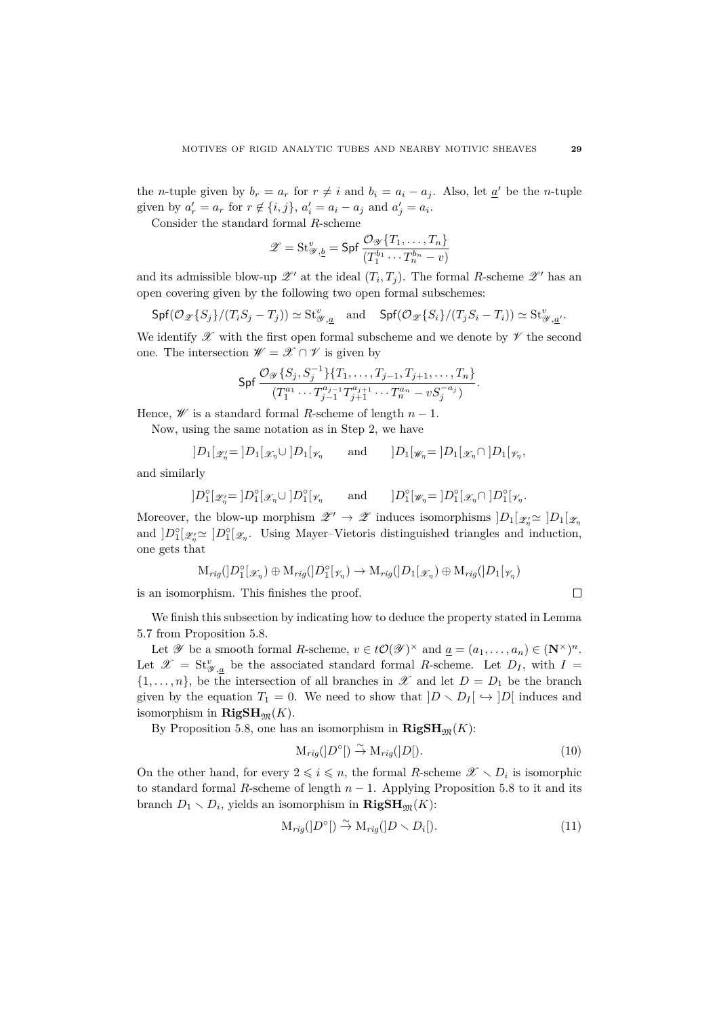the *n*-tuple given by  $b_r = a_r$  for  $r \neq i$  and  $b_i = a_i - a_j$ . Also, let  $\underline{a}'$  be the *n*-tuple given by  $a'_r = a_r$  for  $r \notin \{i, j\}$ ,  $a'_i = a_i - a_j$  and  $a'_j = a_i$ .

Consider the standard formal *R*-scheme

$$
\mathscr{Z} = \operatorname{St}_{\mathscr{Y},\underline{b}}^v = \operatorname{\mathsf{Spf}} \frac{\mathcal{O}_{\mathscr{Y}}\{T_1,\ldots,T_n\}}{(T_1^{b_1}\cdots T_n^{b_n}-v)}
$$

and its admissible blow-up  $\mathscr{Z}'$  at the ideal  $(T_i, T_j)$ . The formal *R*-scheme  $\mathscr{Z}'$  has an open covering given by the following two open formal subschemes:

$$
\mathsf{Spf}(\mathcal{O}_{\mathscr{Z}}\{S_j\}/(T_iS_j-T_j))\simeq \mathrm{St}_{\mathscr{Y},\underline{a}}^v \quad \text{and} \quad \mathsf{Spf}(\mathcal{O}_{\mathscr{Z}}\{S_i\}/(T_jS_i-T_i))\simeq \mathrm{St}_{\mathscr{Y},\underline{a}'}^v.
$$

We identify  $\mathscr X$  with the first open formal subscheme and we denote by  $\mathscr V$  the second one. The intersection  $\mathscr{W} = \mathscr{X} \cap \mathscr{V}$  is given by

$$
\mathsf{Spf}\,\frac{\mathcal{O}_{\mathscr{Y}}\{S_j,S_j^{-1}\}\{T_1,\ldots,T_{j-1},T_{j+1},\ldots,T_n\}}{(T_1^{a_1}\cdots T_{j-1}^{a_{j-1}}T_{j+1}^{a_{j+1}}\cdots T_n^{a_n}-vS_j^{-a_j})}.
$$

Hence,  $W$  is a standard formal *R*-scheme of length  $n-1$ .

Now, using the same notation as in Step 2, we have

$$
]D_1[\mathscr{Z}'_{\eta} = ]D_1[\mathscr{X}_{\eta} \cup ]D_1[\mathscr{V}_{\eta} \qquad \text{and} \qquad ]D_1[\mathscr{W}_{\eta} = ]D_1[\mathscr{X}_{\eta} \cap ]D_1[\mathscr{V}_{\eta},
$$

and similarly

$$
]D_1^{\circ}[\mathscr{Z}'_{\eta} = ]D_1^{\circ}[\mathscr{X}_{\eta} \cup ]D_1^{\circ}[\mathscr{V}_{\eta} \qquad \text{and} \qquad ]D_1^{\circ}[\mathscr{W}_{\eta} = ]D_1^{\circ}[\mathscr{X}_{\eta} \cap ]D_1^{\circ}[\mathscr{V}_{\eta} .
$$

Moreover, the blow-up morphism  $\mathscr{Z}' \to \mathscr{Z}$  induces isomorphisms  $]D_1[\mathscr{Z}_n \simeq]D_1[\mathscr{Z}_n]$ and  $]D_1^{\circ}[\mathscr{Z}_n] \simeq ]D_1^{\circ}[\mathscr{Z}_n]$ . Using Mayer–Vietoris distinguished triangles and induction, one gets that

$$
\mathrm{M}_{rig}(]D_1^{\circ}[_{{\mathcal X}_\eta})\oplus \mathrm{M}_{rig}(]D_1^{\circ}[\gamma_\eta)\to \mathrm{M}_{rig}(]D_1[{}_{\mathscr X_\eta})\oplus \mathrm{M}_{rig}(]D_1[\gamma_\eta)
$$

is an isomorphism. This finishes the proof.

We finish this subsection by indicating how to deduce the property stated in Lemma 5.7 from Proposition 5.8.

Let  $\mathscr Y$  be a smooth formal *R*-scheme,  $v \in t\mathcal{O}(\mathscr Y)^\times$  and  $\underline{a} = (a_1, \ldots, a_n) \in (\mathbb N^\times)^n$ . Let  $\mathscr{X} = \mathbf{St}_{\mathscr{Y},\underline{a}}^v$  be the associated standard formal *R*-scheme. Let  $D_I$ , with  $I =$  $\{1, \ldots, n\}$ , be the intersection of all branches in  $\mathscr X$  and let  $D = D_1$  be the branch given by the equation  $T_1 = 0$ . We need to show that  $|D \setminus D_I| \hookrightarrow |D|$  induces and isomorphism in  $\mathbf{RigSH}_{m}(K)$ .

By Proposition 5.8, one has an isomorphism in  $\mathbf{RigSH}_{\mathfrak{M}}(K)$ :

$$
\mathcal{M}_{rig}([D^{\circ}]) \stackrel{\sim}{\to} \mathcal{M}_{rig}([D]). \tag{10}
$$

 $\Box$ 

On the other hand, for every  $2 \leq i \leq n$ , the formal *R*-scheme  $\mathscr{X} \setminus D_i$  is isomorphic to standard formal *R*-scheme of length  $n-1$ . Applying Proposition 5.8 to it and its branch  $D_1 \setminus D_i$ , yields an isomorphism in  $\mathbf{RigSH}_{\mathfrak{M}}(K)$ :

$$
\mathcal{M}_{rig}([D^{\circ}]) \stackrel{\sim}{\to} \mathcal{M}_{rig}([D \smallsetminus D_i]). \tag{11}
$$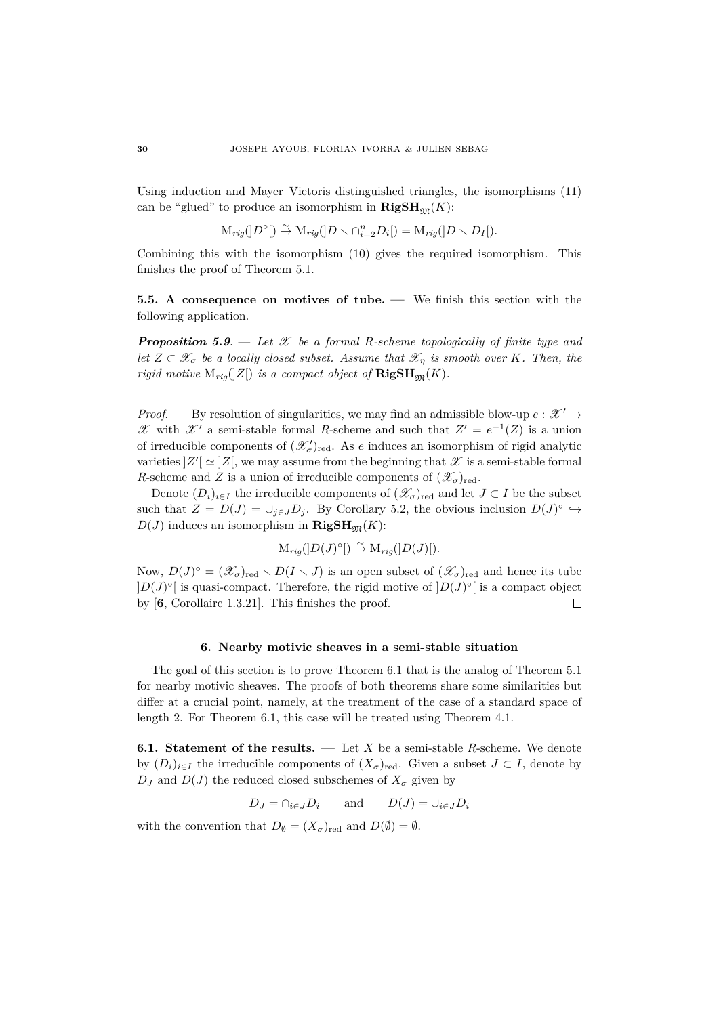Using induction and Mayer–Vietoris distinguished triangles, the isomorphisms (11) can be "glued" to produce an isomorphism in  $\mathbf{RigSH}_{m}(K)$ :

$$
\mathcal{M}_{rig}([D^{\circ}]) \stackrel{\sim}{\to} \mathcal{M}_{rig}([D \smallsetminus \cap_{i=2}^{n} D_i]) = \mathcal{M}_{rig}([D \smallsetminus D_I]).
$$

Combining this with the isomorphism (10) gives the required isomorphism. This finishes the proof of Theorem 5.1.

**5.5. A consequence on motives of tube. —** We finish this section with the following application.

*Proposition 5.9*. — *Let* X *be a formal R-scheme topologically of finite type and let*  $Z \subset \mathscr{X}_{\sigma}$  *be a locally closed subset. Assume that*  $\mathscr{X}_{\eta}$  *is smooth over K. Then, the rigid motive*  $M_{riq}(|Z|)$  *is a compact object of*  $\mathbf{RigSH}_{\mathfrak{M}}(K)$ *.* 

*Proof.* — By resolution of singularities, we may find an admissible blow-up  $e : \mathcal{X}' \rightarrow$ *X* with *X*<sup>*'*</sup> a semi-stable formal *R*-scheme and such that *Z'* =  $e^{-1}(Z)$  is a union of irreducible components of  $(\mathcal{X}'_{\sigma})_{\text{red}}$ . As *e* induces an isomorphism of rigid analytic varieties  $Z'[\simeq]Z[$ , we may assume from the beginning that  $\mathscr X$  is a semi-stable formal *R*-scheme and *Z* is a union of irreducible components of  $(\mathscr{X}_{\sigma})_{\text{red}}$ .

Denote  $(D_i)_{i \in I}$  the irreducible components of  $(\mathscr{X}_{\sigma})_{\text{red}}$  and let  $J \subset I$  be the subset such that  $Z = D(J) = \bigcup_{j \in J} D_j$ . By Corollary 5.2, the obvious inclusion  $D(J)^\circ \hookrightarrow$  $D(J)$  induces an isomorphism in **RigSH**<sub>M</sub> $(K)$ :

$$
\mathrm{M}_{rig}([D(J)^{\circ}]) \stackrel{\sim}{\to} \mathrm{M}_{rig}([D(J)]).
$$

Now,  $D(J)^\circ = (\mathscr{X}_{\sigma})_{\text{red}} \setminus D(I \setminus J)$  is an open subset of  $(\mathscr{X}_{\sigma})_{\text{red}}$  and hence its tube  $|D(J)^\circ|$  is quasi-compact. Therefore, the rigid motive of  $|D(J)^\circ|$  is a compact object by [**6**, Corollaire 1.3.21]. This finishes the proof.  $\Box$ 

## **6. Nearby motivic sheaves in a semi-stable situation**

The goal of this section is to prove Theorem 6.1 that is the analog of Theorem 5.1 for nearby motivic sheaves. The proofs of both theorems share some similarities but differ at a crucial point, namely, at the treatment of the case of a standard space of length 2. For Theorem 6.1, this case will be treated using Theorem 4.1.

**6.1. Statement of the results. —** Let *X* be a semi-stable *R*-scheme. We denote by  $(D_i)_{i \in I}$  the irreducible components of  $(X_{\sigma})_{\text{red}}$ . Given a subset  $J \subset I$ , denote by  $D_J$  and  $D(J)$  the reduced closed subschemes of  $X_{\sigma}$  given by

$$
D_J = \cap_{i \in J} D_i
$$
 and  $D(J) = \cup_{i \in J} D_i$ 

with the convention that  $D_{\emptyset} = (X_{\sigma})_{\text{red}}$  and  $D(\emptyset) = \emptyset$ .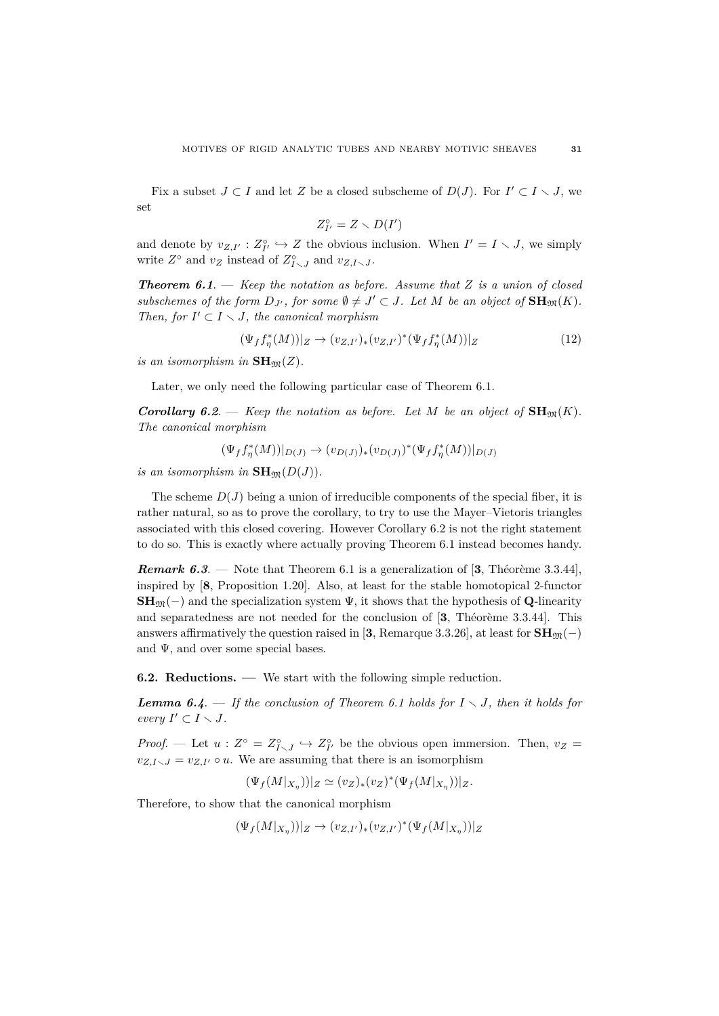Fix a subset  $J \subset I$  and let Z be a closed subscheme of  $D(J)$ . For  $I' \subset I \setminus J$ , we set

$$
Z_{I'}^{\circ}=Z\smallsetminus D(I')
$$

and denote by  $v_{Z,I'} : Z_{I'}^{\circ} \hookrightarrow Z$  the obvious inclusion. When  $I' = I \setminus J$ , we simply write  $Z^{\circ}$  and  $v_Z$  instead of  $Z^{\circ}_{I \smallsetminus J}$  and  $v_{Z, I \smallsetminus J}$ .

*Theorem 6.1*. — *Keep the notation as before. Assume that Z is a union of closed subschemes of the form*  $D_{J'}$ , for some  $\emptyset \neq J' \subset J$ . Let M be an object of  $\mathbf{SH}_{\mathfrak{M}}(K)$ . *Then, for*  $I' \subset I \setminus J$ *, the canonical morphism* 

$$
(\Psi_f f_\eta^*(M))|_Z \to (v_{Z,I'})_*(v_{Z,I'})^*(\Psi_f f_\eta^*(M))|_Z
$$
\n(12)

*is an isomorphism in*  $\mathbf{SH}_{\mathfrak{M}}(Z)$ *.* 

Later, we only need the following particular case of Theorem 6.1.

*Corollary 6.2.* — *Keep the notation as before. Let M be an object of*  $\mathbf{SH}_{\mathfrak{M}}(K)$ *. The canonical morphism*

 $(\Psi_f f_\eta^*(M))|_{D(J)} \to (v_{D(J)})_*(v_{D(J)})^*(\Psi_f f_\eta^*(M))|_{D(J)}$ 

*is an isomorphism in*  $\mathbf{SH}_{\mathfrak{M}}(D(J)).$ 

The scheme  $D(J)$  being a union of irreducible components of the special fiber, it is rather natural, so as to prove the corollary, to try to use the Mayer–Vietoris triangles associated with this closed covering. However Corollary 6.2 is not the right statement to do so. This is exactly where actually proving Theorem 6.1 instead becomes handy.

**Remark 6.3.** — Note that Theorem 6.1 is a generalization of [3, Théorème 3.3.44], inspired by [**8**, Proposition 1.20]. Also, at least for the stable homotopical 2-functor **SH**<sub>M</sub>(−) and the specialization system  $\Psi$ , it shows that the hypothesis of **Q**-linearity and separatedness are not needed for the conclusion of [3, Théorème 3.3.44]. This answers affirmatively the question raised in [**3**, Remarque 3.3.26], at least for  $SH_{\mathfrak{M}}(-)$ and  $\Psi$ , and over some special bases.

**6.2. Reductions. —** We start with the following simple reduction.

*Lemma 6.4.* — If the conclusion of Theorem 6.1 holds for  $I \setminus J$ , then it holds for *every*  $I' \subset I \setminus J$ *.* 

*Proof.* — Let  $u: Z^{\circ} = Z^{\circ}_{I \setminus J} \hookrightarrow Z^{\circ}_{I'}$  be the obvious open immersion. Then,  $v_Z =$  $v_{Z,I}$ ,  $I = v_{Z,I'} \circ u$ . We are assuming that there is an isomorphism

 $(\Psi_f(M|_{X_{\eta}}))|_Z \simeq (v_Z)_*(v_Z)^*(\Psi_f(M|_{X_{\eta}}))|_Z.$ 

Therefore, to show that the canonical morphism

 $(\Psi_f(M|_{X_{\eta}}))|_Z \to (v_{Z,I'})_*(v_{Z,I'})^*(\Psi_f(M|_{X_{\eta}}))|_Z$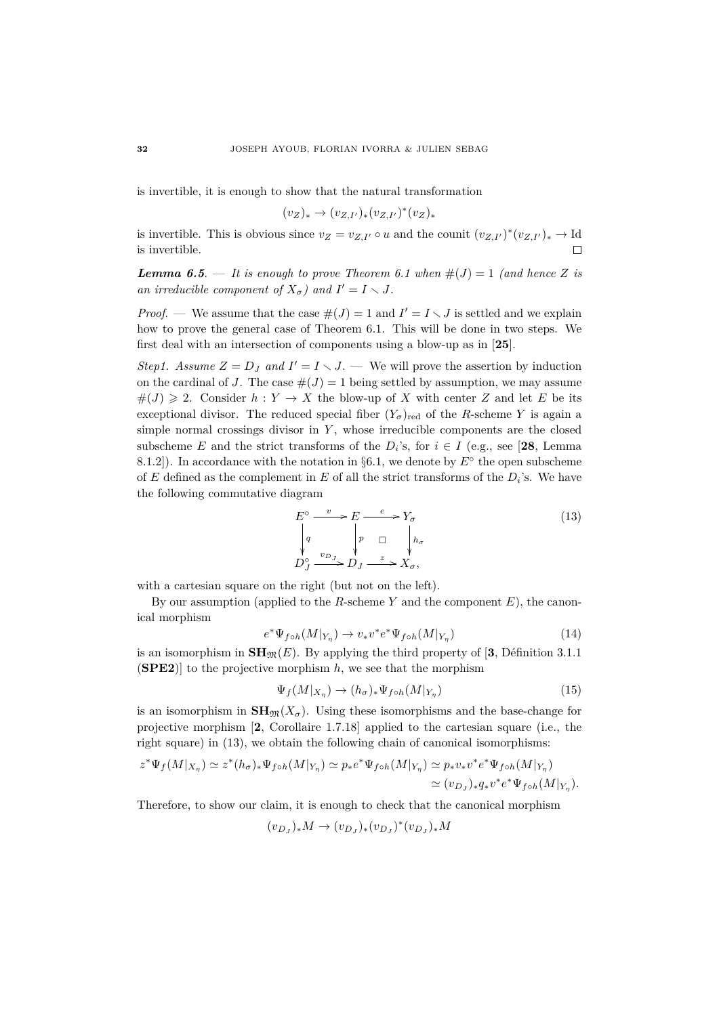is invertible, it is enough to show that the natural transformation

$$
(v_Z)_* \to (v_{Z,I'})_*(v_{Z,I'})^*(v_Z)_*
$$

is invertible. This is obvious since  $v_Z = v_{Z,I'} \circ u$  and the counit  $(v_{Z,I'})^*(v_{Z,I'})_* \to \text{Id}$ is invertible.  $\Box$ 

*Lemma 6.5.* — *It is enough to prove Theorem 6.1 when*  $\#(J) = 1$  *(and hence Z is an irreducible component of*  $X_{\sigma}$ *)* and  $I' = I \setminus J$ .

*Proof.* — We assume that the case  $\#(J) = 1$  and  $I' = I \setminus J$  is settled and we explain how to prove the general case of Theorem 6.1. This will be done in two steps. We first deal with an intersection of components using a blow-up as in [**25**].

*Step1. Assume*  $Z = D_J$  *and*  $I' = I \setminus J$ . — We will prove the assertion by induction on the cardinal of *J*. The case  $#(J) = 1$  being settled by assumption, we may assume  $#(J) \geq 2$ . Consider  $h: Y \to X$  the blow-up of X with center Z and let E be its exceptional divisor. The reduced special fiber  $(Y_{\sigma})_{\text{red}}$  of the *R*-scheme *Y* is again a simple normal crossings divisor in *Y* , whose irreducible components are the closed subscheme *E* and the strict transforms of the  $D_i$ 's, for  $i \in I$  (e.g., see [28, Lemma 8.1.2]). In accordance with the notation in  $\S6.1$ , we denote by  $E^{\circ}$  the open subscheme of  $E$  defined as the complement in  $E$  of all the strict transforms of the  $D_i$ 's. We have the following commutative diagram

$$
E^{\circ} \xrightarrow{v} E \xrightarrow{e} Y_{\sigma}
$$
  
\n
$$
\downarrow{q} \qquad \qquad \downarrow{p} \qquad \qquad \downarrow{h_{\sigma}}
$$
  
\n
$$
D_J^{\circ} \xrightarrow{v_{D_J}} D_J \xrightarrow{z} X_{\sigma},
$$
  
\n(13)

with a cartesian square on the right (but not on the left).

By our assumption (applied to the *R*-scheme *Y* and the component *E*), the canonical morphism

$$
e^*\Psi_{f\circ h}(M|_{Y_{\eta}}) \to v_*v^*e^*\Psi_{f\circ h}(M|_{Y_{\eta}}) \tag{14}
$$

is an isomorphism in  $\mathbf{SH}_{\mathfrak{M}}(E)$ . By applying the third property of [3, Définition 3.1.1] (**SPE2**)] to the projective morphism *h*, we see that the morphism

$$
\Psi_f(M|_{X_\eta}) \to (h_\sigma)_* \Psi_{f \circ h}(M|_{Y_\eta}) \tag{15}
$$

is an isomorphism in  $\mathbf{SH}_{\mathfrak{M}}(X_{\sigma})$ . Using these isomorphisms and the base-change for projective morphism [**2**, Corollaire 1.7.18] applied to the cartesian square (i.e., the right square) in (13), we obtain the following chain of canonical isomorphisms:

$$
z^* \Psi_f(M|_{X_\eta}) \simeq z^*(h_\sigma)_* \Psi_{f \circ h}(M|_{Y_\eta}) \simeq p_* e^* \Psi_{f \circ h}(M|_{Y_\eta}) \simeq p_* v_* v^* e^* \Psi_{f \circ h}(M|_{Y_\eta})
$$
  

$$
\simeq (v_{D_J})_* q_* v^* e^* \Psi_{f \circ h}(M|_{Y_\eta}).
$$

Therefore, to show our claim, it is enough to check that the canonical morphism

$$
(v_{D_J})_* M \to (v_{D_J})_* (v_{D_J})^* (v_{D_J})_* M
$$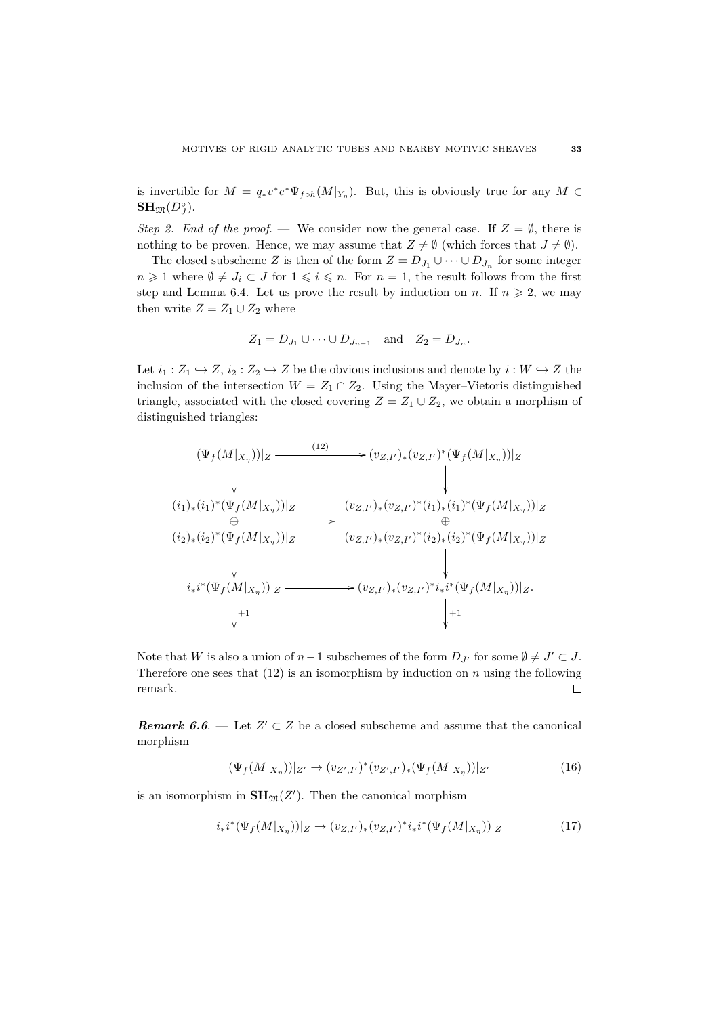is invertible for  $M = q_* v^* e^* \Psi_{f \circ h}(M|_{Y_\eta})$ . But, this is obviously true for any  $M \in$  $\mathbf{SH}_{\mathfrak{M}}(D_J^\circ).$ 

*Step 2. End of the proof.* — We consider now the general case. If  $Z = \emptyset$ , there is nothing to be proven. Hence, we may assume that  $Z \neq \emptyset$  (which forces that  $J \neq \emptyset$ ).

The closed subscheme *Z* is then of the form  $Z = D_{J_1} \cup \cdots \cup D_{J_n}$  for some integer *n* ≥ 1 where  $\emptyset \neq J_i$  ⊂ *J* for  $1 \leq i \leq n$ . For *n* = 1, the result follows from the first step and Lemma 6.4. Let us prove the result by induction on *n*. If  $n \geq 2$ , we may then write  $Z = Z_1 \cup Z_2$  where

$$
Z_1 = D_{J_1} \cup \cdots \cup D_{J_{n-1}}
$$
 and  $Z_2 = D_{J_n}$ .

Let  $i_1 : Z_1 \hookrightarrow Z$ ,  $i_2 : Z_2 \hookrightarrow Z$  be the obvious inclusions and denote by  $i : W \hookrightarrow Z$  the inclusion of the intersection  $W = Z_1 \cap Z_2$ . Using the Mayer–Vietoris distinguished triangle, associated with the closed covering  $Z = Z_1 \cup Z_2$ , we obtain a morphism of distinguished triangles:

$$
(\Psi_f(M|_{X_{\eta}}))|_Z \xrightarrow{\qquad (12)} \qquad \qquad \downarrow (\psi_{f}(M|_{X_{\eta}}))|_Z
$$
\n
$$
(i_1)_*(i_1)^*(\Psi_f(M|_{X_{\eta}}))|_Z \xrightarrow{\qquad (v_{Z,I'})_*(v_{Z,I'})^*(i_1)_*(i_1)^*(\Psi_f(M|_{X_{\eta}}))|_Z
$$
\n
$$
(i_2)_*(i_2)^*(\Psi_f(M|_{X_{\eta}}))|_Z \xrightarrow{\qquad (v_{Z,I'})_*(v_{Z,I'})^*(i_2)_*(i_2)^*(\Psi_f(M|_{X_{\eta}}))|_Z
$$
\n
$$
\downarrow \qquad \qquad \downarrow \qquad \qquad \downarrow \qquad \qquad \downarrow \qquad \qquad \downarrow \qquad \qquad \downarrow \qquad \qquad \downarrow \qquad \qquad \downarrow \qquad \qquad \downarrow \qquad \qquad \downarrow \qquad \qquad \downarrow \qquad \qquad \downarrow \qquad \qquad \downarrow \qquad \qquad \downarrow \qquad \qquad \downarrow \qquad \qquad \downarrow \qquad \qquad \downarrow \qquad \qquad \downarrow \qquad \qquad \downarrow \qquad \qquad \downarrow \qquad \qquad \downarrow \qquad \qquad \downarrow \qquad \qquad \downarrow \qquad \qquad \downarrow \qquad \qquad \downarrow \qquad \qquad \downarrow \qquad \qquad \downarrow \qquad \qquad \downarrow \qquad \qquad \downarrow \qquad \qquad \downarrow \qquad \qquad \downarrow \qquad \qquad \downarrow \qquad \qquad \downarrow \qquad \qquad \downarrow \qquad \qquad \downarrow \qquad \qquad \downarrow \qquad \qquad \downarrow \qquad \qquad \downarrow \qquad \qquad \downarrow \qquad \qquad \downarrow \qquad \qquad \downarrow \qquad \qquad \downarrow \qquad \qquad \downarrow \qquad \qquad \downarrow \qquad \qquad \downarrow \qquad \qquad \downarrow \qquad \qquad \downarrow \qquad \qquad \downarrow \qquad \qquad \downarrow \qquad \qquad \downarrow \qquad \qquad \downarrow \qquad \qquad \downarrow \qquad \qquad \downarrow \qquad \qquad \downarrow \qquad \qquad \downarrow \qquad \qquad \downarrow \qquad \qquad \downarrow \qquad \qquad \downarrow \qquad \qquad \downarrow \qquad \qquad \downarrow \qquad
$$

Note that *W* is also a union of  $n-1$  subschemes of the form  $D_{J'}$  for some  $\emptyset \neq J' \subset J$ . Therefore one sees that  $(12)$  is an isomorphism by induction on *n* using the following remark.  $\Box$ 

*Remark 6.6.* — Let  $Z' \subset Z$  be a closed subscheme and assume that the canonical morphism

$$
(\Psi_f(M|_{X_{\eta}}))|_{Z'} \to (v_{Z',I'})^*(v_{Z',I'})_* (\Psi_f(M|_{X_{\eta}}))|_{Z'} \tag{16}
$$

is an isomorphism in  $\mathbf{SH}_{\mathfrak{M}}(Z')$ . Then the canonical morphism

$$
i_*i^*(\Psi_f(M|_{X_\eta}))|_Z \to (v_{Z,I'})_*(v_{Z,I'})^*i_*i^*(\Psi_f(M|_{X_\eta}))|_Z
$$
\n(17)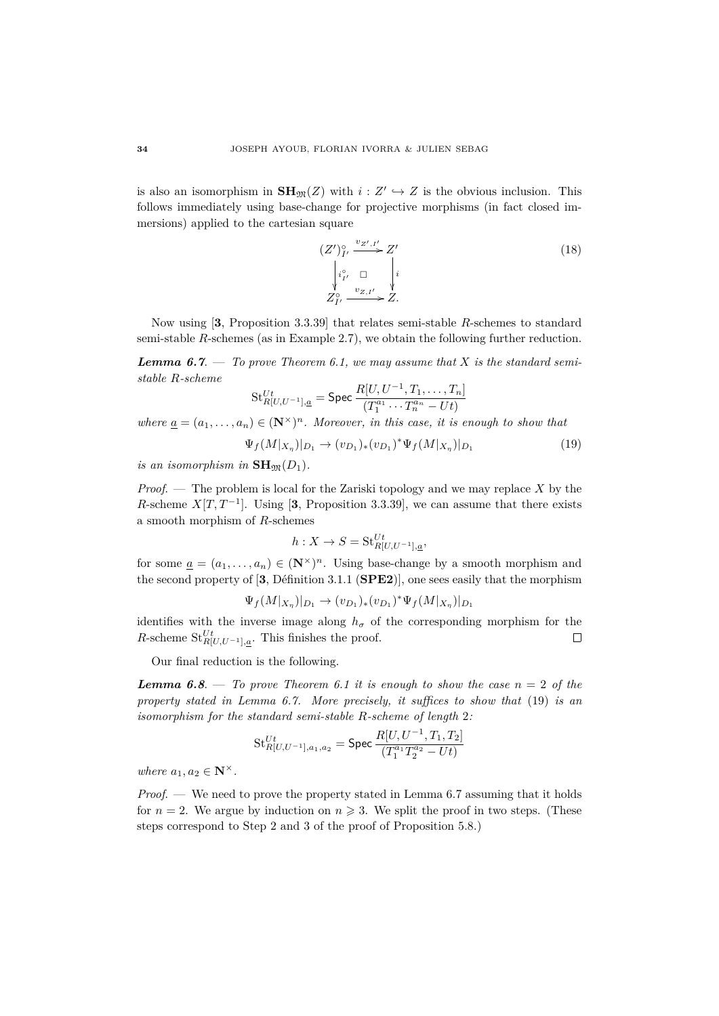is also an isomorphism in  $\mathbf{SH}_{\mathfrak{M}}(Z)$  with  $i: Z' \hookrightarrow Z$  is the obvious inclusion. This follows immediately using base-change for projective morphisms (in fact closed immersions) applied to the cartesian square

$$
(Z')_{I'}^{\circ} \xrightarrow{v_{Z',I'}} Z'
$$
  
\n
$$
\begin{array}{ccc}\n\downarrow_{i_{I'}} & \square & \downarrow_i \\
\downarrow_{i_{I'}} & \square & \downarrow_i \\
Z_{I'}^{\circ} & \downarrow_{Z,I'} \searrow Z.\n\end{array}
$$
\n
$$
(18)
$$

Now using [**3**, Proposition 3.3.39] that relates semi-stable *R*-schemes to standard semi-stable *R*-schemes (as in Example 2.7), we obtain the following further reduction.

*Lemma 6.7.* — *To prove Theorem 6.1, we may assume that*  $X$  *is the standard semistable R-scheme*

$$
\operatorname{St}_{R[U,U^{-1}],\underline{a}}^{Ut} = \operatorname{Spec} \frac{R[U,U^{-1},T_1,\ldots,T_n]}{(T_1^{a_1}\cdots T_n^{a_n} - Ut)}
$$

*where*  $\underline{a} = (a_1, \ldots, a_n) \in (\mathbb{N}^\times)^n$ . Moreover, in this case, it is enough to show that

$$
\Psi_f(M|_{X_{\eta}})|_{D_1} \to (v_{D_1})_*(v_{D_1})^* \Psi_f(M|_{X_{\eta}})|_{D_1}
$$
\n(19)

*is an isomorphism in*  $\mathbf{SH}_{\mathfrak{M}}(D_1)$ *.* 

*Proof*. — The problem is local for the Zariski topology and we may replace *X* by the *R*-scheme  $X[T, T^{-1}]$ . Using [3, Proposition 3.3.39], we can assume that there exists a smooth morphism of *R*-schemes

$$
h: X \to S = \mathbf{St}_{R[U,U^{-1}],a}^{Ut},
$$

for some  $\underline{a} = (a_1, \ldots, a_n) \in (\mathbb{N}^\times)^n$ . Using base-change by a smooth morphism and the second property of  $[3, Définition 3.1.1 (SPE2)],$  one sees easily that the morphism

$$
\Psi_f(M|_{X_{\eta}})|_{D_1} \to (v_{D_1})_*(v_{D_1})^*\Psi_f(M|_{X_{\eta}})|_{D_1}
$$

identifies with the inverse image along  $h_{\sigma}$  of the corresponding morphism for the *R*-scheme  $\mathrm{St}_{R[U,U^{-1}],a}^{Ut}$ . This finishes the proof.  $\Box$ 

Our final reduction is the following.

*Lemma 6.8.* — *To prove Theorem 6.1 it is enough to show the case*  $n = 2$  *of the property stated in Lemma 6.7. More precisely, it suffices to show that* (19) *is an isomorphism for the standard semi-stable R-scheme of length* 2*:*

$$
\operatorname{St}_{R[U,U^{-1}],a_1,a_2}^{Ut}=\operatorname{Spec}\frac{R[U,U^{-1},T_1,T_2]}{(T_1^{a_1}T_2^{a_2}-Ut)}
$$

*where*  $a_1, a_2 \in \mathbb{N}^\times$ .

*Proof.* — We need to prove the property stated in Lemma 6.7 assuming that it holds for  $n = 2$ . We argue by induction on  $n \ge 3$ . We split the proof in two steps. (These steps correspond to Step 2 and 3 of the proof of Proposition 5.8.)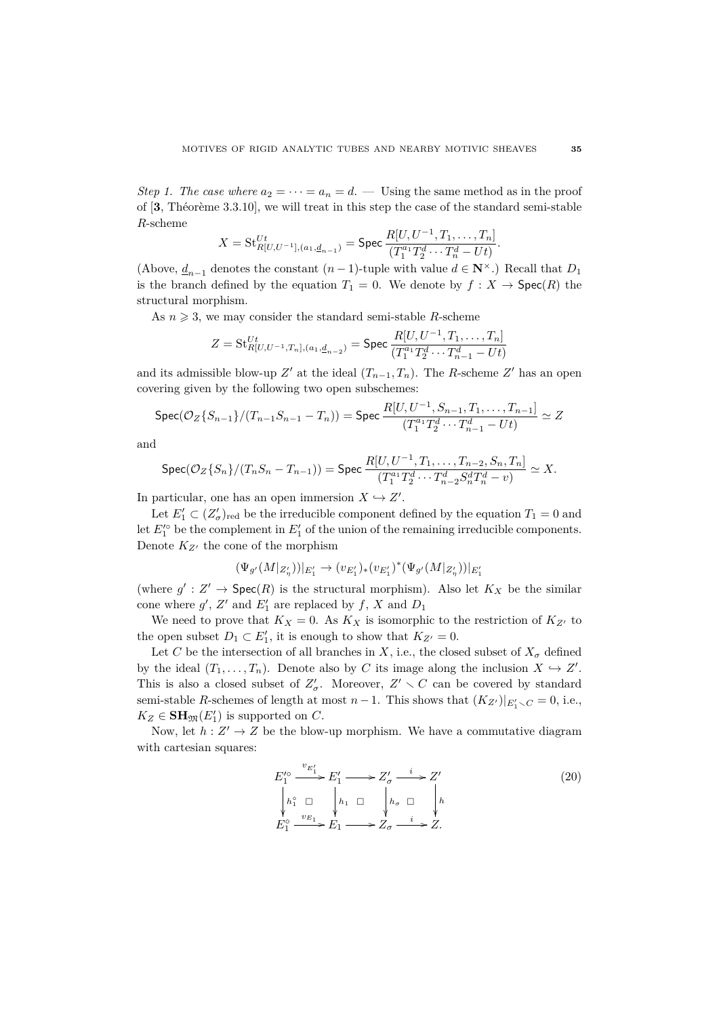*Step 1. The case where*  $a_2 = \cdots = a_n = d$ . — Using the same method as in the proof of [3, Théorème 3.3.10], we will treat in this step the case of the standard semi-stable *R*-scheme

$$
X = \mathrm{St}_{R[U,U^{-1}],(a_1,\underline{d}_{n-1})}^{Ut} = \mathrm{Spec} \frac{R[U,U^{-1},T_1,\ldots,T_n]}{(T_1^{a_1}T_2^d\cdots T_n^d-Ut)}.
$$

(Above,  $d_{n-1}$  denotes the constant  $(n-1)$ -tuple with value  $d \in \mathbb{N}^{\times}$ .) Recall that  $D_1$ is the branch defined by the equation  $T_1 = 0$ . We denote by  $f : X \to \text{Spec}(R)$  the structural morphism.

As  $n \geq 3$ , we may consider the standard semi-stable *R*-scheme

$$
Z = \text{St}_{R[U,U^{-1},T_n],(a_1,\underline{d}_{n-2})}^{Ut} = \text{Spec } \frac{R[U,U^{-1},T_1,\ldots,T_n]}{(T_1^{a_1}T_2^d\cdots T_{n-1}^d - Ut)}
$$

and its admissible blow-up  $Z'$  at the ideal  $(T_{n-1}, T_n)$ . The *R*-scheme  $Z'$  has an open covering given by the following two open subschemes:

$$
\text{Spec}(\mathcal{O}_Z\{S_{n-1}\}/(T_{n-1}S_{n-1}-T_n)) = \text{Spec } \frac{R[U, U^{-1}, S_{n-1}, T_1, \dots, T_{n-1}]}{(T_1^{a_1}T_2^d \cdots T_{n-1}^d - Ut)} \simeq Z
$$

and

$$
\text{Spec}(\mathcal{O}_Z\{S_n\}/(T_nS_n-T_{n-1}))=\text{Spec}\frac{R[U,U^{-1},T_1,\ldots,T_{n-2},S_n,T_n]}{(T_1^{a_1}T_2^d\cdots T_{n-2}^dS_n^{d}T_n^d-v)}\simeq X.
$$

In particular, one has an open immersion  $X \hookrightarrow Z'$ .

(Ψ*<sup>g</sup>*

Let  $E_1' \subset (Z'_\sigma)_{\text{red}}$  be the irreducible component defined by the equation  $T_1 = 0$  and let  $E_1^{\prime}$  be the complement in  $E_1'$  of the union of the remaining irreducible components. Denote  $K_{Z'}$  the cone of the morphism

$$
\Psi_{g'}(M|_{Z'_\eta}))|_{E'_1} \to (v_{E'_1})_*(v_{E'_1})^*(\Psi_{g'}(M|_{Z'_\eta}))|_{E'_1}
$$

(where  $g' : Z' \to \text{Spec}(R)$  is the structural morphism). Also let  $K_X$  be the similar cone where  $g'$ ,  $Z'$  and  $E'_1$  are replaced by  $f$ ,  $X$  and  $D_1$ 

We need to prove that  $K_X = 0$ . As  $K_X$  is isomorphic to the restriction of  $K_{Z'}$  to the open subset  $D_1 \subset E'_1$ , it is enough to show that  $K_{Z'} = 0$ .

Let *C* be the intersection of all branches in *X*, i.e., the closed subset of  $X_{\sigma}$  defined by the ideal  $(T_1, \ldots, T_n)$ . Denote also by *C* its image along the inclusion  $X \hookrightarrow Z'$ . This is also a closed subset of  $Z'_{\sigma}$ . Moreover,  $Z' \setminus C$  can be covered by standard semi-stable *R*-schemes of length at most *n* − 1. This shows that  $(K_{Z'})|_{E'_1 \setminus C} = 0$ , i.e.,  $K_Z \in \mathbf{SH}_{\mathfrak{M}}(E'_1)$  is supported on *C*.

Now, let  $h: Z' \to Z$  be the blow-up morphism. We have a commutative diagram with cartesian squares:

$$
E_1^{\prime \circ} \xrightarrow{v_{E_1'}} E_1' \longrightarrow Z_{\sigma}' \xrightarrow{i} Z'
$$
  
\n
$$
\begin{array}{ccc}\nh_1^{\circ} & \square & \hline \\
h_1^{\circ} & \square & \hline \\
E_1^{\circ} & \searrow & \downarrow \\
E_1^{\circ} & \longrightarrow E_1 \longrightarrow Z_{\sigma} \xrightarrow{i} Z.\n\end{array}
$$
\n
$$
(20)
$$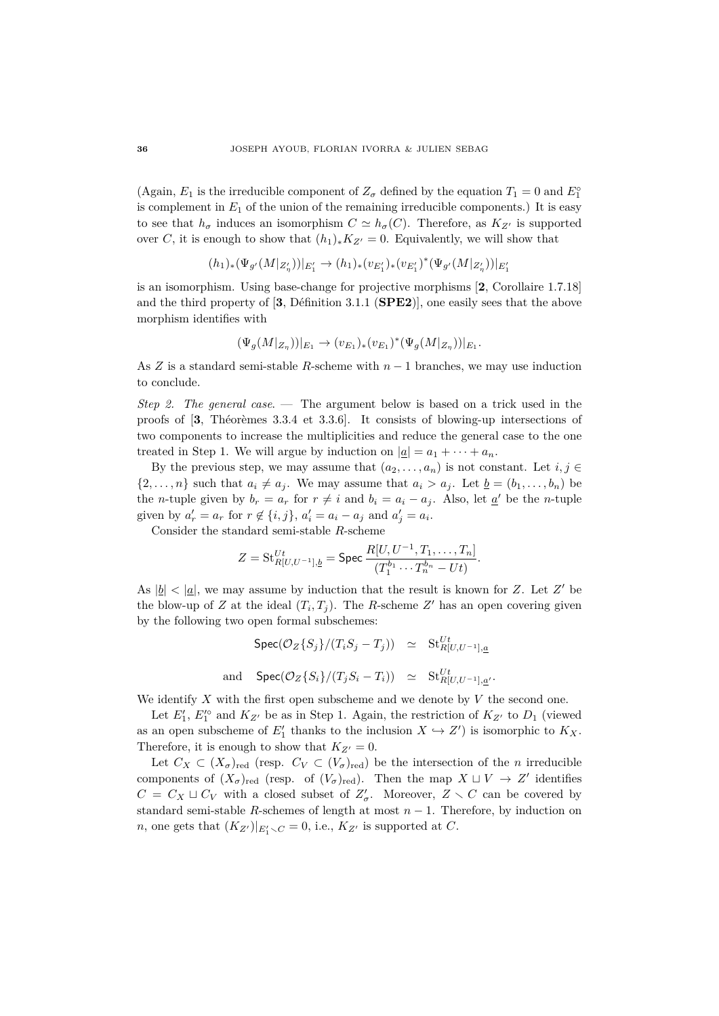(Again,  $E_1$  is the irreducible component of  $Z_\sigma$  defined by the equation  $T_1 = 0$  and  $E_1^\circ$ is complement in  $E_1$  of the union of the remaining irreducible components.) It is easy to see that  $h_{\sigma}$  induces an isomorphism  $C \simeq h_{\sigma}(C)$ . Therefore, as  $K_{Z'}$  is supported over *C*, it is enough to show that  $(h_1)_*K_{Z'}=0$ . Equivalently, we will show that

$$
(h_1)_*(\Psi_{g'}(M|_{Z'_\eta}))|_{E'_1}\to (h_1)_*(v_{E'_1})_*(v_{E'_1})^*(\Psi_{g'}(M|_{Z'_\eta}))|_{E'_1}
$$

is an isomorphism. Using base-change for projective morphisms [**2**, Corollaire 1.7.18] and the third property of  $[3, \text{Definition } 3.1.1 \text{ (SPE2)}]$ , one easily sees that the above morphism identifies with

$$
(\Psi_g(M|_{Z_\eta}))|_{E_1} \to (v_{E_1})_*(v_{E_1})^*(\Psi_g(M|_{Z_\eta}))|_{E_1}.
$$

As *Z* is a standard semi-stable *R*-scheme with *n* − 1 branches, we may use induction to conclude.

*Step 2. The general case*. — The argument below is based on a trick used in the proofs of [3], Theoremes 3.3.4 et 3.3.6]. It consists of blowing-up intersections of two components to increase the multiplicities and reduce the general case to the one treated in Step 1. We will argue by induction on  $|\underline{a}| = a_1 + \cdots + a_n$ .

By the previous step, we may assume that  $(a_2, \ldots, a_n)$  is not constant. Let  $i, j \in$  $\{2,\ldots,n\}$  such that  $a_i \neq a_j$ . We may assume that  $a_i > a_j$ . Let  $b = (b_1,\ldots,b_n)$  be the *n*-tuple given by  $b_r = a_r$  for  $r \neq i$  and  $b_i = a_i - a_j$ . Also, let  $\underline{a}'$  be the *n*-tuple given by  $a'_r = a_r$  for  $r \notin \{i, j\}$ ,  $a'_i = a_i - a_j$  and  $a'_j = a_i$ .

Consider the standard semi-stable *R*-scheme

$$
Z = \text{St}_{R[U,U^{-1}],\underline{b}}^{Ut} = \text{Spec } \frac{R[U,U^{-1},T_1,\ldots,T_n]}{(T_1^{b_1}\cdots T_n^{b_n} - Ut)}.
$$

As  $|\underline{b}| < |\underline{a}|$ , we may assume by induction that the result is known for *Z*. Let *Z'* be the blow-up of *Z* at the ideal  $(T_i, T_j)$ . The *R*-scheme *Z*<sup> $\prime$ </sup> has an open covering given by the following two open formal subschemes:

$$
\begin{array}{rcl}\n\text{Spec}(\mathcal{O}_Z\{S_j\}/(T_iS_j - T_j)) & \simeq & \text{St}_{R[U,U^{-1}],\underline{a}}^{Ut} \\
\text{and} & \text{Spec}(\mathcal{O}_Z\{S_i\}/(T_jS_i - T_i)) & \simeq & \text{St}_{R[U,U^{-1}],\underline{a}'}^{Ut}.\n\end{array}
$$

We identify *X* with the first open subscheme and we denote by *V* the second one.

Let  $E'_1$ ,  $E'^{\circ}_1$  and  $K_{Z'}$  be as in Step 1. Again, the restriction of  $K_{Z'}$  to  $D_1$  (viewed as an open subscheme of  $E'_1$  thanks to the inclusion  $X \hookrightarrow Z'$  is isomorphic to  $K_X$ . Therefore, it is enough to show that  $K_{Z'}=0$ .

Let  $C_X \subset (X_{\sigma})_{\text{red}}$  (resp.  $C_V \subset (V_{\sigma})_{\text{red}}$ ) be the intersection of the *n* irreducible components of  $(X_{\sigma})_{\text{red}}$  (resp. of  $(V_{\sigma})_{\text{red}}$ ). Then the map  $X \sqcup V \to Z'$  identifies  $C = C_X \sqcup C_V$  with a closed subset of  $Z'_\sigma$ . Moreover,  $Z \setminus C$  can be covered by standard semi-stable *R*-schemes of length at most  $n - 1$ . Therefore, by induction on *n*, one gets that  $(K_{Z'})|_{E'_1 \setminus C} = 0$ , i.e.,  $K_{Z'}$  is supported at *C*.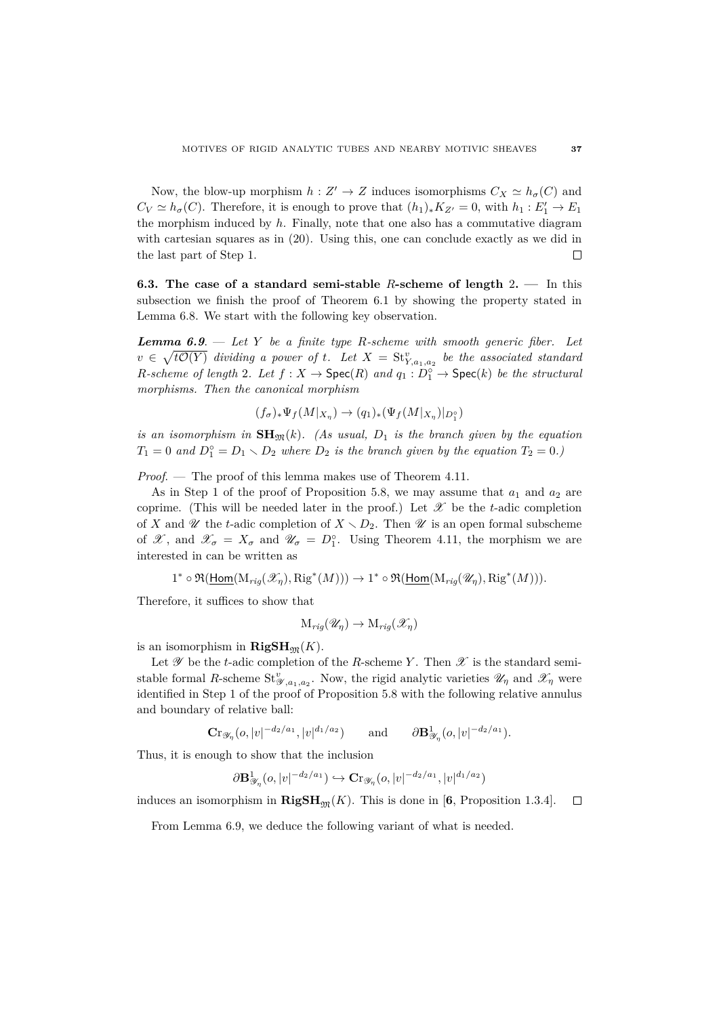Now, the blow-up morphism  $h: Z' \to Z$  induces isomorphisms  $C_X \simeq h_\sigma(C)$  and  $C_V \simeq h_\sigma(C)$ . Therefore, it is enough to prove that  $(h_1)_*K_{Z'} = 0$ , with  $h_1 : E'_1 \to E_1$ the morphism induced by *h*. Finally, note that one also has a commutative diagram with cartesian squares as in (20). Using this, one can conclude exactly as we did in the last part of Step 1.  $\Box$ 

**6.3. The case of a standard semi-stable** *R***-scheme of length** 2**. —** In this subsection we finish the proof of Theorem 6.1 by showing the property stated in Lemma 6.8. We start with the following key observation.

*Lemma 6.9*. — *Let Y be a finite type R-scheme with smooth generic fiber. Let*  $v \in \sqrt{t\mathcal{O}(Y)}$  *dividing a power of t. Let*  $X = St^v_{Y,a_1,a_2}$  *be the associated standard R*-scheme of length 2*.* Let  $f: X \to \text{Spec}(R)$  and  $q_1: D_1^{\circ} \to \text{Spec}(k)$  be the structural *morphisms. Then the canonical morphism*

$$
(f_{\sigma})_*\Psi_f(M|_{X_{\eta}}) \to (q_1)_*(\Psi_f(M|_{X_{\eta}})|_{D_1^{\circ}})
$$

*is an isomorphism in*  $SH_{\mathfrak{M}}(k)$ *. (As usual,*  $D_1$  *is the branch given by the equation*  $T_1 = 0$  and  $D_1^{\circ} = D_1 \setminus D_2$  where  $D_2$  *is the branch given by the equation*  $T_2 = 0$ *.*)

*Proof*. — The proof of this lemma makes use of Theorem 4.11.

As in Step 1 of the proof of Proposition 5.8, we may assume that  $a_1$  and  $a_2$  are coprime. (This will be needed later in the proof.) Let  $\mathscr X$  be the *t*-adic completion of X and U the *t*-adic completion of  $X \setminus D_2$ . Then U is an open formal subscheme of  $\mathscr{X}$ , and  $\mathscr{X}_{\sigma} = X_{\sigma}$  and  $\mathscr{U}_{\sigma} = D_1^{\circ}$ . Using Theorem 4.11, the morphism we are interested in can be written as

$$
1^* \circ \mathfrak{R}(\underline{\text{Hom}}(\mathrm{M}_{rig}(\mathscr{X}_{\eta}), \mathrm{Rig}^*(M))) \to 1^* \circ \mathfrak{R}(\underline{\text{Hom}}(\mathrm{M}_{rig}(\mathscr{U}_{\eta}), \mathrm{Rig}^*(M))).
$$

Therefore, it suffices to show that

$$
\mathrm{M}_{rig}(\mathscr{U}_\eta) \to \mathrm{M}_{rig}(\mathscr{X}_\eta)
$$

is an isomorphism in  $\mathbf{RigSH}_{\mathfrak{M}}(K)$ .

Let  $\mathscr Y$  be the *t*-adic completion of the *R*-scheme *Y*. Then  $\mathscr X$  is the standard semistable formal *R*-scheme  $St_{\mathscr{Y},a_1,a_2}^v$ . Now, the rigid analytic varieties  $\mathscr{U}_\eta$  and  $\mathscr{X}_\eta$  were identified in Step 1 of the proof of Proposition 5.8 with the following relative annulus and boundary of relative ball:

$$
\mathbf{Cr}_{\mathscr{Y}_{\eta}}(o,|v|^{-d_2/a_1},|v|^{d_1/a_2}) \quad \text{and} \quad \partial \mathbf{B}^1_{\mathscr{Y}_{\eta}}(o,|v|^{-d_2/a_1}).
$$

Thus, it is enough to show that the inclusion

$$
\partial \mathbf{B}_{\mathscr{Y}_{\eta}}^1(o,|v|^{-d_2/a_1}) \hookrightarrow \mathbf{C}r_{\mathscr{Y}_{\eta}}(o,|v|^{-d_2/a_1},|v|^{d_1/a_2})
$$

induces an isomorphism in  $\mathbf{RigSH}_{\mathfrak{M}}(K)$ . This is done in [6, Proposition 1.3.4].  $\Box$ 

From Lemma 6.9, we deduce the following variant of what is needed.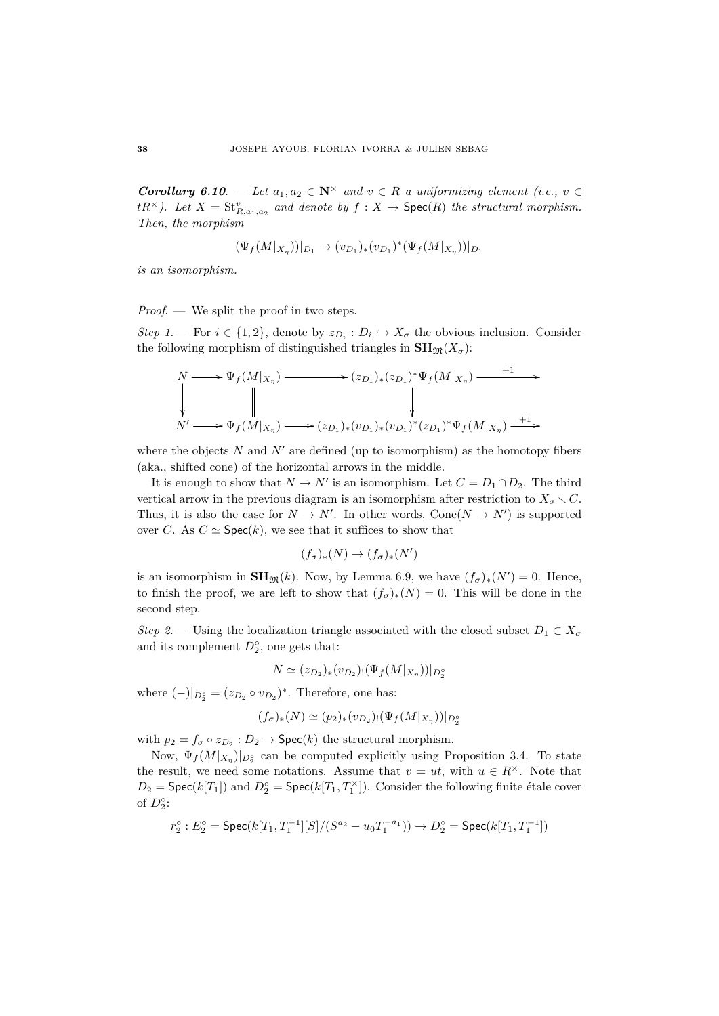*Corollary 6.10.* — *Let*  $a_1, a_2 \in \mathbb{N}^\times$  *and*  $v \in R$  *a uniformizing element (i.e.,*  $v \in \mathbb{N}$ *tR*<sup> $\times$ </sup>). Let  $X = St_{R,a_1,a_2}^v$  and denote by  $f : X \to \text{Spec}(R)$  the structural morphism. *Then, the morphism*

$$
(\Psi_f(M|_{X_{\eta}}))|_{D_1} \to (v_{D_1})_*(v_{D_1})^*(\Psi_f(M|_{X_{\eta}}))|_{D_1}
$$

*is an isomorphism.*

*Proof*. — We split the proof in two steps.

*Step 1.* For  $i \in \{1, 2\}$ , denote by  $z_{D_i} : D_i \hookrightarrow X_{\sigma}$  the obvious inclusion. Consider the following morphism of distinguished triangles in  $\mathbf{SH}_{\mathfrak{M}}(X_{\sigma})$ :

$$
N \longrightarrow \Psi_f(M|_{X_{\eta}}) \longrightarrow (z_{D_1})_*(z_{D_1})^* \Psi_f(M|_{X_{\eta}}) \longrightarrow \Psi_f(M|_{X_{\eta}})
$$
  
\n
$$
N' \longrightarrow \Psi_f(M|_{X_{\eta}}) \longrightarrow (z_{D_1})_*(v_{D_1})_*(v_{D_1})^* (z_{D_1})^* \Psi_f(M|_{X_{\eta}}) \longrightarrow
$$

where the objects  $N$  and  $N'$  are defined (up to isomorphism) as the homotopy fibers (aka., shifted cone) of the horizontal arrows in the middle.

It is enough to show that  $N \to N'$  is an isomorphism. Let  $C = D_1 \cap D_2$ . The third vertical arrow in the previous diagram is an isomorphism after restriction to  $X_{\sigma} \setminus C$ . Thus, it is also the case for  $N \to N'$ . In other words, Cone( $N \to N'$ ) is supported over *C*. As  $C \simeq$  Spec $(k)$ , we see that it suffices to show that

$$
(f_\sigma)_*(N)\to (f_\sigma)_*(N')
$$

is an isomorphism in  $\mathbf{SH}_{\mathfrak{M}}(k)$ . Now, by Lemma 6.9, we have  $(f_{\sigma})_*(N') = 0$ . Hence, to finish the proof, we are left to show that  $(f_{\sigma})_*(N) = 0$ . This will be done in the second step.

*Step 2.* — Using the localization triangle associated with the closed subset  $D_1 \subset X_{\sigma}$ and its complement  $D_2^{\circ}$ , one gets that:

$$
N \simeq (z_{D_2})_*(v_{D_2})_!(\Psi_f(M|_{X_{\eta}}))|_{D_2^{\circ}}
$$

where  $(-)|_{D_2^{\circ}} = (z_{D_2} \circ v_{D_2})^*$ . Therefore, one has:

$$
(f_{\sigma})_{*}(N) \simeq (p_{2})_{*}(v_{D_{2}})_{!}(\Psi_{f}(M|_{X_{\eta}}))|_{D_{2}^{\circ}}
$$

with  $p_2 = f_\sigma \circ z_{D_2} : D_2 \to \textsf{Spec}(k)$  the structural morphism.

Now,  $\Psi_f(M|x_n)|_{D_2^{\circ}}$  can be computed explicitly using Proposition 3.4. To state the result, we need some notations. Assume that  $v = ut$ , with  $u \in R^{\times}$ . Note that  $D_2 = \textsf{Spec}(k[T_1])$  and  $D_2^{\circ} = \textsf{Spec}(k[T_1, T_1^{\times}])$ . Consider the following finite étale cover of  $D_2^{\circ}$ :

$$
r_2^\circ: E_2^\circ={\rm Spec}(k[T_1,T_1^{-1}][S]/(S^{a_2}-u_0T_1^{-a_1}))\to D_2^\circ={\rm Spec}(k[T_1,T_1^{-1}])
$$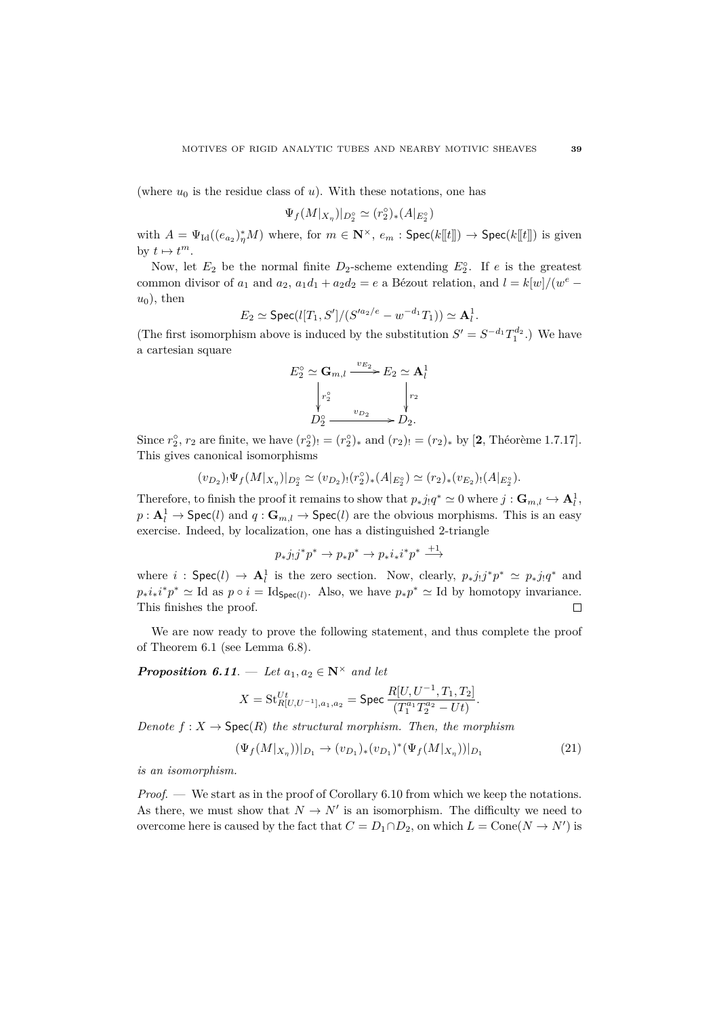(where  $u_0$  is the residue class of  $u$ ). With these notations, one has

$$
\Psi_f(M|_{X_\eta})|_{D_2^\circ}\simeq (r_2^\circ)_*(A|_{E_2^\circ})
$$

with  $A = \Psi_{\text{Id}}((e_{a_2})_1^*M)$  where, for  $m \in \mathbb{N}^\times$ ,  $e_m$ :  $\text{Spec}(k[[t]]) \to \text{Spec}(k[[t]])$  is given by  $t \mapsto t^m$ .

Now, let  $E_2$  be the normal finite  $D_2$ -scheme extending  $E_2^{\circ}$ . If *e* is the greatest common divisor of  $a_1$  and  $a_2$ ,  $a_1d_1 + a_2d_2 = e$  a Bézout relation, and  $l = k[w]/(w^e$  $u_0$ ), then

$$
E_2 \simeq \mathrm{Spec}(l[T_1,S']/(S'^{a_2/e}-w^{-d_1}T_1)) \simeq \mathbf{A}_l^1.
$$

(The first isomorphism above is induced by the substitution  $S' = S^{-d_1} T_1^{d_2}$ .) We have a cartesian square

$$
E_2^{\circ} \simeq \mathbf{G}_{m,l} \xrightarrow{v_{E_2}} E_2 \simeq \mathbf{A}_l^1
$$

$$
\downarrow r_2^{\circ} \qquad \qquad \downarrow r_2
$$

$$
D_2^{\circ} \xrightarrow{v_{D_2}} D_2.
$$

Since  $r_2^{\circ}$ ,  $r_2$  are finite, we have  $(r_2^{\circ})_! = (r_2^{\circ})_*$  and  $(r_2)_! = (r_2)_*$  by [2, Théorème 1.7.17]. This gives canonical isomorphisms

$$
(v_{D_2})_!\Psi_f(M|_{X_\eta})|_{D_2^{\circ}}\simeq (v_{D_2})_!(r_2^{\circ})_* (A|_{E_2^{\circ}})\simeq (r_2)_*(v_{E_2})_!(A|_{E_2^{\circ}}).
$$

Therefore, to finish the proof it remains to show that  $p_*j_!q^* \simeq 0$  where  $j: \mathbf{G}_{m,l} \hookrightarrow \mathbf{A}_l^1$ ,  $p: \mathbf{A}_l^1 \to \mathsf{Spec}(l)$  and  $q: \mathbf{G}_{m,l} \to \mathsf{Spec}(l)$  are the obvious morphisms. This is an easy exercise. Indeed, by localization, one has a distinguished 2-triangle

$$
p_*j_!j^*p^*\to p_*p^*\to p_*i_*i^*p^*\overset{+1}\longrightarrow
$$

where *i* :  $\text{Spec}(l) \to \mathbf{A}_l^1$  is the zero section. Now, clearly,  $p_{*}j_!j^*p^* \simeq p_{*}j_!q^*$  and  $p_*i_*i^*p^* \simeq \text{Id}$  as  $p \circ i = \text{Id}_{\text{Spec}(l)}$ . Also, we have  $p_*p^* \simeq \text{Id}$  by homotopy invariance. This finishes the proof.  $\Box$ 

We are now ready to prove the following statement, and thus complete the proof of Theorem 6.1 (see Lemma 6.8).

*Proposition 6.11.* — *Let*  $a_1, a_2 \in \mathbb{N}^\times$  *and let* 

$$
X = \text{St}_{R[U,U^{-1}],a_1,a_2}^{Ut} = \text{Spec } \frac{R[U,U^{-1},T_1,T_2]}{(T_1^{a_1}T_2^{a_2} - Ut)}.
$$

*Denote*  $f: X \to \text{Spec}(R)$  *the structural morphism. Then, the morphism* 

$$
(\Psi_f(M|_{X_\eta}))|_{D_1} \to (v_{D_1})_*(v_{D_1})^*(\Psi_f(M|_{X_\eta}))|_{D_1}
$$
\n(21)

*is an isomorphism.*

*Proof.* — We start as in the proof of Corollary 6.10 from which we keep the notations. As there, we must show that  $N \to N'$  is an isomorphism. The difficulty we need to overcome here is caused by the fact that  $C = D_1 \cap D_2$ , on which  $L = \text{Cone}(N \to N')$  is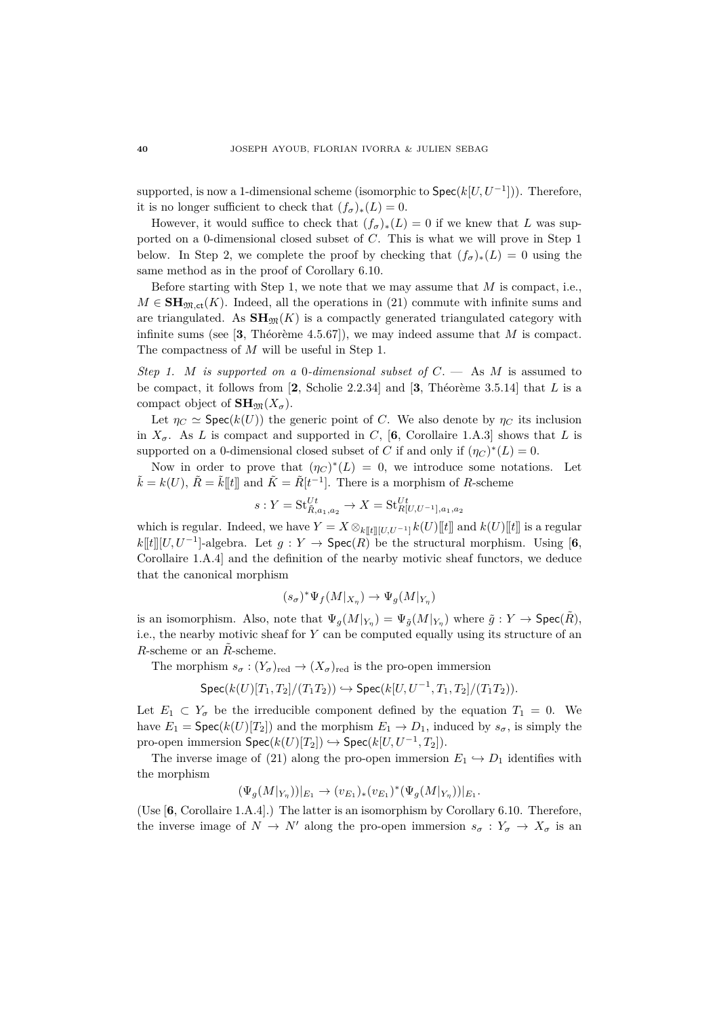supported, is now a 1-dimensional scheme (isomorphic to  $\mathsf{Spec}(k[U,U^{-1}])$ ). Therefore, it is no longer sufficient to check that  $(f_{\sigma})_*(L) = 0$ .

However, it would suffice to check that  $(f_{\sigma})_*(L) = 0$  if we knew that *L* was supported on a 0-dimensional closed subset of *C*. This is what we will prove in Step 1 below. In Step 2, we complete the proof by checking that  $(f_{\sigma})_*(L) = 0$  using the same method as in the proof of Corollary 6.10.

Before starting with Step 1, we note that we may assume that *M* is compact, i.e.,  $M \in \mathbf{SH}_{\mathfrak{M},\mathrm{ct}}(K)$ . Indeed, all the operations in (21) commute with infinite sums and are triangulated. As  $SH_{\mathfrak{M}}(K)$  is a compactly generated triangulated category with infinite sums (see [3, Theorème 4.5.67]), we may indeed assume that  $M$  is compact. The compactness of *M* will be useful in Step 1.

*Step 1. M is supported on a* 0*-dimensional subset of*  $C$ . — As  $M$  is assumed to be compact, it follows from  $[2,$  Scholie 2.2.34] and  $[3,$  Théorème 3.5.14] that *L* is a compact object of  $\mathbf{SH}_{\mathfrak{M}}(X_{\sigma}).$ 

Let  $\eta_C \simeq \text{Spec}(k(U))$  the generic point of *C*. We also denote by  $\eta_C$  its inclusion in  $X_{\sigma}$ . As *L* is compact and supported in *C*, [6, Corollaire 1.A.3] shows that *L* is supported on a 0-dimensional closed subset of *C* if and only if  $(\eta_C)^*(L) = 0$ .

Now in order to prove that  $(\eta_C)^*(L) = 0$ , we introduce some notations. Let  $\tilde{k} = k(U), \ \tilde{R} = \tilde{k}[[t]]$  and  $\tilde{K} = \tilde{R}[t^{-1}]$ . There is a morphism of *R*-scheme

$$
s: Y = \text{St}_{\tilde{R},a_1,a_2}^{Ut} \to X = \text{St}_{R[U,U^{-1}],a_1,a_2}^{Ut}
$$

which is regular. Indeed, we have  $Y = X \otimes_{k[\![t]\!][\![U][U]} 1 \text{ and } k(U)[[t]]$  is a regular  $k[[t]] [U, U^{-1}]$ -algebra. Let  $g: Y \to \text{Spec}(R)$  be the structural morphism. Using [6, Corollaire 1.A.4] and the definition of the nearby motivic sheaf functors, we deduce that the canonical morphism

$$
(s_{\sigma})^* \Psi_f(M|_{X_{\eta}}) \to \Psi_g(M|_{Y_{\eta}})
$$

is an isomorphism. Also, note that  $\Psi_g(M|_{Y_\eta}) = \Psi_{\tilde{g}}(M|_{Y_\eta})$  where  $\tilde{g}: Y \to \textsf{Spec}(\tilde{R})$ , i.e., the nearby motivic sheaf for *Y* can be computed equally using its structure of an *R*-scheme or an  $\tilde{R}$ -scheme.

The morphism  $s_{\sigma}: (Y_{\sigma})_{\text{red}} \to (X_{\sigma})_{\text{red}}$  is the pro-open immersion

$$
\text{Spec}(k(U)[T_1, T_2]/(T_1T_2)) \hookrightarrow \text{Spec}(k[U, U^{-1}, T_1, T_2]/(T_1T_2)).
$$

Let  $E_1 \subset Y_\sigma$  be the irreducible component defined by the equation  $T_1 = 0$ . We have  $E_1 = \text{Spec}(k(U)[T_2])$  and the morphism  $E_1 \to D_1$ , induced by  $s_{\sigma}$ , is simply the  $\text{pro-open immersion }\textsf{Spec}(k(U)[T_2]) \hookrightarrow \textsf{Spec}(k[U,U^{-1},T_2]).$ 

The inverse image of (21) along the pro-open immersion  $E_1 \hookrightarrow D_1$  identifies with the morphism

$$
(\Psi_g(M|_{Y_{\eta}}))|_{E_1} \to (v_{E_1})_*(v_{E_1})^*(\Psi_g(M|_{Y_{\eta}}))|_{E_1}.
$$

(Use [**6**, Corollaire 1.A.4].) The latter is an isomorphism by Corollary 6.10. Therefore, the inverse image of  $N \to N'$  along the pro-open immersion  $s_{\sigma}: Y_{\sigma} \to X_{\sigma}$  is an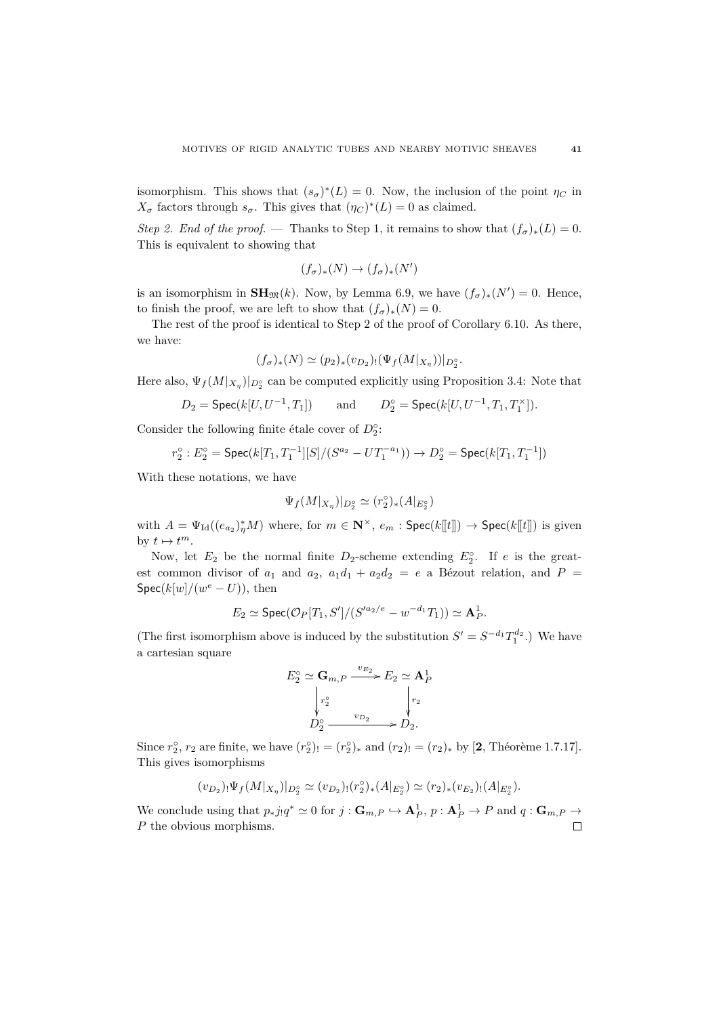isomorphism. This shows that  $(s_{\sigma})^*(L) = 0$ . Now, the inclusion of the point  $\eta_C$  in  $X_{\sigma}$  factors through  $s_{\sigma}$ . This gives that  $(\eta_C)^*(L) = 0$  as claimed.

*Step 2. End of the proof.* — Thanks to Step 1, it remains to show that  $(f_{\sigma})_*(L) = 0$ . This is equivalent to showing that

$$
(f_{\sigma})_*(N) \to (f_{\sigma})_*(N')
$$

is an isomorphism in  $\mathbf{SH}_{\mathfrak{M}}(k)$ . Now, by Lemma 6.9, we have  $(f_{\sigma})_*(N')=0$ . Hence, to finish the proof, we are left to show that  $(f_{\sigma})_*(N) = 0$ .

The rest of the proof is identical to Step 2 of the proof of Corollary 6.10. As there, we have:

$$
(f_{\sigma})_{*}(N) \simeq (p_{2})_{*}(v_{D_{2}})_{!}(\Psi_{f}(M|_{X_{\eta}}))|_{D_{2}^{\circ}}.
$$

Here also,  $\Psi_f(M|_{X_{\eta}})|_{D_2^{\circ}}$  can be computed explicitly using Proposition 3.4: Note that

$$
D_2 = \operatorname{Spec}(k[U, U^{-1}, T_1]) \qquad \text{and} \qquad D_2^\circ = \operatorname{Spec}(k[U, U^{-1}, T_1, T_1^\times]).
$$

Consider the following finite étale cover of  $D_2^{\circ}$ :

$$
r_2^{\circ}: E_2^{\circ} = \text{Spec}(k[T_1, T_1^{-1}][S]/(S^{a_2} - UT_1^{-a_1})) \to D_2^{\circ} = \text{Spec}(k[T_1, T_1^{-1}])
$$

With these notations, we have

$$
\Psi_f(M|_{X_\eta})|_{D_2^\circ}\simeq (r_2^\circ)_*(A|_{E_2^\circ})
$$

with  $A = \Psi_{\text{Id}}((e_{a_2})^*_\eta M)$  where, for  $m \in \mathbb{N}^\times$ ,  $e_m$ :  $\text{Spec}(k[[t]]) \to \text{Spec}(k[[t]])$  is given by  $t \mapsto t^m$ .

Now, let  $E_2$  be the normal finite  $D_2$ -scheme extending  $E_2^{\circ}$ . If *e* is the greatest common divisor of  $a_1$  and  $a_2$ ,  $a_1d_1 + a_2d_2 = e$  a Bézout relation, and  $P =$ Spec( $k[w]/(w^e - U)$ ), then

$$
E_2 \simeq \operatorname{Spec}(\mathcal{O}_P[T_1, S']/ (S'^{a_2/e} - w^{-d_1}T_1)) \simeq \mathbf{A}_P^1.
$$

(The first isomorphism above is induced by the substitution  $S' = S^{-d_1} T_1^{d_2}$ .) We have a cartesian square

$$
E_2^{\circ} \simeq \mathbf{G}_{m,P} \xrightarrow{v_{E_2}} E_2 \simeq \mathbf{A}_P^1
$$

$$
\downarrow^{r_2^{\circ}} \qquad \qquad \downarrow^{r_2}
$$

$$
D_2^{\circ} \xrightarrow{v_{D_2}} D_2.
$$

Since  $r_2^{\circ}$ ,  $r_2$  are finite, we have  $(r_2^{\circ})_! = (r_2^{\circ})_*$  and  $(r_2)_! = (r_2)_*$  by [2, Théorème 1.7.17]. This gives isomorphisms

$$
(v_{D_2})_! \Psi_f(M|_{X_{\eta}})|_{D_2^{\circ}} \simeq (v_{D_2})_! (r_2^{\circ})_* (A|_{E_2^{\circ}}) \simeq (r_2)_* (v_{E_2})_! (A|_{E_2^{\circ}}).
$$

We conclude using that  $p_*j_!q^* \simeq 0$  for  $j: \mathbf{G}_{m,P} \hookrightarrow \mathbf{A}_P^1$ ,  $p: \mathbf{A}_P^1 \to P$  and  $q: \mathbf{G}_{m,P} \to$ *P* the obvious morphisms. $\Box$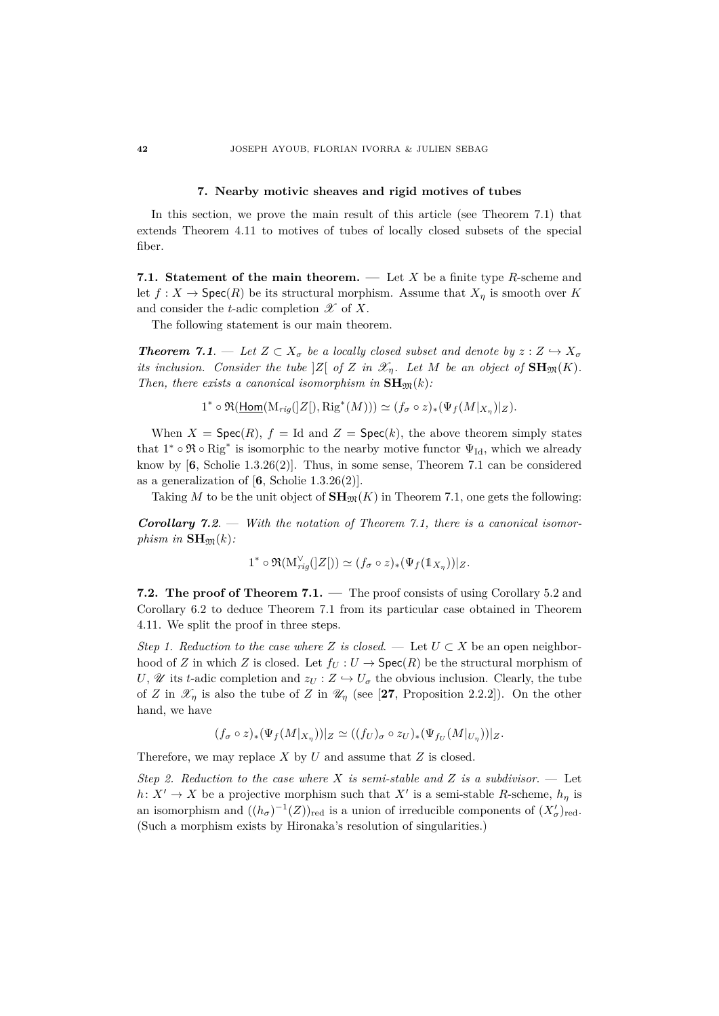# **7. Nearby motivic sheaves and rigid motives of tubes**

In this section, we prove the main result of this article (see Theorem 7.1) that extends Theorem 4.11 to motives of tubes of locally closed subsets of the special fiber.

**7.1. Statement of the main theorem. —** Let *X* be a finite type *R*-scheme and let  $f: X \to \text{Spec}(R)$  be its structural morphism. Assume that  $X_{\eta}$  is smooth over *K* and consider the *t*-adic completion  $\mathscr X$  of  $X$ .

The following statement is our main theorem.

*Theorem 7.1.* **— Let**  $Z \subset X_{\sigma}$  **be a locally closed subset and denote by**  $z : Z \hookrightarrow X_{\sigma}$ *its inclusion.* Consider the tube  $|Z|$  of  $Z$  *in*  $\mathscr{X}_n$ *. Let*  $M$  *be an object of*  $\mathbf{SH}_{\mathfrak{M}}(K)$ *. Then, there exists a canonical isomorphism in*  $\mathbf{SH}_{\mathfrak{M}}(k)$ *:* 

$$
1^* \circ \Re(\underline{\text{Hom}}(\mathrm{M}_{rig}(|Z|), \mathrm{Rig}^*(M))) \simeq (f_\sigma \circ z)_*(\Psi_f(M|_{X_\eta})|_Z).
$$

When  $X = \text{Spec}(R)$ ,  $f = \text{Id}$  and  $Z = \text{Spec}(k)$ , the above theorem simply states that  $1^* \circ \Re \circ \text{Rig}^*$  is isomorphic to the nearby motive functor  $\Psi_{\text{Id}}$ , which we already know by [**6**, Scholie 1.3.26(2)]. Thus, in some sense, Theorem 7.1 can be considered as a generalization of  $[6,$  Scholie 1.3.26(2)].

Taking M to be the unit object of  $\mathbf{SH}_{\mathfrak{M}}(K)$  in Theorem 7.1, one gets the following:

*Corollary 7.2*. — *With the notation of Theorem 7.1, there is a canonical isomorphism in*  $\text{SH}_{\mathfrak{M}}(k)$ *:* 

$$
1^* \circ \Re(M_{rig}^{\vee}(|Z|)) \simeq (f_{\sigma} \circ z)_*(\Psi_f(\mathbb{1}_{X_{\eta}}))|_Z.
$$

**7.2. The proof of Theorem 7.1. —** The proof consists of using Corollary 5.2 and Corollary 6.2 to deduce Theorem 7.1 from its particular case obtained in Theorem 4.11. We split the proof in three steps.

*Step 1. Reduction to the case where Z is closed.* — Let  $U \subset X$  be an open neighborhood of *Z* in which *Z* is closed. Let  $f_U: U \to \text{Spec}(R)$  be the structural morphism of *U*,  $\mathscr U$  its *t*-adic completion and  $z_U : Z \hookrightarrow U_{\sigma}$  the obvious inclusion. Clearly, the tube of *Z* in  $\mathscr{X}_n$  is also the tube of *Z* in  $\mathscr{U}_n$  (see [27, Proposition 2.2.2]). On the other hand, we have

$$
(f_{\sigma} \circ z)_{*}(\Psi_{f}(M|x_{\eta}))|_{Z} \simeq ((f_{U})_{\sigma} \circ z_{U})_{*}(\Psi_{f_{U}}(M|_{U_{\eta}}))|_{Z}.
$$

Therefore, we may replace *X* by *U* and assume that *Z* is closed.

*Step 2. Reduction to the case where X is semi-stable and Z is a subdivisor*. — Let  $h: X' \to X$  be a projective morphism such that  $X'$  is a semi-stable *R*-scheme,  $h_{\eta}$  is an isomorphism and  $((h_{\sigma})^{-1}(Z))_{\text{red}}$  is a union of irreducible components of  $(X'_{\sigma})_{\text{red}}$ . (Such a morphism exists by Hironaka's resolution of singularities.)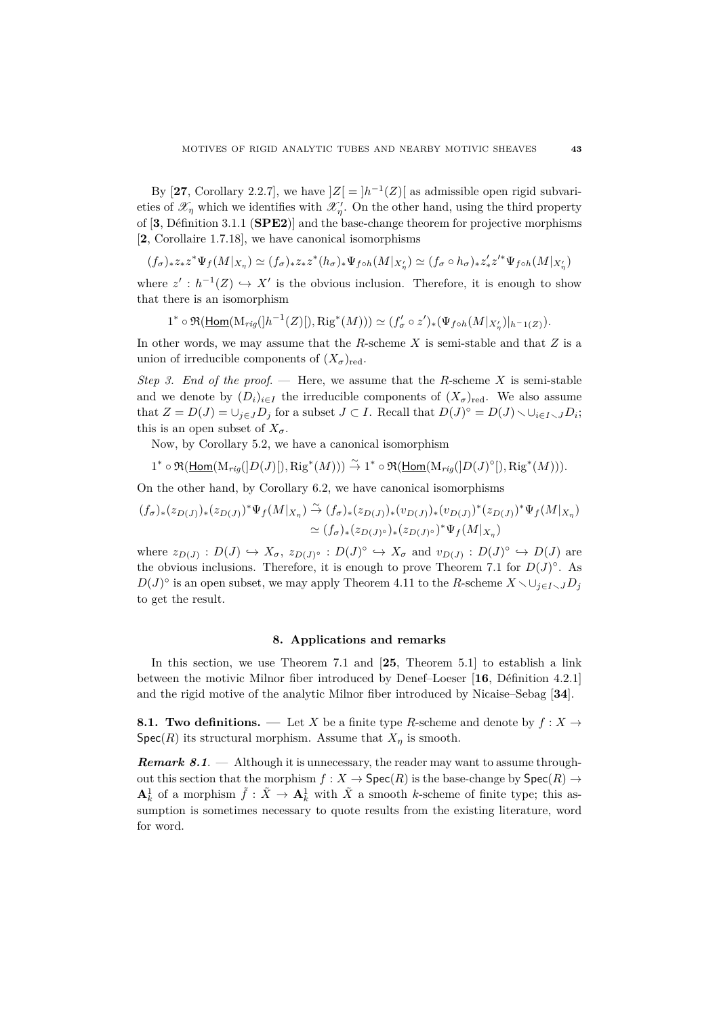By [27, Corollary 2.2.7], we have  $|Z| = |h^{-1}(Z)|$  as admissible open rigid subvarieties of  $\mathscr{X}_{\eta}$  which we identifies with  $\mathscr{X}'_{\eta}$ . On the other hand, using the third property of [**3**, D´efinition 3.1.1 (**SPE2**)] and the base-change theorem for projective morphisms [**2**, Corollaire 1.7.18], we have canonical isomorphisms

$$
(f_\sigma)_*z_*z^*\Psi_f(M|_{X_\eta})\simeq (f_\sigma)_*z_*z^*(h_\sigma)_*\Psi_{f\circ h}(M|_{X'_\eta})\simeq (f_\sigma\circ h_\sigma)_*z'_*z'^*\Psi_{f\circ h}(M|_{X'_\eta})
$$

where  $z' : h^{-1}(Z) \hookrightarrow X'$  is the obvious inclusion. Therefore, it is enough to show that there is an isomorphism

$$
1^* \circ \Re(\underline{\text{Hom}}(\mathrm{M}_{rig}([h^{-1}(Z)]), \mathrm{Rig}^*(M))) \simeq (f'_{\sigma} \circ z')_*(\Psi_{f \circ h}(M|_{X'_{\eta}})|_{h^{-1}(Z)}).
$$

In other words, we may assume that the *R*-scheme *X* is semi-stable and that *Z* is a union of irreducible components of  $(X_{\sigma})_{\text{red}}$ .

*Step 3. End of the proof*. — Here, we assume that the *R*-scheme *X* is semi-stable and we denote by  $(D_i)_{i \in I}$  the irreducible components of  $(X_{\sigma})_{\text{red}}$ . We also assume that  $Z = D(J) = \bigcup_{j \in J} D_j$  for a subset  $J \subset I$ . Recall that  $D(J)^\circ = D(J) \setminus \bigcup_{i \in I \setminus J} D_i$ ; this is an open subset of  $X_{\sigma}$ .

Now, by Corollary 5.2, we have a canonical isomorphism

$$
1^* \circ \Re(\underline{\text{Hom}}(\mathrm{M}_{rig}(]D(J)[), \mathrm{Rig}^*(M))) \stackrel{\sim}{\to} 1^* \circ \Re(\underline{\text{Hom}}(\mathrm{M}_{rig}(]D(J)^{\circ}]), \mathrm{Rig}^*(M))).
$$

On the other hand, by Corollary 6.2, we have canonical isomorphisms

$$
(f_{\sigma})_{*}(z_{D(J)})_{*}(z_{D(J)})^{*}\Psi_{f}(M|_{X_{\eta}}) \stackrel{\sim}{\to} (f_{\sigma})_{*}(z_{D(J)})_{*}(v_{D(J)})_{*}(v_{D(J)})^{*}(z_{D(J)})^{*}\Psi_{f}(M|_{X_{\eta}})
$$

$$
\simeq (f_{\sigma})_{*}(z_{D(J)^{\circ}})_{*}(z_{D(J)^{\circ}})^{*}\Psi_{f}(M|_{X_{\eta}})
$$

where  $z_{D(J)} : D(J) \hookrightarrow X_{\sigma}, z_{D(J)^{\circ}} : D(J)^{\circ} \hookrightarrow X_{\sigma}$  and  $v_{D(J)} : D(J)^{\circ} \hookrightarrow D(J)$  are the obvious inclusions. Therefore, it is enough to prove Theorem 7.1 for  $D(J)^\circ$ . As *D*(*J*)<sup> $>$ </sup> is an open subset, we may apply Theorem 4.11 to the *R*-scheme *X*  $\cup$ *j*∈*I* $\cup$ *JD*<sup>*j*</sup> to get the result.

## **8. Applications and remarks**

In this section, we use Theorem 7.1 and [**25**, Theorem 5.1] to establish a link between the motivic Milnor fiber introduced by Denef–Loeser [16, Définition 4.2.1] and the rigid motive of the analytic Milnor fiber introduced by Nicaise–Sebag [**34**].

**8.1. Two definitions.** — Let *X* be a finite type *R*-scheme and denote by  $f: X \rightarrow$  $Spec(R)$  its structural morphism. Assume that  $X_n$  is smooth.

*Remark 8.1.* — Although it is unnecessary, the reader may want to assume throughout this section that the morphism  $f : X \to \text{Spec}(R)$  is the base-change by  $\text{Spec}(R) \to$  $\mathbf{A}_k^1$  of a morphism  $\tilde{f}: \tilde{X} \to \mathbf{A}_k^1$  with  $\tilde{X}$  a smooth *k*-scheme of finite type; this assumption is sometimes necessary to quote results from the existing literature, word for word.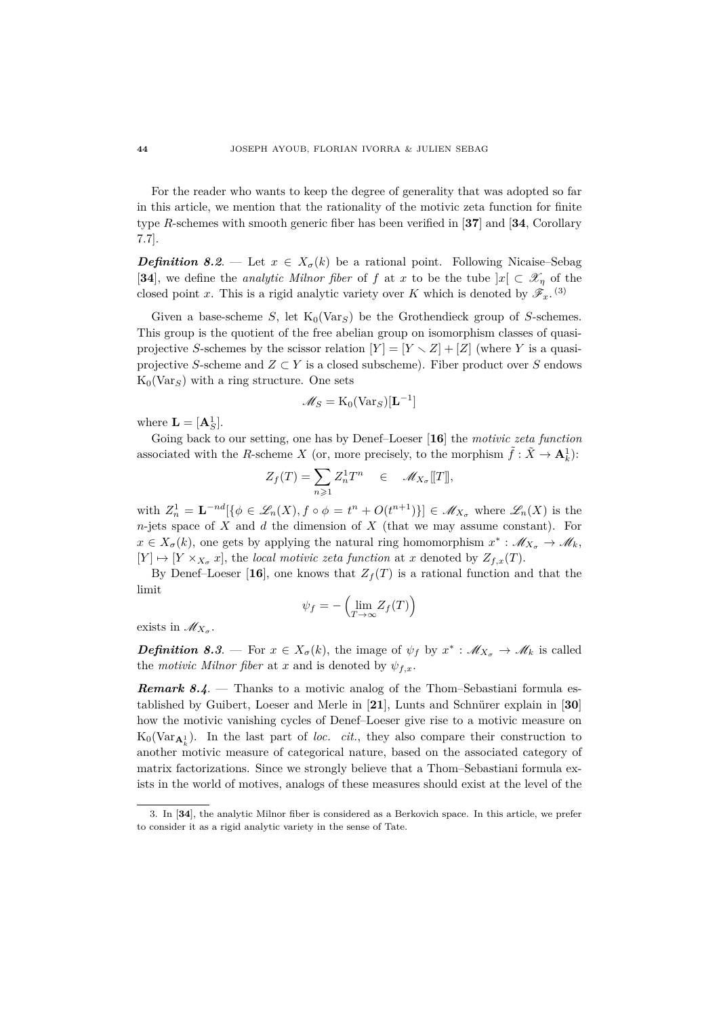For the reader who wants to keep the degree of generality that was adopted so far in this article, we mention that the rationality of the motivic zeta function for finite type *R*-schemes with smooth generic fiber has been verified in [**37**] and [**34**, Corollary 7.7].

*Definition 8.2.* — Let  $x \in X_{\sigma}(k)$  be a rational point. Following Nicaise–Sebag [34], we define the *analytic Milnor fiber* of f at x to be the tube  $|x| \subset \mathcal{X}_n$  of the closed point *x*. This is a rigid analytic variety over *K* which is denoted by  $\mathscr{F}_x$ .<sup>(3)</sup>

Given a base-scheme *S*, let  $K_0(\text{Var}_S)$  be the Grothendieck group of *S*-schemes. This group is the quotient of the free abelian group on isomorphism classes of quasiprojective *S*-schemes by the scissor relation  $|Y| = |Y \setminus Z| + |Z|$  (where *Y* is a quasiprojective *S*-scheme and  $Z \subset Y$  is a closed subscheme). Fiber product over *S* endows  $K_0$ (Var<sub>S</sub>) with a ring structure. One sets

$$
\mathscr{M}_S = \mathrm{K}_0(\mathrm{Var}_S)[\mathbf{L}^{-1}]
$$

where  $\mathbf{L} = [\mathbf{A}_S^1]$ .

Going back to our setting, one has by Denef–Loeser [**16**] the *motivic zeta function* associated with the *R*-scheme *X* (or, more precisely, to the morphism  $\tilde{f} : \tilde{X} \to \mathbf{A}_k^1$ ):

$$
Z_f(T) = \sum_{n \geq 1} Z_n^1 T^n \quad \in \quad \mathscr{M}_{X_\sigma}[[T]],
$$

with  $Z_n^1 = \mathbf{L}^{-nd}[\{\phi \in \mathscr{L}_n(X), f \circ \phi = t^n + O(t^{n+1})\}] \in \mathscr{M}_{X_\sigma}$  where  $\mathscr{L}_n(X)$  is the *n*-jets space of *X* and *d* the dimension of *X* (that we may assume constant). For  $x \in X_{\sigma}(k)$ , one gets by applying the natural ring homomorphism  $x^* : \mathscr{M}_{X_{\sigma}} \to \mathscr{M}_k$ ,  $[Y] \mapsto [Y \times_{X_{\sigma}} x]$ , the *local motivic zeta function* at *x* denoted by  $Z_{f,x}(T)$ .

By Denef–Loeser [16], one knows that  $Z_f(T)$  is a rational function and that the limit

$$
\psi_f = -\left(\lim_{T \to \infty} Z_f(T)\right)
$$

exists in  $\mathscr{M}_{X_\sigma}$ .

*Definition 8.3.* — For  $x \in X_{\sigma}(k)$ , the image of  $\psi_f$  by  $x^* : \mathscr{M}_{X_{\sigma}} \to \mathscr{M}_k$  is called the *motivic Milnor fiber* at *x* and is denoted by  $\psi_{f,x}$ .

*Remark 8.4.* — Thanks to a motivic analog of the Thom–Sebastiani formula established by Guibert, Loeser and Merle in [21], Lunts and Schnürer explain in [30] how the motivic vanishing cycles of Denef–Loeser give rise to a motivic measure on  $K_0(\text{Var}_{\mathbf{A}_k^1})$ . In the last part of *loc. cit.*, they also compare their construction to another motivic measure of categorical nature, based on the associated category of matrix factorizations. Since we strongly believe that a Thom–Sebastiani formula exists in the world of motives, analogs of these measures should exist at the level of the

<sup>3.</sup> In [**34**], the analytic Milnor fiber is considered as a Berkovich space. In this article, we prefer to consider it as a rigid analytic variety in the sense of Tate.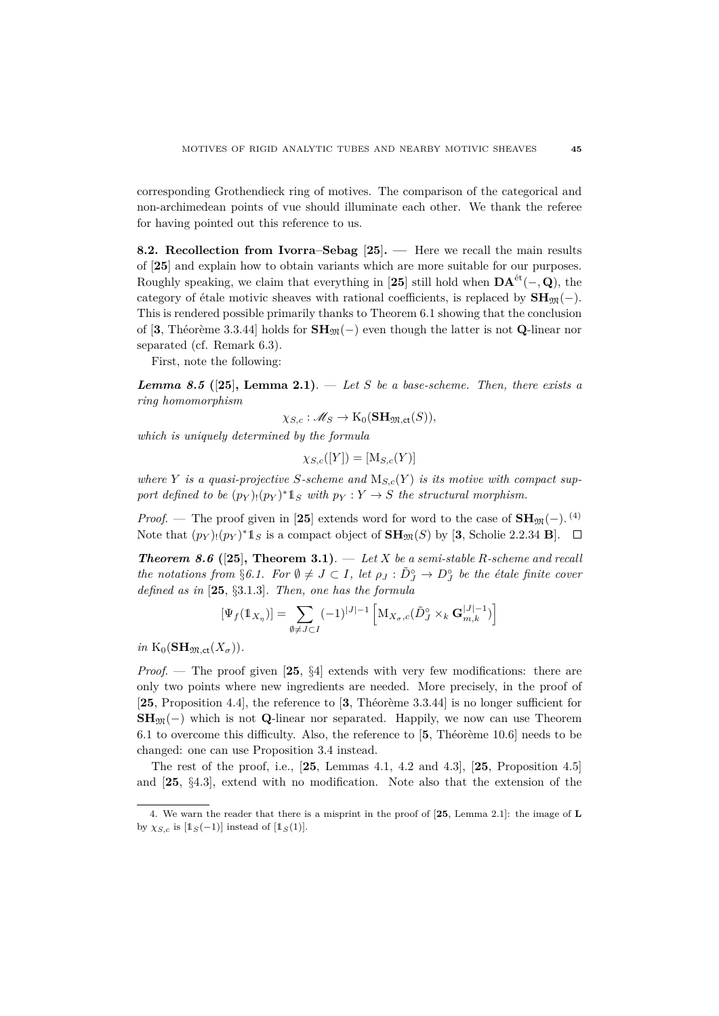corresponding Grothendieck ring of motives. The comparison of the categorical and non-archimedean points of vue should illuminate each other. We thank the referee for having pointed out this reference to us.

**8.2. Recollection from Ivorra–Sebag** [**25**]**. —** Here we recall the main results of [**25**] and explain how to obtain variants which are more suitable for our purposes. Roughly speaking, we claim that everything in [25] still hold when  $\mathbf{DA}^{\text{\'et}}(-, \mathbf{Q})$ , the category of étale motivic sheaves with rational coefficients, is replaced by  $SH_{\mathfrak{M}}(-)$ . This is rendered possible primarily thanks to Theorem 6.1 showing that the conclusion of [3, Théorème 3.3.44] holds for  $\mathbf{SH}_{\mathfrak{M}}(-)$  even though the latter is not **Q**-linear nor separated (cf. Remark 6.3).

First, note the following:

*Lemma 8.5* **([25], Lemma 2.1). — Let S be a base-scheme. Then, there exists a** *ring homomorphism*

$$
\chi_{S,c} : \mathscr{M}_S \to \mathrm{K}_0(\mathbf{SH}_{\mathfrak{M},\mathsf{ct}}(S)),
$$

*which is uniquely determined by the formula*

$$
\chi_{S,c}([Y]) = [\mathcal{M}_{S,c}(Y)]
$$

where *Y is a quasi-projective S-scheme and*  $M_{S,c}(Y)$  *is its motive with compact support defined to be*  $(p_Y)(p_Y)^*1_S$  *with*  $p_Y: Y \to S$  *the structural morphism.* 

*Proof.* — The proof given in [25] extends word for word to the case of  $\text{SH}_{\mathfrak{M}}(-)$ . <sup>(4)</sup> Note that  $(p_Y)$ : $(p_Y)^* 1_S$  is a compact object of  $\text{SH}_{\mathfrak{M}}(S)$  by [3, Scholie 2.2.34 **B**].

*Theorem 8.6* **([25], Theorem 3.1).** — Let *X* be a semi-stable *R*-scheme and recall *the notations from* §6.1. For  $\emptyset \neq J \subset I$ , let  $\rho_J : \tilde{D}_J^{\circ} \to D_J^{\circ}$  be the étale finite cover *defined as in* [**25**, §3.1.3]*. Then, one has the formula*

$$
[\Psi_f(\mathbb{1}_{X_\eta})] = \sum_{\emptyset \neq J \subset I} (-1)^{|J|-1} \left[ \mathbf{M}_{X_\sigma,c}(\tilde{D}_J^\circ \times_k \mathbf{G}_{m,k}^{|J|-1}) \right]
$$

 $in K_0(\mathbf{SH}_{\mathfrak{M},\mathsf{ct}}(X_{\sigma}))$ .

*Proof*. — The proof given [**25**, §4] extends with very few modifications: there are only two points where new ingredients are needed. More precisely, in the proof of [25, Proposition 4.4], the reference to [3, Théorème 3.3.44] is no longer sufficient for  $SH_{\mathfrak{M}}(-)$  which is not **Q**-linear nor separated. Happily, we now can use Theorem 6.1 to overcome this difficulty. Also, the reference to  $[5,$  Theoreme 10.6] needs to be changed: one can use Proposition 3.4 instead.

The rest of the proof, i.e., [**25**, Lemmas 4.1, 4.2 and 4.3], [**25**, Proposition 4.5] and [**25**, §4.3], extend with no modification. Note also that the extension of the

<sup>4.</sup> We warn the reader that there is a misprint in the proof of [**25**, Lemma 2.1]: the image of **L** by  $\chi_{S,c}$  is  $\left[1_S(-1)\right]$  instead of  $\left[1_S(1)\right]$ .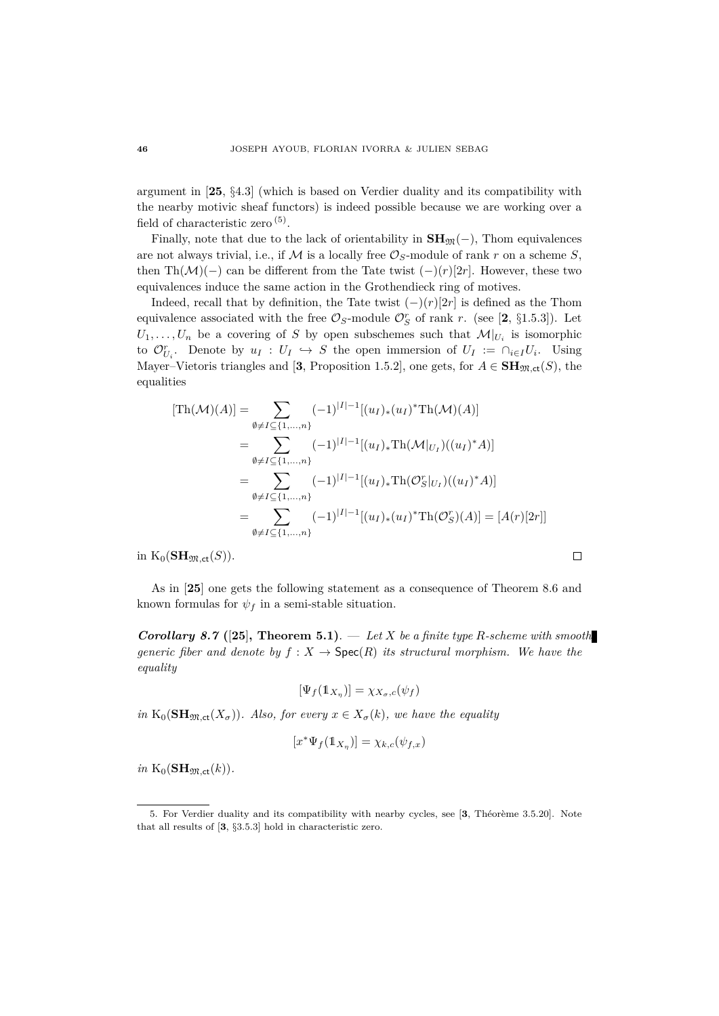argument in [**25**, §4.3] (which is based on Verdier duality and its compatibility with the nearby motivic sheaf functors) is indeed possible because we are working over a field of characteristic zero  $<sup>(5)</sup>$ .</sup>

Finally, note that due to the lack of orientability in  $SH_{\mathfrak{M}}(-)$ , Thom equivalences are not always trivial, i.e., if  $M$  is a locally free  $\mathcal{O}_S$ -module of rank  $r$  on a scheme  $S$ , then Th( $\mathcal{M}$ )(−) can be different from the Tate twist  $(-)(r)[2r]$ . However, these two equivalences induce the same action in the Grothendieck ring of motives.

Indeed, recall that by definition, the Tate twist  $(-)(r)[2r]$  is defined as the Thom equivalence associated with the free  $\mathcal{O}_S$ -module  $\mathcal{O}_S^r$  of rank *r*. (see [2, §1.5.3]). Let  $U_1, \ldots, U_n$  be a covering of *S* by open subschemes such that  $\mathcal{M}|_{U_i}$  is isomorphic to  $\mathcal{O}_{U_i}^r$ . Denote by  $u_I: U_I \hookrightarrow S$  the open immersion of  $U_I := \bigcap_{i \in I} U_i$ . Using Mayer–Vietoris triangles and [3, Proposition 1.5.2], one gets, for  $A \in \mathbf{SH}_{\mathfrak{M},\mathsf{ct}}(S)$ , the equalities

$$
[\text{Th}(\mathcal{M})(A)] = \sum_{\emptyset \neq I \subseteq \{1,\dots,n\}} (-1)^{|I|-1} [(u_I)_*(u_I)^* \text{Th}(\mathcal{M})(A)]
$$
  
\n
$$
= \sum_{\emptyset \neq I \subseteq \{1,\dots,n\}} (-1)^{|I|-1} [(u_I)_* \text{Th}(\mathcal{M}|_{U_I})((u_I)^* A)]
$$
  
\n
$$
= \sum_{\emptyset \neq I \subseteq \{1,\dots,n\}} (-1)^{|I|-1} [(u_I)_* \text{Th}(\mathcal{O}_S^r|_{U_I})((u_I)^* A)]
$$
  
\n
$$
= \sum_{\emptyset \neq I \subseteq \{1,\dots,n\}} (-1)^{|I|-1} [(u_I)_*(u_I)^* \text{Th}(\mathcal{O}_S^r)(A)] = [A(r)[2r]]
$$

in  $K_0(\mathbf{SH}_{\mathfrak{M},\mathsf{ct}}(S)).$ 

As in [**25**] one gets the following statement as a consequence of Theorem 8.6 and known formulas for  $\psi_f$  in a semi-stable situation.

*Corollary 8.7* **(**[**25**]**, Theorem 5.1)**. — *Let X be a finite type R-scheme with smooth generic fiber and denote by*  $f : X \to \text{Spec}(R)$  *its structural morphism. We have the equality*

$$
[\Psi_f(\mathbb{1}_{X_\eta})] = \chi_{X_\sigma,c}(\psi_f)
$$

*in*  $K_0(\text{SH}_{\mathfrak{M},\text{ct}}(X_\sigma))$ *. Also, for every*  $x \in X_\sigma(k)$ *, we have the equality* 

$$
[x^* \Psi_f(\mathbb{1}_{X_\eta})] = \chi_{k,c}(\psi_{f,x})
$$

 $in$  K<sub>0</sub>( $SH_{\mathfrak{M},\mathsf{ct}}(k)$ ).

 $\Box$ 

<sup>5.</sup> For Verdier duality and its compatibility with nearby cycles, see [3, Théorème 3.5.20]. Note that all results of [**3**, §3.5.3] hold in characteristic zero.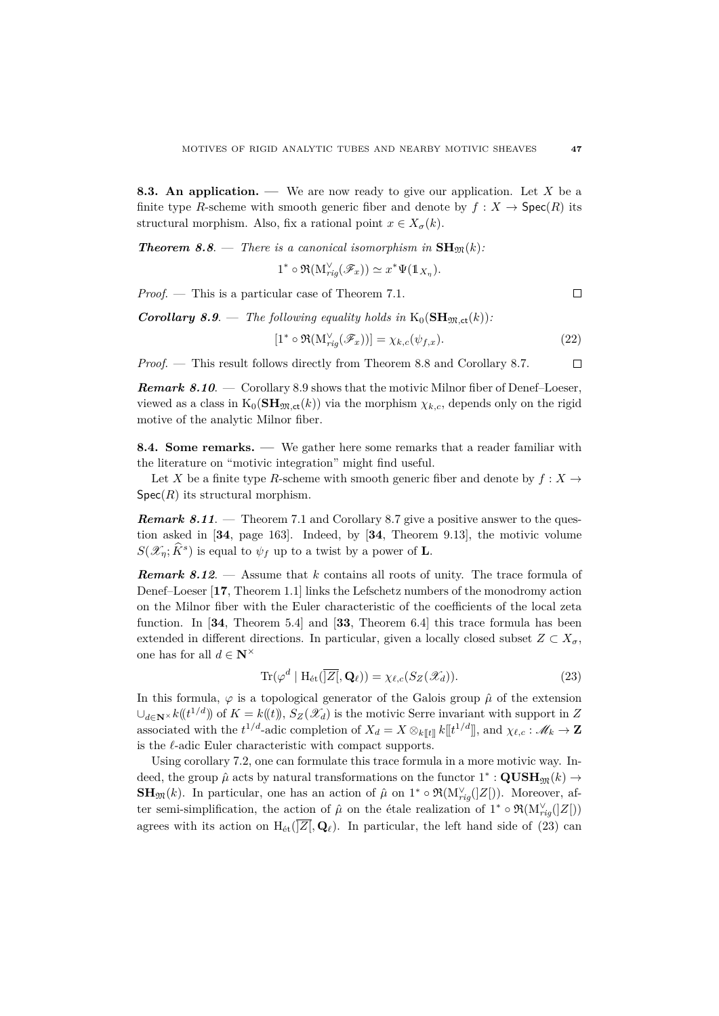**8.3. An application. —** We are now ready to give our application. Let *X* be a finite type *R*-scheme with smooth generic fiber and denote by  $f : X \to \text{Spec}(R)$  its structural morphism. Also, fix a rational point  $x \in X_{\sigma}(k)$ .

*Theorem 8.8.* **—** *There is a canonical isomorphism in* $\text{SH}_{\mathfrak{M}}(k)$ *:* 

$$
1^* \circ \Re(M_{rig}^{\vee}(\mathscr{F}_x)) \simeq x^* \Psi(\mathbb{1}_{X_\eta}).
$$

*Proof*. — This is a particular case of Theorem 7.1.

*Corollary 8.9.* — *The following equality holds in*  $K_0(SH_m \cdot k)$ :

$$
[1^* \circ \Re(M_{rig}^{\vee}(\mathscr{F}_x))] = \chi_{k,c}(\psi_{f,x}). \tag{22}
$$

*Proof*. — This result follows directly from Theorem 8.8 and Corollary 8.7.  $\Box$ 

*Remark 8.10*. — Corollary 8.9 shows that the motivic Milnor fiber of Denef–Loeser, viewed as a class in  $K_0(\mathbf{SH}_{\mathfrak{M},\mathsf{ct}}(k))$  via the morphism  $\chi_{k,c}$ , depends only on the rigid motive of the analytic Milnor fiber.

**8.4. Some remarks. —** We gather here some remarks that a reader familiar with the literature on "motivic integration" might find useful.

Let *X* be a finite type *R*-scheme with smooth generic fiber and denote by  $f: X \rightarrow$  $Spec(R)$  its structural morphism.

*Remark 8.11*. — Theorem 7.1 and Corollary 8.7 give a positive answer to the question asked in [**34**, page 163]. Indeed, by [**34**, Theorem 9.13], the motivic volume  $S(\mathscr{X}_\eta; \widehat{K}^s)$  is equal to  $\psi_f$  up to a twist by a power of **L**.

*Remark 8.12*. — Assume that *k* contains all roots of unity. The trace formula of Denef–Loeser [**17**, Theorem 1.1] links the Lefschetz numbers of the monodromy action on the Milnor fiber with the Euler characteristic of the coefficients of the local zeta function. In [**34**, Theorem 5.4] and [**33**, Theorem 6.4] this trace formula has been extended in different directions. In particular, given a locally closed subset  $Z \subset X_{\sigma}$ , one has for all  $d \in \mathbb{N}^{\times}$ 

$$
\operatorname{Tr}(\varphi^d \mid \mathrm{H}_{\text{\'et}}(\overline{\left|Z\right|}, \mathbf{Q}_\ell)) = \chi_{\ell,c}(S_Z(\mathscr{X}_d)).\tag{23}
$$

In this formula,  $\varphi$  is a topological generator of the Galois group  $\hat{\mu}$  of the extension  $\cup_{d \in \mathbb{N}^{\times}} k(\ell^{1/d})$  of  $K = k(\ell)$ ,  $S_Z(\mathscr{X}_d)$  is the motivic Serre invariant with support in *Z* associated with the  $t^{1/d}$ -adic completion of  $X_d = X \otimes_{k[[t]} k[[t^{1/d}]]$ , and  $\chi_{\ell,c} : \mathscr{M}_k \to \mathbb{Z}$ is the  $\ell$ -adic Euler characteristic with compact supports.

Using corollary 7.2, one can formulate this trace formula in a more motivic way. Indeed, the group  $\hat{\mu}$  acts by natural transformations on the functor  $1^* : \mathbf{QUSH}_{\mathfrak{M}}(k) \rightarrow$ **SH**<sub>M</sub>(*k*). In particular, one has an action of  $\hat{\mu}$  on 1<sup>\*</sup> ∘  $\Re(M_{rig}^{\vee}(Z))$ . Moreover, after semi-simplification, the action of  $\hat{\mu}$  on the étale realization of 1<sup>\*</sup> ∘  $\Re(\mathcal{M}_{rig}^{\vee}(|Z|))$ agrees with its action on  $H_{\text{\'et}}(\overline{\mathbb{Z}}[,\mathbf{Q}_\ell])$ . In particular, the left hand side of (23) can

 $\Box$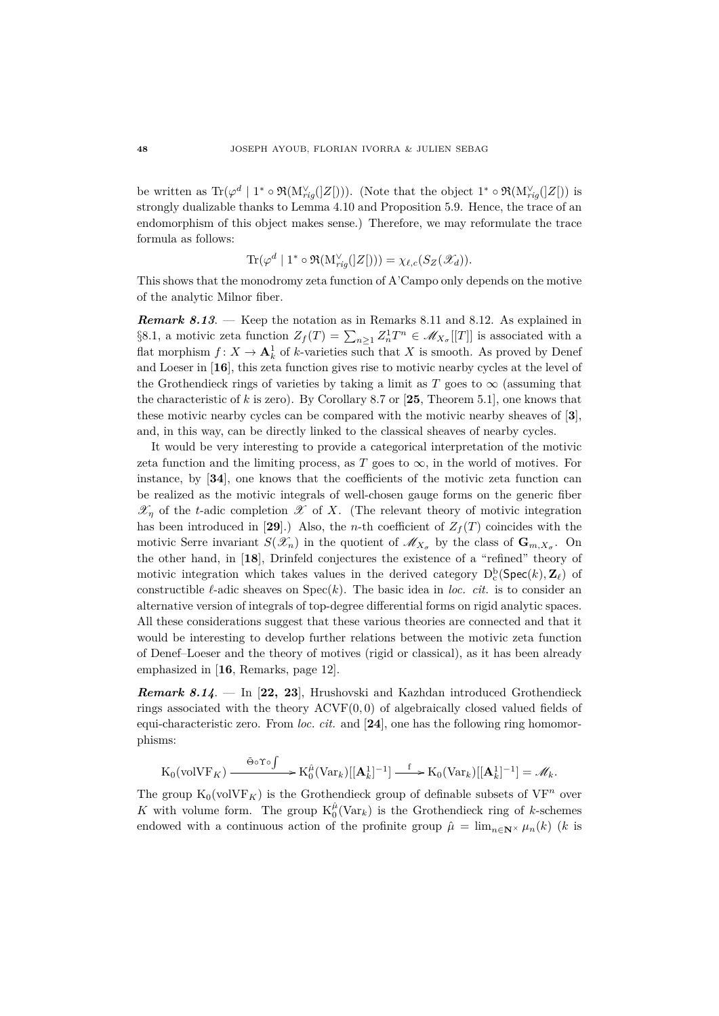be written as  $\text{Tr}(\varphi^d \mid 1^* \circ \Re(M_{rig}^{\vee}(Z[\text{]})))$ . (Note that the object  $1^* \circ \Re(M_{rig}^{\vee}(Z[\text{]}))$  is strongly dualizable thanks to Lemma 4.10 and Proposition 5.9. Hence, the trace of an endomorphism of this object makes sense.) Therefore, we may reformulate the trace formula as follows:

$$
\text{Tr}(\varphi^d \mid 1^* \circ \Re(M_{rig}^{\vee}(Z[))) = \chi_{\ell,c}(S_Z(\mathscr{X}_d)).
$$

This shows that the monodromy zeta function of A'Campo only depends on the motive of the analytic Milnor fiber.

*Remark 8.13*. — Keep the notation as in Remarks 8.11 and 8.12. As explained in §8.1, a motivic zeta function  $Z_f(T) = \sum_{n \geq 1} Z_n^1 T^n \in \mathcal{M}_{X_\sigma}[[T]]$  is associated with a flat morphism  $f: X \to \mathbf{A}^1_k$  of *k*-varieties such that *X* is smooth. As proved by Denef and Loeser in [**16**], this zeta function gives rise to motivic nearby cycles at the level of the Grothendieck rings of varieties by taking a limit as  $T$  goes to  $\infty$  (assuming that the characteristic of *k* is zero). By Corollary 8.7 or [**25**, Theorem 5.1], one knows that these motivic nearby cycles can be compared with the motivic nearby sheaves of [**3**], and, in this way, can be directly linked to the classical sheaves of nearby cycles.

It would be very interesting to provide a categorical interpretation of the motivic zeta function and the limiting process, as  $T$  goes to  $\infty$ , in the world of motives. For instance, by [**34**], one knows that the coefficients of the motivic zeta function can be realized as the motivic integrals of well-chosen gauge forms on the generic fiber  $\mathscr{X}_n$  of the *t*-adic completion  $\mathscr X$  of *X*. (The relevant theory of motivic integration has been introduced in [29].) Also, the *n*-th coefficient of  $Z_f(T)$  coincides with the motivic Serre invariant  $S(\mathscr{X}_n)$  in the quotient of  $\mathscr{M}_{X_\sigma}$  by the class of  $\mathbf{G}_{m,X_\sigma}$ . On the other hand, in [**18**], Drinfeld conjectures the existence of a "refined" theory of motivic integration which takes values in the derived category  $D_c^b(\text{Spec}(k), \mathbb{Z}_\ell)$  of constructible  $\ell$ -adic sheaves on  $Spec(k)$ . The basic idea in *loc. cit.* is to consider an alternative version of integrals of top-degree differential forms on rigid analytic spaces. All these considerations suggest that these various theories are connected and that it would be interesting to develop further relations between the motivic zeta function of Denef–Loeser and the theory of motives (rigid or classical), as it has been already emphasized in [**16**, Remarks, page 12].

*Remark 8.14*. — In [**22, 23**], Hrushovski and Kazhdan introduced Grothendieck rings associated with the theory ACVF(0*,* 0) of algebraically closed valued fields of equi-characteristic zero. From *loc. cit.* and [**24**], one has the following ring homomorphisms:

$$
\mathrm{K}_0(\mathrm{volVF}_K) \xrightarrow{\tilde{\Theta} \circ \Upsilon \circ \int} \mathrm{K}_0^{\hat{\mu}}(\mathrm{Var}_k)[[\mathbf{A}_k^1]^{-1}] \xrightarrow{f} \mathrm{K}_0(\mathrm{Var}_k)[[\mathbf{A}_k^1]^{-1}] = \mathscr{M}_k.
$$

The group  $K_0(volVF_K)$  is the Grothendieck group of definable subsets of  $VF^n$  over *K* with volume form. The group  $K_0^{\hat{\mu}}(Var_k)$  is the Grothendieck ring of *k*-schemes endowed with a continuous action of the profinite group  $\hat{\mu} = \lim_{n \in \mathbb{N}^{\times}} \mu_n(k)$  (*k* is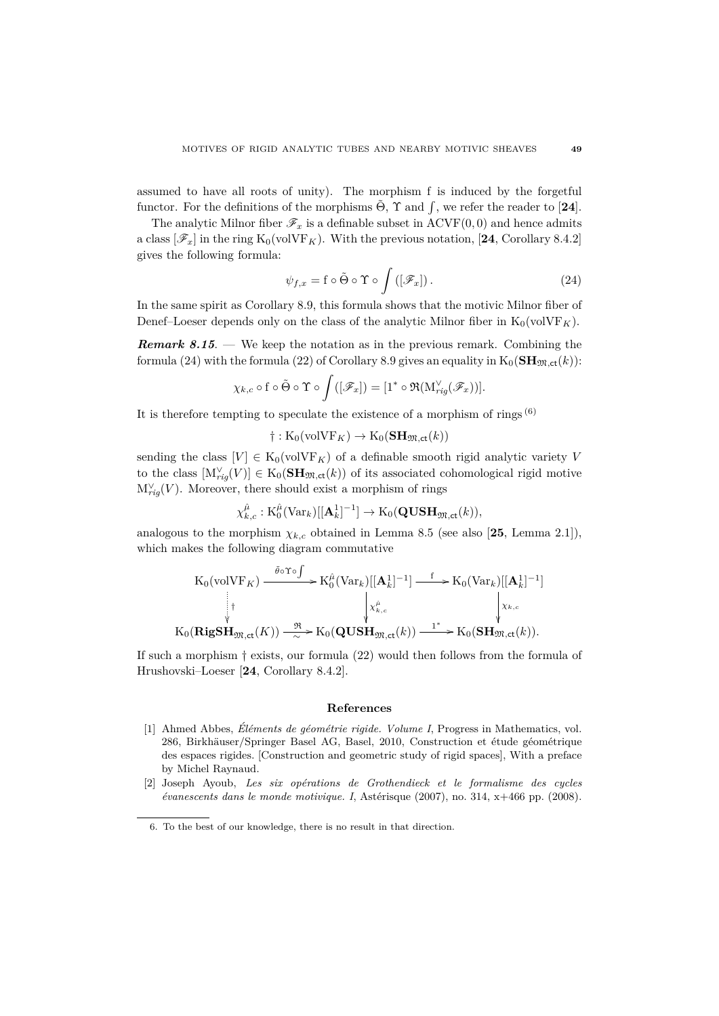assumed to have all roots of unity). The morphism f is induced by the forgetful functor. For the definitions of the morphisms  $\tilde{\Theta}$ ,  $\Upsilon$  and  $\int$ , we refer the reader to [24].

The analytic Milnor fiber  $\mathscr{F}_x$  is a definable subset in ACVF(0,0) and hence admits a class  $[\mathscr{F}_x]$  in the ring  $K_0(\text{volVF}_K)$ . With the previous notation, [24, Corollary 8.4.2] gives the following formula:

$$
\psi_{f,x} = \mathbf{f} \circ \tilde{\Theta} \circ \Upsilon \circ \int \left( [\mathcal{F}_x] \right). \tag{24}
$$

In the same spirit as Corollary 8.9, this formula shows that the motivic Milnor fiber of Denef–Loeser depends only on the class of the analytic Milnor fiber in  $K_0(\text{volVF}_K)$ .

*Remark 8.15*. — We keep the notation as in the previous remark. Combining the formula (24) with the formula (22) of Corollary 8.9 gives an equality in  $K_0(\text{SH}_{\mathfrak{M},\text{ct}}(k))$ :

$$
\chi_{k,c} \circ f \circ \tilde{\Theta} \circ \Upsilon \circ \int ([\mathscr{F}_x]) = [1^* \circ \Re(\mathrm{M}_{rig}^{\vee}(\mathscr{F}_x))].
$$

It is therefore tempting to speculate the existence of a morphism of rings  $^{(6)}$ 

 $\dagger$ : K<sub>0</sub>(volVF<sub>K</sub>)  $\rightarrow$  K<sub>0</sub>(**SH**<sub>m,ct</sub>(k))

sending the class  $[V] \in K_0(\text{volVF}_K)$  of a definable smooth rigid analytic variety V to the class  $[M_{rig}^{\vee}(V)] \in K_0(\mathbf{SH}_{\mathfrak{M},\mathsf{ct}}(k))$  of its associated cohomological rigid motive  $M_{rig}^{\vee}(V)$ . Moreover, there should exist a morphism of rings

$$
\chi_{k,c}^{\hat{\mu}} : \mathrm{K}_0^{\hat{\mu}}(\mathrm{Var}_k)[[\mathbf{A}_k^1]^{-1}] \to \mathrm{K}_0(\mathbf{QUSH}_{\mathfrak{M},\mathsf{ct}}(k)),
$$

analogous to the morphism  $\chi_{k,c}$  obtained in Lemma 8.5 (see also [25, Lemma 2.1]), which makes the following diagram commutative

$$
\begin{aligned}\n\text{K}_0(\text{volVF}_K) &\xrightarrow{\tilde{\theta}\circ \Upsilon \circ \int} \text{K}_0^{\hat{\mu}}(\text{Var}_k)[[\mathbf{A}_k^1]^{-1}] \xrightarrow{\text{f}} \text{K}_0(\text{Var}_k)[[\mathbf{A}_k^1]^{-1}] \\
&\xrightarrow[\forall]{\text{f}} \text{K}_0(\text{RigSH}_{\mathfrak{M},\text{ct}}(K)) \xrightarrow{\mathfrak{R}} \text{K}_0(\text{QUSH}_{\mathfrak{M},\text{ct}}(k)) \xrightarrow{\text{1}^*} \text{K}_0(\text{SH}_{\mathfrak{M},\text{ct}}(k)).\n\end{aligned}
$$

If such a morphism † exists, our formula (22) would then follows from the formula of Hrushovski–Loeser [**24**, Corollary 8.4.2].

## **References**

- [1] Ahmed Abbes, *El´ements de g´eom´etrie rigide. Volume I ´* , Progress in Mathematics, vol. 286, Birkhäuser/Springer Basel AG, Basel, 2010, Construction et étude géométrique des espaces rigides. [Construction and geometric study of rigid spaces], With a preface by Michel Raynaud.
- [2] Joseph Ayoub, *Les six op´erations de Grothendieck et le formalisme des cycles évanescents dans le monde motivique. I*, Astérisque (2007), no. 314, x+466 pp. (2008).

<sup>6.</sup> To the best of our knowledge, there is no result in that direction.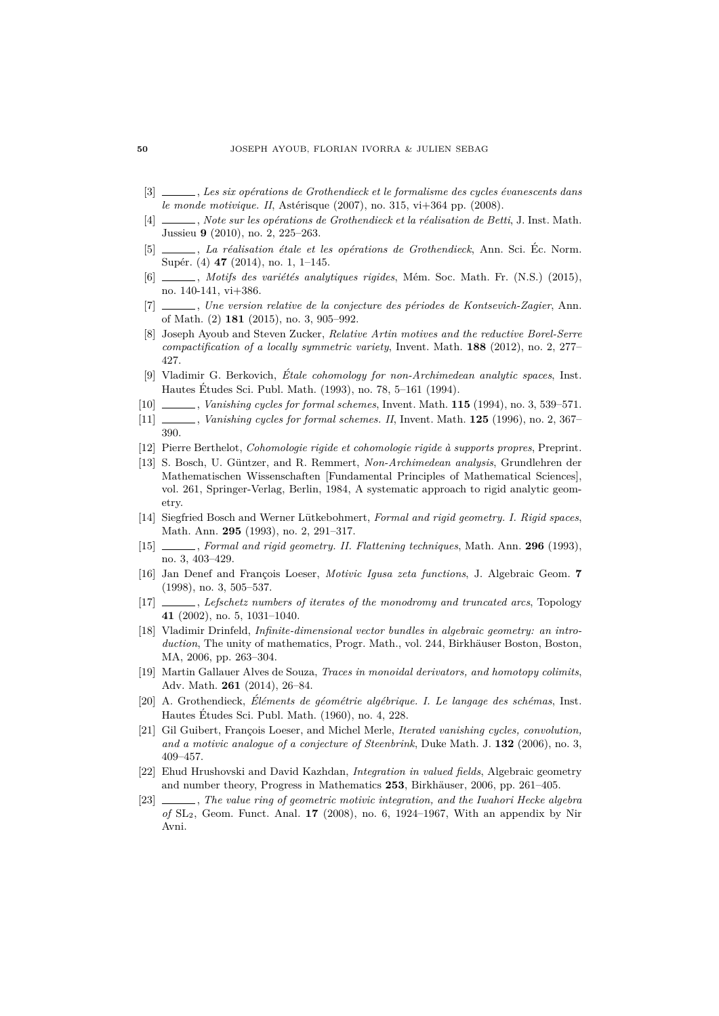- [3]  $\_\_\_\_\_\$ , *Les six opérations de Grothendieck et le formalisme des cycles évanescents dans le monde motivique. II*, Astérisque (2007), no. 315, vi+364 pp. (2008).
- [4]  $\Box$ , *Note sur les opérations de Grothendieck et la réalisation de Betti*, J. Inst. Math. Jussieu **9** (2010), no. 2, 225–263.
- [5]  $\_\_\_\_\_\$ , *La réalisation étale et les opérations de Grothendieck*, Ann. Sci. Éc. Norm. Supér. (4) **47** (2014), no. 1, 1–145.
- [6]  $\qquad \qquad$ , *Motifs des variétés analytiques rigides*, Mém. Soc. Math. Fr. (N.S.) (2015), no. 140-141, vi+386.
- [7] \_\_\_\_\_, *Une version relative de la conjecture des périodes de Kontsevich-Zagier*, Ann. of Math. (2) **181** (2015), no. 3, 905–992.
- [8] Joseph Ayoub and Steven Zucker, *Relative Artin motives and the reductive Borel-Serre compactification of a locally symmetric variety*, Invent. Math. **188** (2012), no. 2, 277– 427.
- [9] Vladimir G. Berkovich, *Étale cohomology for non-Archimedean analytic spaces*, Inst. Hautes Etudes Sci. Publ. Math. (1993), no. 78, 5–161 (1994). ´
- [10] , *Vanishing cycles for formal schemes*, Invent. Math. **115** (1994), no. 3, 539–571.
- [11] , *Vanishing cycles for formal schemes. II*, Invent. Math. **125** (1996), no. 2, 367– 390.
- [12] Pierre Berthelot, *Cohomologie rigide et cohomologie rigide `a supports propres*, Preprint.
- [13] S. Bosch, U. G¨untzer, and R. Remmert, *Non-Archimedean analysis*, Grundlehren der Mathematischen Wissenschaften [Fundamental Principles of Mathematical Sciences], vol. 261, Springer-Verlag, Berlin, 1984, A systematic approach to rigid analytic geometry.
- [14] Siegfried Bosch and Werner Lütkebohmert, *Formal and rigid geometry. I. Rigid spaces*, Math. Ann. **295** (1993), no. 2, 291–317.
- [15] , *Formal and rigid geometry. II. Flattening techniques*, Math. Ann. **296** (1993), no. 3, 403–429.
- [16] Jan Denef and François Loeser, *Motivic Igusa zeta functions*, J. Algebraic Geom. **7** (1998), no. 3, 505–537.
- [17] , *Lefschetz numbers of iterates of the monodromy and truncated arcs*, Topology **41** (2002), no. 5, 1031–1040.
- [18] Vladimir Drinfeld, *Infinite-dimensional vector bundles in algebraic geometry: an intro*duction, The unity of mathematics, Progr. Math., vol. 244, Birkhäuser Boston, Boston, MA, 2006, pp. 263–304.
- [19] Martin Gallauer Alves de Souza, *Traces in monoidal derivators, and homotopy colimits*, Adv. Math. **261** (2014), 26–84.
- [20] A. Grothendieck, *El´ements de g´eom´etrie alg´ebrique. I. Le langage des sch´emas ´* , Inst. Hautes Etudes Sci. Publ. Math. (1960), no. 4, 228. ´
- [21] Gil Guibert, François Loeser, and Michel Merle, *Iterated vanishing cycles, convolution*, *and a motivic analogue of a conjecture of Steenbrink*, Duke Math. J. **132** (2006), no. 3, 409–457.
- [22] Ehud Hrushovski and David Kazhdan, *Integration in valued fields*, Algebraic geometry and number theory, Progress in Mathematics 253, Birkhäuser, 2006, pp. 261–405.
- [23] , *The value ring of geometric motivic integration, and the Iwahori Hecke algebra of* SL2, Geom. Funct. Anal. **17** (2008), no. 6, 1924–1967, With an appendix by Nir Avni.